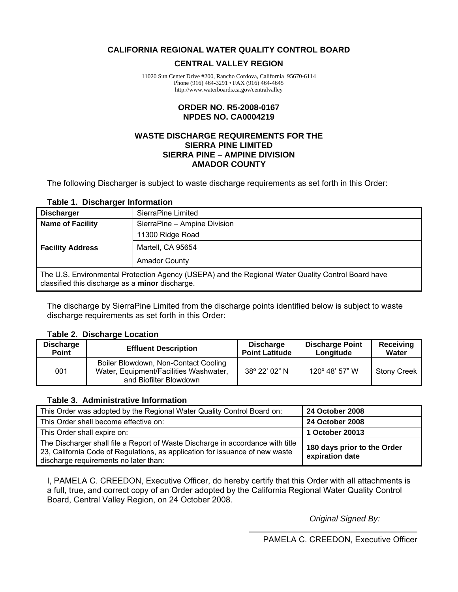### <span id="page-0-0"></span>**CALIFORNIA REGIONAL WATER QUALITY CONTROL BOARD**

### **CENTRAL VALLEY REGION**

11020 Sun Center Drive #200, Rancho Cordova, California 95670-6114 Phone (916) 464-3291 • FAX (916) 464-4645 http://www.waterboards.ca.gov/centralvalley

### **ORDER NO. R5-2008-0167 NPDES NO. CA0004219**

### **WASTE DISCHARGE REQUIREMENTS FOR THE SIERRA PINE LIMITED SIERRA PINE – AMPINE DIVISION AMADOR COUNTY**

The following Discharger is subject to waste discharge requirements as set forth in this Order:

### **Table 1. Discharger Information**

| <b>Discharger</b>                                                                                                                                     | SierraPine Limited   |  |  |
|-------------------------------------------------------------------------------------------------------------------------------------------------------|----------------------|--|--|
| <b>Name of Facility</b><br>SierraPine - Ampine Division                                                                                               |                      |  |  |
|                                                                                                                                                       | 11300 Ridge Road     |  |  |
| <b>Facility Address</b>                                                                                                                               | Martell, CA 95654    |  |  |
|                                                                                                                                                       | <b>Amador County</b> |  |  |
| The U.S. Environmental Protection Agency (USEPA) and the Regional Water Quality Control Board have<br>classified this discharge as a minor discharge. |                      |  |  |

The discharge by SierraPine Limited from the discharge points identified below is subject to waste discharge requirements as set forth in this Order:

### **Table 2. Discharge Location**

| <b>Discharge</b> | <b>Effluent Description</b>                                                                              | <b>Discharge</b>      | <b>Discharge Point</b>  | Receiving          |
|------------------|----------------------------------------------------------------------------------------------------------|-----------------------|-------------------------|--------------------|
| <b>Point</b>     |                                                                                                          | <b>Point Latitude</b> | Longitude               | Water              |
| 001              | Boiler Blowdown, Non-Contact Cooling<br>Water, Equipment/Facilities Washwater,<br>and Biofilter Blowdown | 38° 22' 02" N         | $120^{\circ}$ 48' 57" W | <b>Stony Creek</b> |

### **Table 3. Administrative Information**

| This Order was adopted by the Regional Water Quality Control Board on:                                                                                                                                  | <b>24 October 2008</b>                         |
|---------------------------------------------------------------------------------------------------------------------------------------------------------------------------------------------------------|------------------------------------------------|
| This Order shall become effective on:                                                                                                                                                                   | <b>24 October 2008</b>                         |
| This Order shall expire on:                                                                                                                                                                             | 1 October 20013                                |
| The Discharger shall file a Report of Waste Discharge in accordance with title<br>23, California Code of Regulations, as application for issuance of new waste<br>discharge requirements no later than: | 180 days prior to the Order<br>expiration date |

I, PAMELA C. CREEDON, Executive Officer, do hereby certify that this Order with all attachments is a full, true, and correct copy of an Order adopted by the California Regional Water Quality Control Board, Central Valley Region, on 24 October 2008.

*Original Signed By:*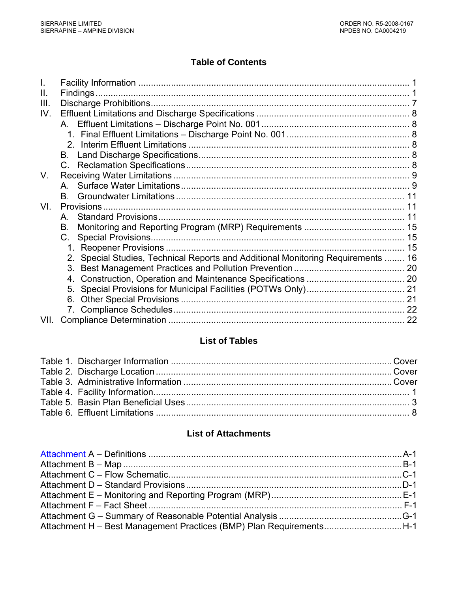# **Table of Contents**

| Ш.   |                                                                                  |  |
|------|----------------------------------------------------------------------------------|--|
| III. |                                                                                  |  |
| IV.  |                                                                                  |  |
|      |                                                                                  |  |
|      |                                                                                  |  |
|      |                                                                                  |  |
|      | В.                                                                               |  |
|      | $C_{\cdot}$                                                                      |  |
| V.   |                                                                                  |  |
|      | A                                                                                |  |
|      | B.                                                                               |  |
| VI.  |                                                                                  |  |
|      | A                                                                                |  |
|      | В.                                                                               |  |
|      | C.                                                                               |  |
|      |                                                                                  |  |
|      | 2. Special Studies, Technical Reports and Additional Monitoring Requirements  16 |  |
|      |                                                                                  |  |
|      | 4.                                                                               |  |
|      | 5.                                                                               |  |
|      | 6.                                                                               |  |
|      |                                                                                  |  |
| VII. |                                                                                  |  |

# **List of Tables**

# **List of Attachments**

| Attachment H - Best Management Practices (BMP) Plan RequirementsH-1 |  |
|---------------------------------------------------------------------|--|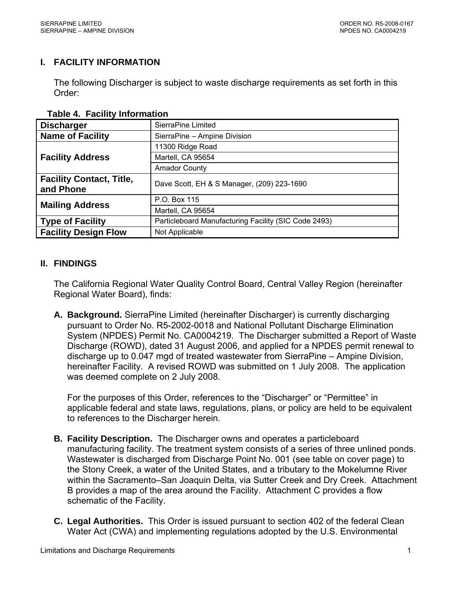# <span id="page-2-0"></span>**I. FACILITY INFORMATION**

The following Discharger is subject to waste discharge requirements as set forth in this Order:

| <b>Discharger</b>                            | SierraPine Limited                                   |  |
|----------------------------------------------|------------------------------------------------------|--|
| <b>Name of Facility</b>                      | SierraPine - Ampine Division                         |  |
|                                              | 11300 Ridge Road                                     |  |
| <b>Facility Address</b>                      | Martell, CA 95654                                    |  |
|                                              | <b>Amador County</b>                                 |  |
| <b>Facility Contact, Title,</b><br>and Phone | Dave Scott, EH & S Manager, (209) 223-1690           |  |
| <b>Mailing Address</b>                       | P.O. Box 115                                         |  |
|                                              | Martell, CA 95654                                    |  |
| <b>Type of Facility</b>                      | Particleboard Manufacturing Facility (SIC Code 2493) |  |
| <b>Facility Design Flow</b>                  | Not Applicable                                       |  |

### **Table 4. Facility Information**

### **II. FINDINGS**

The California Regional Water Quality Control Board, Central Valley Region (hereinafter Regional Water Board), finds:

**A. Background.** SierraPine Limited (hereinafter Discharger) is currently discharging pursuant to Order No. R5-2002-0018 and National Pollutant Discharge Elimination System (NPDES) Permit No. CA0004219. The Discharger submitted a Report of Waste Discharge (ROWD), dated 31 August 2006, and applied for a NPDES permit renewal to discharge up to 0.047 mgd of treated wastewater from SierraPine – Ampine Division, hereinafter Facility. A revised ROWD was submitted on 1 July 2008. The application was deemed complete on 2 July 2008.

For the purposes of this Order, references to the "Discharger" or "Permittee" in applicable federal and state laws, regulations, plans, or policy are held to be equivalent to references to the Discharger herein.

- **B. Facility Description.** The Discharger owns and operates a particleboard manufacturing facility. The treatment system consists of a series of three unlined ponds. Wastewater is discharged from Discharge Point No. 001 (see table on cover page) to the Stony Creek, a water of the United States, and a tributary to the Mokelumne River within the Sacramento–San Joaquin Delta, via Sutter Creek and Dry Creek. Attachment B provides a map of the area around the Facility. Attachment C provides a flow schematic of the Facility.
- **C. Legal Authorities.** This Order is issued pursuant to section 402 of the federal Clean Water Act (CWA) and implementing regulations adopted by the U.S. Environmental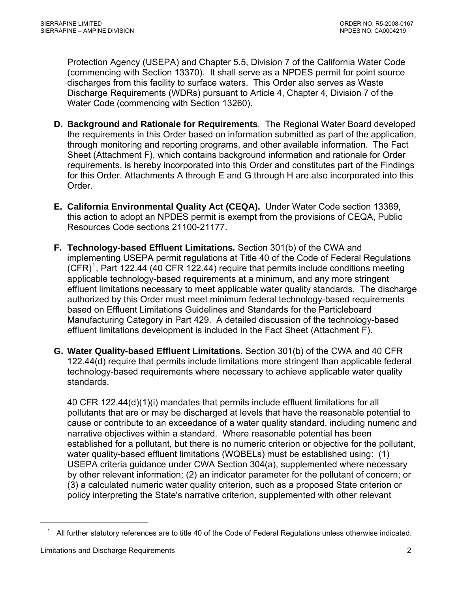Protection Agency (USEPA) and Chapter 5.5, Division 7 of the California Water Code (commencing with Section 13370). It shall serve as a NPDES permit for point source discharges from this facility to surface waters. This Order also serves as Waste Discharge Requirements (WDRs) pursuant to Article 4, Chapter 4, Division 7 of the Water Code (commencing with Section 13260).

- **D. Background and Rationale for Requirements**. The Regional Water Board developed the requirements in this Order based on information submitted as part of the application, through monitoring and reporting programs, and other available information. The Fact Sheet (Attachment F), which contains background information and rationale for Order requirements, is hereby incorporated into this Order and constitutes part of the Findings for this Order. Attachments A through E and G through H are also incorporated into this Order.
- **E. California Environmental Quality Act (CEQA).** Under Water Code section 13389, this action to adopt an NPDES permit is exempt from the provisions of CEQA, Public Resources Code sections 21100-21177.
- **F. Technology-based Effluent Limitations***.* Section 301(b) of the CWA and implementing USEPA permit regulations at Title 40 of the Code of Federal Regulations  $(CFR)^1$  $(CFR)^1$ , Part 122.44 (40 CFR 122.44) require that permits include conditions meeting applicable technology-based requirements at a minimum, and any more stringent effluent limitations necessary to meet applicable water quality standards. The discharge authorized by this Order must meet minimum federal technology-based requirements based on Effluent Limitations Guidelines and Standards for the Particleboard Manufacturing Category in Part 429. A detailed discussion of the technology-based effluent limitations development is included in the Fact Sheet (Attachment F).
- **G. Water Quality-based Effluent Limitations.** Section 301(b) of the CWA and 40 CFR 122.44(d) require that permits include limitations more stringent than applicable federal technology-based requirements where necessary to achieve applicable water quality standards.

40 CFR 122.44(d)(1)(i) mandates that permits include effluent limitations for all pollutants that are or may be discharged at levels that have the reasonable potential to cause or contribute to an exceedance of a water quality standard, including numeric and narrative objectives within a standard. Where reasonable potential has been established for a pollutant, but there is no numeric criterion or objective for the pollutant, water quality-based effluent limitations (WQBELs) must be established using: (1) USEPA criteria guidance under CWA Section 304(a), supplemented where necessary by other relevant information; (2) an indicator parameter for the pollutant of concern; or (3) a calculated numeric water quality criterion, such as a proposed State criterion or policy interpreting the State's narrative criterion, supplemented with other relevant

<span id="page-3-0"></span> $\overline{a}$ 

 $1$  All further statutory references are to title 40 of the Code of Federal Regulations unless otherwise indicated.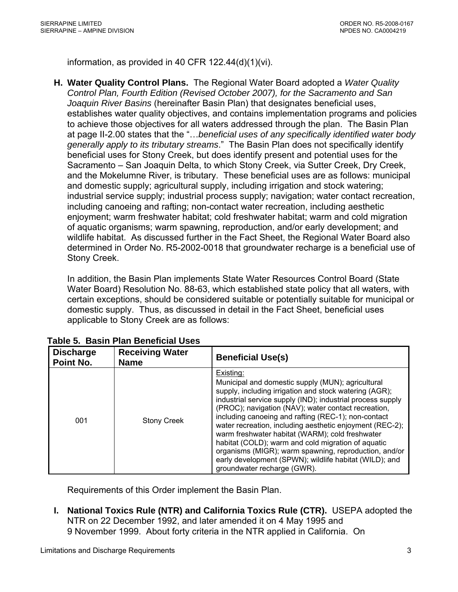<span id="page-4-0"></span>information, as provided in 40 CFR 122.44(d)(1)(vi).

**H. Water Quality Control Plans.** The Regional Water Board adopted a *Water Quality Control Plan, Fourth Edition (Revised October 2007), for the Sacramento and San Joaquin River Basins* (hereinafter Basin Plan) that designates beneficial uses, establishes water quality objectives, and contains implementation programs and policies to achieve those objectives for all waters addressed through the plan. The Basin Plan at page II-2.00 states that the "…*beneficial uses of any specifically identified water body generally apply to its tributary streams*." The Basin Plan does not specifically identify beneficial uses for Stony Creek, but does identify present and potential uses for the Sacramento – San Joaquin Delta, to which Stony Creek, via Sutter Creek, Dry Creek, and the Mokelumne River, is tributary. These beneficial uses are as follows: municipal and domestic supply; agricultural supply, including irrigation and stock watering; industrial service supply; industrial process supply; navigation; water contact recreation, including canoeing and rafting; non-contact water recreation, including aesthetic enjoyment; warm freshwater habitat; cold freshwater habitat; warm and cold migration of aquatic organisms; warm spawning, reproduction, and/or early development; and wildlife habitat. As discussed further in the Fact Sheet, the Regional Water Board also determined in Order No. R5-2002-0018 that groundwater recharge is a beneficial use of Stony Creek.

In addition, the Basin Plan implements State Water Resources Control Board (State Water Board) Resolution No. 88-63, which established state policy that all waters, with certain exceptions, should be considered suitable or potentially suitable for municipal or domestic supply. Thus, as discussed in detail in the Fact Sheet, beneficial uses applicable to Stony Creek are as follows:

| <b>Discharge</b><br>Point No. | <b>Receiving Water</b><br><b>Name</b> | <b>Beneficial Use(s)</b>                                                                                                                                                                                                                                                                                                                                                                                                                                                                                                                                                                                                    |
|-------------------------------|---------------------------------------|-----------------------------------------------------------------------------------------------------------------------------------------------------------------------------------------------------------------------------------------------------------------------------------------------------------------------------------------------------------------------------------------------------------------------------------------------------------------------------------------------------------------------------------------------------------------------------------------------------------------------------|
| 001                           | <b>Stony Creek</b>                    | Existing:<br>Municipal and domestic supply (MUN); agricultural<br>supply, including irrigation and stock watering (AGR);<br>industrial service supply (IND); industrial process supply<br>(PROC); navigation (NAV); water contact recreation,<br>including canoeing and rafting (REC-1); non-contact<br>water recreation, including aesthetic enjoyment (REC-2);<br>warm freshwater habitat (WARM); cold freshwater<br>habitat (COLD); warm and cold migration of aquatic<br>organisms (MIGR); warm spawning, reproduction, and/or<br>early development (SPWN); wildlife habitat (WILD); and<br>groundwater recharge (GWR). |

 **Table 5. Basin Plan Beneficial Uses** 

Requirements of this Order implement the Basin Plan.

**I. National Toxics Rule (NTR) and California Toxics Rule (CTR).** USEPA adopted the NTR on 22 December 1992, and later amended it on 4 May 1995 and 9 November 1999. About forty criteria in the NTR applied in California. On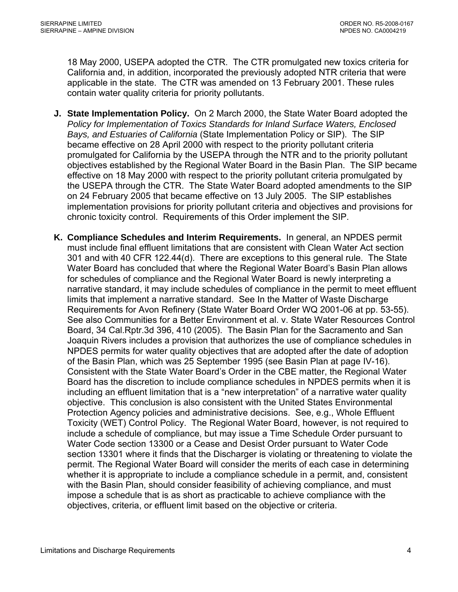18 May 2000, USEPA adopted the CTR. The CTR promulgated new toxics criteria for California and, in addition, incorporated the previously adopted NTR criteria that were applicable in the state. The CTR was amended on 13 February 2001. These rules contain water quality criteria for priority pollutants.

- **J. State Implementation Policy.** On 2 March 2000, the State Water Board adopted the *Policy for Implementation of Toxics Standards for Inland Surface Waters, Enclosed Bays, and Estuaries of California* (State Implementation Policy or SIP). The SIP became effective on 28 April 2000 with respect to the priority pollutant criteria promulgated for California by the USEPA through the NTR and to the priority pollutant objectives established by the Regional Water Board in the Basin Plan. The SIP became effective on 18 May 2000 with respect to the priority pollutant criteria promulgated by the USEPA through the CTR. The State Water Board adopted amendments to the SIP on 24 February 2005 that became effective on 13 July 2005. The SIP establishes implementation provisions for priority pollutant criteria and objectives and provisions for chronic toxicity control. Requirements of this Order implement the SIP.
- **K. Compliance Schedules and Interim Requirements.** In general, an NPDES permit must include final effluent limitations that are consistent with Clean Water Act section 301 and with 40 CFR 122.44(d). There are exceptions to this general rule. The State Water Board has concluded that where the Regional Water Board's Basin Plan allows for schedules of compliance and the Regional Water Board is newly interpreting a narrative standard, it may include schedules of compliance in the permit to meet effluent limits that implement a narrative standard. See In the Matter of Waste Discharge Requirements for Avon Refinery (State Water Board Order WQ 2001-06 at pp. 53-55). See also Communities for a Better Environment et al. v. State Water Resources Control Board, 34 Cal.Rptr.3d 396, 410 (2005). The Basin Plan for the Sacramento and San Joaquin Rivers includes a provision that authorizes the use of compliance schedules in NPDES permits for water quality objectives that are adopted after the date of adoption of the Basin Plan, which was 25 September 1995 (see Basin Plan at page IV-16). Consistent with the State Water Board's Order in the CBE matter, the Regional Water Board has the discretion to include compliance schedules in NPDES permits when it is including an effluent limitation that is a "new interpretation" of a narrative water quality objective. This conclusion is also consistent with the United States Environmental Protection Agency policies and administrative decisions. See, e.g., Whole Effluent Toxicity (WET) Control Policy. The Regional Water Board, however, is not required to include a schedule of compliance, but may issue a Time Schedule Order pursuant to Water Code section 13300 or a Cease and Desist Order pursuant to Water Code section 13301 where it finds that the Discharger is violating or threatening to violate the permit. The Regional Water Board will consider the merits of each case in determining whether it is appropriate to include a compliance schedule in a permit, and, consistent with the Basin Plan, should consider feasibility of achieving compliance, and must impose a schedule that is as short as practicable to achieve compliance with the objectives, criteria, or effluent limit based on the objective or criteria.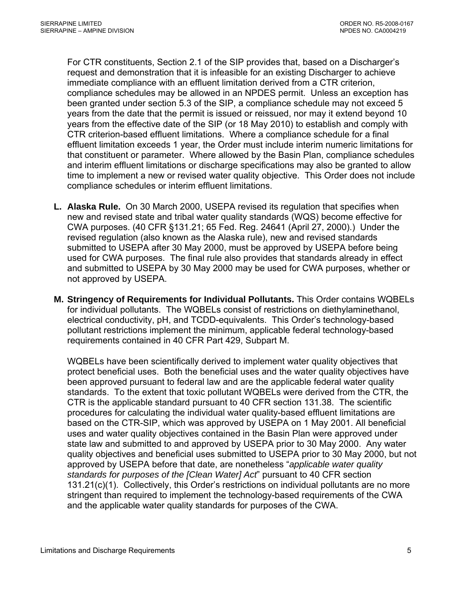For CTR constituents, Section 2.1 of the SIP provides that, based on a Discharger's request and demonstration that it is infeasible for an existing Discharger to achieve immediate compliance with an effluent limitation derived from a CTR criterion, compliance schedules may be allowed in an NPDES permit. Unless an exception has been granted under section 5.3 of the SIP, a compliance schedule may not exceed 5 years from the date that the permit is issued or reissued, nor may it extend beyond 10 years from the effective date of the SIP (or 18 May 2010) to establish and comply with CTR criterion-based effluent limitations. Where a compliance schedule for a final effluent limitation exceeds 1 year, the Order must include interim numeric limitations for that constituent or parameter. Where allowed by the Basin Plan, compliance schedules and interim effluent limitations or discharge specifications may also be granted to allow time to implement a new or revised water quality objective. This Order does not include compliance schedules or interim effluent limitations.

- **L. Alaska Rule.** On 30 March 2000, USEPA revised its regulation that specifies when new and revised state and tribal water quality standards (WQS) become effective for CWA purposes. (40 CFR §131.21; 65 Fed. Reg. 24641 (April 27, 2000).) Under the revised regulation (also known as the Alaska rule), new and revised standards submitted to USEPA after 30 May 2000, must be approved by USEPA before being used for CWA purposes. The final rule also provides that standards already in effect and submitted to USEPA by 30 May 2000 may be used for CWA purposes, whether or not approved by USEPA.
- **M. Stringency of Requirements for Individual Pollutants.** This Order contains WQBELs for individual pollutants. The WQBELs consist of restrictions on diethylaminethanol, electrical conductivity, pH, and TCDD-equivalents. This Order's technology-based pollutant restrictions implement the minimum, applicable federal technology-based requirements contained in 40 CFR Part 429, Subpart M.

WQBELs have been scientifically derived to implement water quality objectives that protect beneficial uses. Both the beneficial uses and the water quality objectives have been approved pursuant to federal law and are the applicable federal water quality standards. To the extent that toxic pollutant WQBELs were derived from the CTR, the CTR is the applicable standard pursuant to 40 CFR section 131.38. The scientific procedures for calculating the individual water quality-based effluent limitations are based on the CTR-SIP, which was approved by USEPA on 1 May 2001. All beneficial uses and water quality objectives contained in the Basin Plan were approved under state law and submitted to and approved by USEPA prior to 30 May 2000. Any water quality objectives and beneficial uses submitted to USEPA prior to 30 May 2000, but not approved by USEPA before that date, are nonetheless "*applicable water quality standards for purposes of the [Clean Water] Act*" pursuant to 40 CFR section 131.21(c)(1). Collectively, this Order's restrictions on individual pollutants are no more stringent than required to implement the technology-based requirements of the CWA and the applicable water quality standards for purposes of the CWA.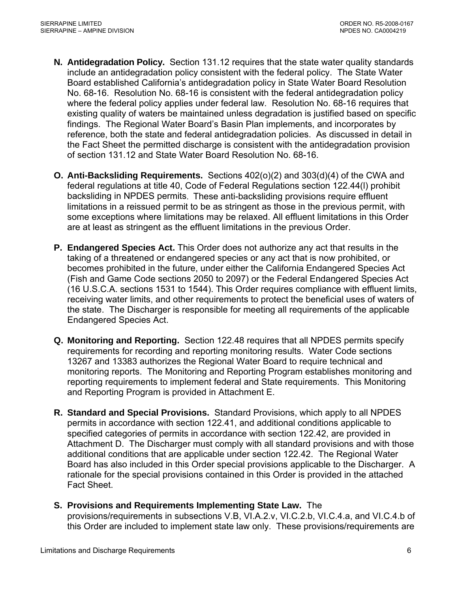- **N. Antidegradation Policy.** Section 131.12 requires that the state water quality standards include an antidegradation policy consistent with the federal policy. The State Water Board established California's antidegradation policy in State Water Board Resolution No. 68-16. Resolution No. 68-16 is consistent with the federal antidegradation policy where the federal policy applies under federal law. Resolution No. 68-16 requires that existing quality of waters be maintained unless degradation is justified based on specific findings. The Regional Water Board's Basin Plan implements, and incorporates by reference, both the state and federal antidegradation policies. As discussed in detail in the Fact Sheet the permitted discharge is consistent with the antidegradation provision of section 131.12 and State Water Board Resolution No. 68-16.
- **O. Anti-Backsliding Requirements.** Sections 402(o)(2) and 303(d)(4) of the CWA and federal regulations at title 40, Code of Federal Regulations section 122.44(l) prohibit backsliding in NPDES permits. These anti-backsliding provisions require effluent limitations in a reissued permit to be as stringent as those in the previous permit, with some exceptions where limitations may be relaxed. All effluent limitations in this Order are at least as stringent as the effluent limitations in the previous Order.
- **P. Endangered Species Act.** This Order does not authorize any act that results in the taking of a threatened or endangered species or any act that is now prohibited, or becomes prohibited in the future, under either the California Endangered Species Act (Fish and Game Code sections 2050 to 2097) or the Federal Endangered Species Act (16 U.S.C.A. sections 1531 to 1544). This Order requires compliance with effluent limits, receiving water limits, and other requirements to protect the beneficial uses of waters of the state. The Discharger is responsible for meeting all requirements of the applicable Endangered Species Act.
- **Q. Monitoring and Reporting.** Section 122.48 requires that all NPDES permits specify requirements for recording and reporting monitoring results. Water Code sections 13267 and 13383 authorizes the Regional Water Board to require technical and monitoring reports. The Monitoring and Reporting Program establishes monitoring and reporting requirements to implement federal and State requirements. This Monitoring and Reporting Program is provided in Attachment E.
- **R. Standard and Special Provisions.** Standard Provisions, which apply to all NPDES permits in accordance with section 122.41, and additional conditions applicable to specified categories of permits in accordance with section 122.42, are provided in Attachment D. The Discharger must comply with all standard provisions and with those additional conditions that are applicable under section 122.42. The Regional Water Board has also included in this Order special provisions applicable to the Discharger. A rationale for the special provisions contained in this Order is provided in the attached Fact Sheet.

# **S. Provisions and Requirements Implementing State Law.** The

provisions/requirements in subsections V.B, VI.A.2.v, VI.C.2.b, VI.C.4.a, and VI.C.4.b of this Order are included to implement state law only. These provisions/requirements are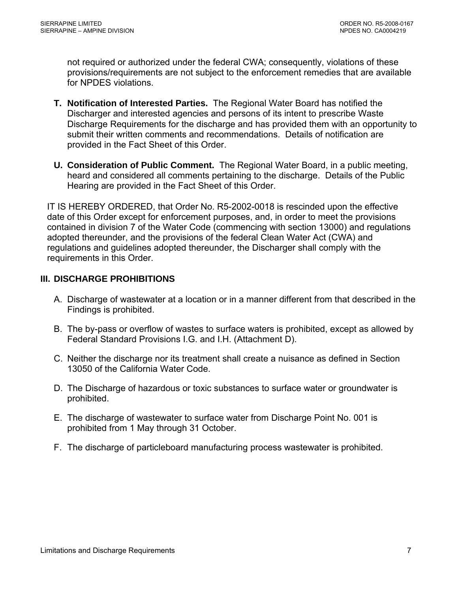<span id="page-8-0"></span>not required or authorized under the federal CWA; consequently, violations of these provisions/requirements are not subject to the enforcement remedies that are available for NPDES violations.

- **T. Notification of Interested Parties.** The Regional Water Board has notified the Discharger and interested agencies and persons of its intent to prescribe Waste Discharge Requirements for the discharge and has provided them with an opportunity to submit their written comments and recommendations. Details of notification are provided in the Fact Sheet of this Order.
- **U. Consideration of Public Comment.** The Regional Water Board, in a public meeting, heard and considered all comments pertaining to the discharge. Details of the Public Hearing are provided in the Fact Sheet of this Order.

IT IS HEREBY ORDERED, that Order No. R5-2002-0018 is rescinded upon the effective date of this Order except for enforcement purposes, and, in order to meet the provisions contained in division 7 of the Water Code (commencing with section 13000) and regulations adopted thereunder, and the provisions of the federal Clean Water Act (CWA) and regulations and guidelines adopted thereunder, the Discharger shall comply with the requirements in this Order.

# **III. DISCHARGE PROHIBITIONS**

- A. Discharge of wastewater at a location or in a manner different from that described in the Findings is prohibited.
- B. The by-pass or overflow of wastes to surface waters is prohibited, except as allowed by Federal Standard Provisions [I.G.](#page-32-0) and [I.H.](#page-33-0) (Attachment D).
- C. Neither the discharge nor its treatment shall create a nuisance as defined in Section 13050 of the California Water Code.
- D. The Discharge of hazardous or toxic substances to surface water or groundwater is prohibited.
- E. The discharge of wastewater to surface water from Discharge Point No. 001 is prohibited from 1 May through 31 October.
- F. The discharge of particleboard manufacturing process wastewater is prohibited.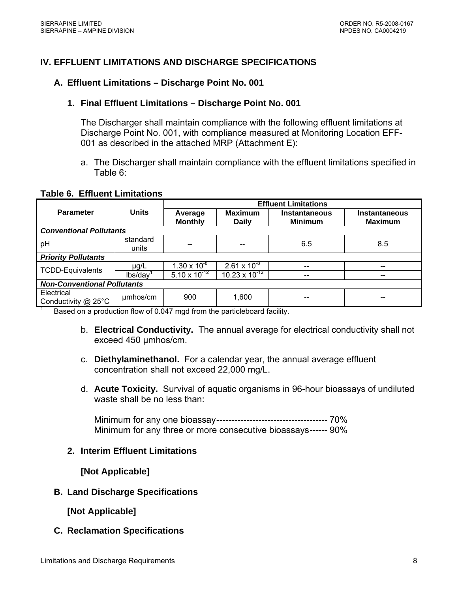# <span id="page-9-0"></span>**IV. EFFLUENT LIMITATIONS AND DISCHARGE SPECIFICATIONS**

### **A. Effluent Limitations – Discharge Point No. 001**

### **1. Final Effluent Limitations – Discharge Point No. 001**

The Discharger shall maintain compliance with the following effluent limitations at Discharge Point No. 001, with compliance measured at Monitoring Location EFF-001 as described in the attached MRP (Attachment E):

a. The Discharger shall maintain compliance with the effluent limitations specified in Table 6:

### **Table 6. Effluent Limitations**

|                                    |                                | <b>Effluent Limitations</b> |                                |                                        |                                        |  |
|------------------------------------|--------------------------------|-----------------------------|--------------------------------|----------------------------------------|----------------------------------------|--|
| <b>Parameter</b>                   | <b>Units</b>                   | Average<br><b>Monthly</b>   | <b>Maximum</b><br><b>Daily</b> | <b>Instantaneous</b><br><b>Minimum</b> | <b>Instantaneous</b><br><b>Maximum</b> |  |
|                                    | <b>Conventional Pollutants</b> |                             |                                |                                        |                                        |  |
| pH                                 | standard<br>units              |                             |                                | 6.5                                    | 8.5                                    |  |
| <b>Priority Pollutants</b>         |                                |                             |                                |                                        |                                        |  |
| <b>TCDD-Equivalents</b>            | $\mu$ g/L                      | $1.30 \times 10^{-8}$       | $2.61 \times 10^{-8}$          | --                                     |                                        |  |
|                                    | lbs/day                        | $5.10 \times 10^{-12}$      | $10.23 \times 10^{-12}$        | --                                     |                                        |  |
| <b>Non-Conventional Pollutants</b> |                                |                             |                                |                                        |                                        |  |
| Electrical<br>Conductivity @ 25°C  | umhos/cm                       | 900                         | 1,600                          | --                                     | --                                     |  |

Based on a production flow of 0.047 mgd from the particleboard facility.

- b. **Electrical Conductivity.** The annual average for electrical conductivity shall not exceed 450 µmhos/cm.
- c. **Diethylaminethanol.** For a calendar year, the annual average effluent concentration shall not exceed 22,000 mg/L.
- d. **Acute Toxicity.** Survival of aquatic organisms in 96-hour bioassays of undiluted waste shall be no less than:

Minimum for any one bioassay------------------------------------- 70% Minimum for any three or more consecutive bioassays------ 90%

### **2. Interim Effluent Limitations**

**[Not Applicable]** 

### **B. Land Discharge Specifications**

**[Not Applicable]** 

### **C. Reclamation Specifications**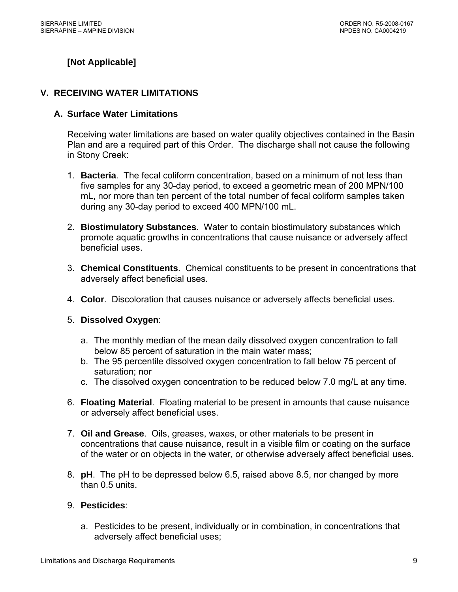# <span id="page-10-0"></span>**[Not Applicable]**

### **V. RECEIVING WATER LIMITATIONS**

### **A. Surface Water Limitations**

Receiving water limitations are based on water quality objectives contained in the Basin Plan and are a required part of this Order. The discharge shall not cause the following in Stony Creek:

- 1. **Bacteria**. The fecal coliform concentration, based on a minimum of not less than five samples for any 30-day period, to exceed a geometric mean of 200 MPN/100 mL, nor more than ten percent of the total number of fecal coliform samples taken during any 30-day period to exceed 400 MPN/100 mL.
- 2. **Biostimulatory Substances**. Water to contain biostimulatory substances which promote aquatic growths in concentrations that cause nuisance or adversely affect beneficial uses.
- 3. **Chemical Constituents**. Chemical constituents to be present in concentrations that adversely affect beneficial uses.
- 4. **Color**. Discoloration that causes nuisance or adversely affects beneficial uses.
- 5. **Dissolved Oxygen**:
	- a. The monthly median of the mean daily dissolved oxygen concentration to fall below 85 percent of saturation in the main water mass;
	- b. The 95 percentile dissolved oxygen concentration to fall below 75 percent of saturation; nor
	- c. The dissolved oxygen concentration to be reduced below 7.0 mg/L at any time.
- 6. **Floating Material**. Floating material to be present in amounts that cause nuisance or adversely affect beneficial uses.
- 7. **Oil and Grease**. Oils, greases, waxes, or other materials to be present in concentrations that cause nuisance, result in a visible film or coating on the surface of the water or on objects in the water, or otherwise adversely affect beneficial uses.
- 8. **pH**. The pH to be depressed below 6.5, raised above 8.5, nor changed by more than 0.5 units.

### 9. **Pesticides**:

a. Pesticides to be present, individually or in combination, in concentrations that adversely affect beneficial uses;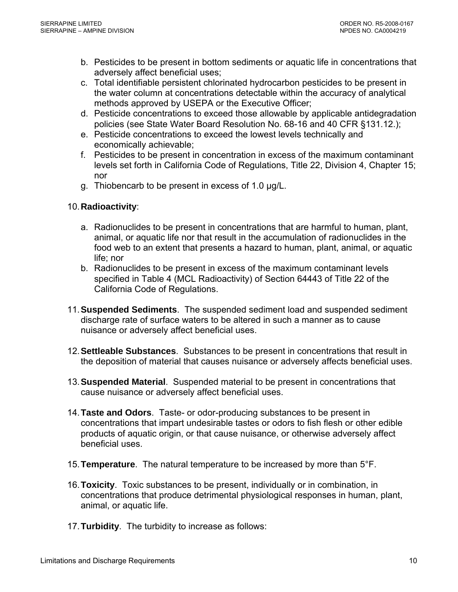- b. Pesticides to be present in bottom sediments or aquatic life in concentrations that adversely affect beneficial uses;
- c. Total identifiable persistent chlorinated hydrocarbon pesticides to be present in the water column at concentrations detectable within the accuracy of analytical methods approved by USEPA or the Executive Officer;
- d. Pesticide concentrations to exceed those allowable by applicable antidegradation policies (see State Water Board Resolution No. 68-16 and 40 CFR §131.12.);
- e. Pesticide concentrations to exceed the lowest levels technically and economically achievable;
- f. Pesticides to be present in concentration in excess of the maximum contaminant levels set forth in California Code of Regulations, Title 22, Division 4, Chapter 15; nor
- g. Thiobencarb to be present in excess of 1.0 µg/L.

## 10. **Radioactivity**:

- a. Radionuclides to be present in concentrations that are harmful to human, plant, animal, or aquatic life nor that result in the accumulation of radionuclides in the food web to an extent that presents a hazard to human, plant, animal, or aquatic life; nor
- b. Radionuclides to be present in excess of the maximum contaminant levels specified in Table 4 (MCL Radioactivity) of Section 64443 of Title 22 of the California Code of Regulations.
- 11. **Suspended Sediments**. The suspended sediment load and suspended sediment discharge rate of surface waters to be altered in such a manner as to cause nuisance or adversely affect beneficial uses.
- 12.**Settleable Substances**. Substances to be present in concentrations that result in the deposition of material that causes nuisance or adversely affects beneficial uses.
- 13.**Suspended Material**. Suspended material to be present in concentrations that cause nuisance or adversely affect beneficial uses.
- 14.**Taste and Odors**. Taste- or odor-producing substances to be present in concentrations that impart undesirable tastes or odors to fish flesh or other edible products of aquatic origin, or that cause nuisance, or otherwise adversely affect beneficial uses.
- 15.**Temperature**. The natural temperature to be increased by more than 5°F.
- 16.**Toxicity**. Toxic substances to be present, individually or in combination, in concentrations that produce detrimental physiological responses in human, plant, animal, or aquatic life.
- 17.**Turbidity**. The turbidity to increase as follows: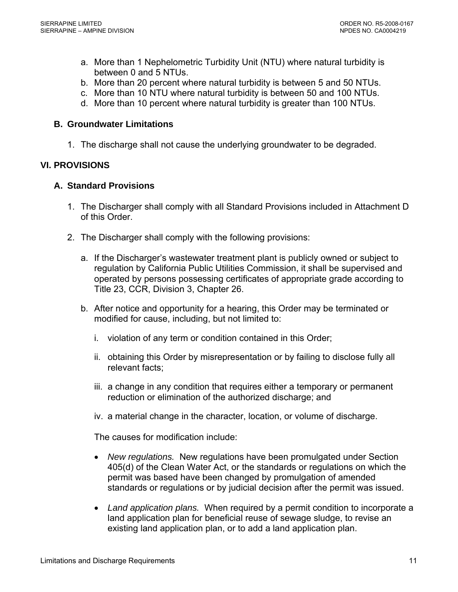- <span id="page-12-0"></span>a. More than 1 Nephelometric Turbidity Unit (NTU) where natural turbidity is between 0 and 5 NTUs.
- b. More than 20 percent where natural turbidity is between 5 and 50 NTUs.
- c. More than 10 NTU where natural turbidity is between 50 and 100 NTUs.
- d. More than 10 percent where natural turbidity is greater than 100 NTUs.

### **B. Groundwater Limitations**

1. The discharge shall not cause the underlying groundwater to be degraded.

## **VI. PROVISIONS**

### **A. Standard Provisions**

- 1. The Discharger shall comply with all Standard Provisions included in Attachment D of this Order.
- 2. The Discharger shall comply with the following provisions:
	- a. If the Discharger's wastewater treatment plant is publicly owned or subject to regulation by California Public Utilities Commission, it shall be supervised and operated by persons possessing certificates of appropriate grade according to Title 23, CCR, Division 3, Chapter 26.
	- b. After notice and opportunity for a hearing, this Order may be terminated or modified for cause, including, but not limited to:
		- i. violation of any term or condition contained in this Order;
		- ii. obtaining this Order by misrepresentation or by failing to disclose fully all relevant facts;
		- iii. a change in any condition that requires either a temporary or permanent reduction or elimination of the authorized discharge; and
		- iv. a material change in the character, location, or volume of discharge.

The causes for modification include:

- *New regulations.* New regulations have been promulgated under Section 405(d) of the Clean Water Act, or the standards or regulations on which the permit was based have been changed by promulgation of amended standards or regulations or by judicial decision after the permit was issued.
- *Land application plans.* When required by a permit condition to incorporate a land application plan for beneficial reuse of sewage sludge, to revise an existing land application plan, or to add a land application plan.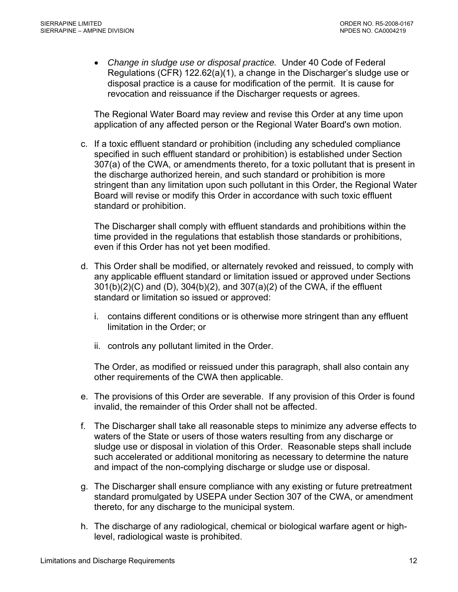• *Change in sludge use or disposal practice.* Under 40 Code of Federal Regulations (CFR) 122.62(a)(1), a change in the Discharger's sludge use or disposal practice is a cause for modification of the permit. It is cause for revocation and reissuance if the Discharger requests or agrees.

The Regional Water Board may review and revise this Order at any time upon application of any affected person or the Regional Water Board's own motion.

c. If a toxic effluent standard or prohibition (including any scheduled compliance specified in such effluent standard or prohibition) is established under Section 307(a) of the CWA, or amendments thereto, for a toxic pollutant that is present in the discharge authorized herein, and such standard or prohibition is more stringent than any limitation upon such pollutant in this Order, the Regional Water Board will revise or modify this Order in accordance with such toxic effluent standard or prohibition.

The Discharger shall comply with effluent standards and prohibitions within the time provided in the regulations that establish those standards or prohibitions, even if this Order has not yet been modified.

- d. This Order shall be modified, or alternately revoked and reissued, to comply with any applicable effluent standard or limitation issued or approved under Sections 301(b)(2)(C) and (D), 304(b)(2), and 307(a)(2) of the CWA, if the effluent standard or limitation so issued or approved:
	- i. contains different conditions or is otherwise more stringent than any effluent limitation in the Order; or
	- ii. controls any pollutant limited in the Order.

The Order, as modified or reissued under this paragraph, shall also contain any other requirements of the CWA then applicable.

- e. The provisions of this Order are severable. If any provision of this Order is found invalid, the remainder of this Order shall not be affected.
- f. The Discharger shall take all reasonable steps to minimize any adverse effects to waters of the State or users of those waters resulting from any discharge or sludge use or disposal in violation of this Order. Reasonable steps shall include such accelerated or additional monitoring as necessary to determine the nature and impact of the non-complying discharge or sludge use or disposal.
- g. The Discharger shall ensure compliance with any existing or future pretreatment standard promulgated by USEPA under Section 307 of the CWA, or amendment thereto, for any discharge to the municipal system.
- h. The discharge of any radiological, chemical or biological warfare agent or highlevel, radiological waste is prohibited.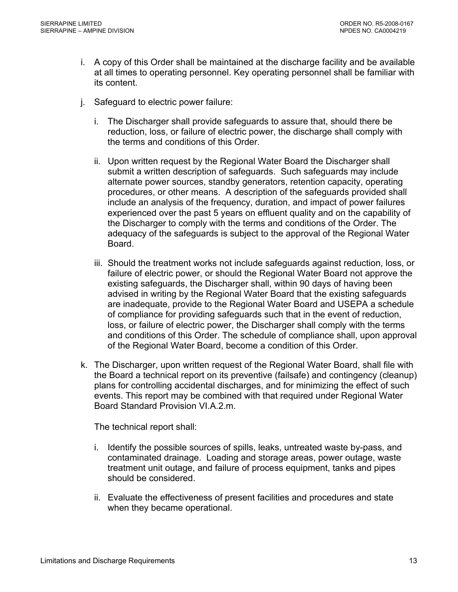- i. A copy of this Order shall be maintained at the discharge facility and be available at all times to operating personnel. Key operating personnel shall be familiar with its content.
- j. Safeguard to electric power failure:
	- i. The Discharger shall provide safeguards to assure that, should there be reduction, loss, or failure of electric power, the discharge shall comply with the terms and conditions of this Order.
	- ii. Upon written request by the Regional Water Board the Discharger shall submit a written description of safeguards. Such safeguards may include alternate power sources, standby generators, retention capacity, operating procedures, or other means. A description of the safeguards provided shall include an analysis of the frequency, duration, and impact of power failures experienced over the past 5 years on effluent quality and on the capability of the Discharger to comply with the terms and conditions of the Order. The adequacy of the safeguards is subject to the approval of the Regional Water Board.
	- iii. Should the treatment works not include safeguards against reduction, loss, or failure of electric power, or should the Regional Water Board not approve the existing safeguards, the Discharger shall, within 90 days of having been advised in writing by the Regional Water Board that the existing safeguards are inadequate, provide to the Regional Water Board and USEPA a schedule of compliance for providing safeguards such that in the event of reduction, loss, or failure of electric power, the Discharger shall comply with the terms and conditions of this Order. The schedule of compliance shall, upon approval of the Regional Water Board, become a condition of this Order.
- k. The Discharger, upon written request of the Regional Water Board, shall file with the Board a technical report on its preventive (failsafe) and contingency (cleanup) plans for controlling accidental discharges, and for minimizing the effect of such events. This report may be combined with that required under Regional Water Board Standard Provision VI.A.2.m.

The technical report shall:

- i. Identify the possible sources of spills, leaks, untreated waste by-pass, and contaminated drainage. Loading and storage areas, power outage, waste treatment unit outage, and failure of process equipment, tanks and pipes should be considered.
- ii. Evaluate the effectiveness of present facilities and procedures and state when they became operational.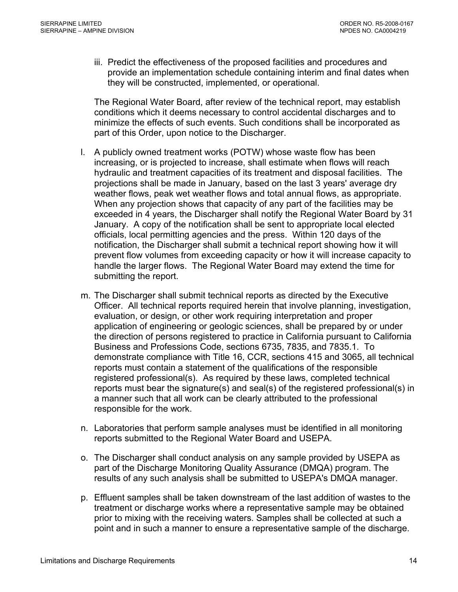iii. Predict the effectiveness of the proposed facilities and procedures and provide an implementation schedule containing interim and final dates when they will be constructed, implemented, or operational.

The Regional Water Board, after review of the technical report, may establish conditions which it deems necessary to control accidental discharges and to minimize the effects of such events. Such conditions shall be incorporated as part of this Order, upon notice to the Discharger.

- l. A publicly owned treatment works (POTW) whose waste flow has been increasing, or is projected to increase, shall estimate when flows will reach hydraulic and treatment capacities of its treatment and disposal facilities. The projections shall be made in January, based on the last 3 years' average dry weather flows, peak wet weather flows and total annual flows, as appropriate. When any projection shows that capacity of any part of the facilities may be exceeded in 4 years, the Discharger shall notify the Regional Water Board by 31 January. A copy of the notification shall be sent to appropriate local elected officials, local permitting agencies and the press. Within 120 days of the notification, the Discharger shall submit a technical report showing how it will prevent flow volumes from exceeding capacity or how it will increase capacity to handle the larger flows. The Regional Water Board may extend the time for submitting the report.
- m. The Discharger shall submit technical reports as directed by the Executive Officer. All technical reports required herein that involve planning, investigation, evaluation, or design, or other work requiring interpretation and proper application of engineering or geologic sciences, shall be prepared by or under the direction of persons registered to practice in California pursuant to California Business and Professions Code, sections 6735, 7835, and 7835.1. To demonstrate compliance with Title 16, CCR, sections 415 and 3065, all technical reports must contain a statement of the qualifications of the responsible registered professional(s). As required by these laws, completed technical reports must bear the signature(s) and seal(s) of the registered professional(s) in a manner such that all work can be clearly attributed to the professional responsible for the work.
- n. Laboratories that perform sample analyses must be identified in all monitoring reports submitted to the Regional Water Board and USEPA.
- o. The Discharger shall conduct analysis on any sample provided by USEPA as part of the Discharge Monitoring Quality Assurance (DMQA) program. The results of any such analysis shall be submitted to USEPA's DMQA manager.
- p. Effluent samples shall be taken downstream of the last addition of wastes to the treatment or discharge works where a representative sample may be obtained prior to mixing with the receiving waters. Samples shall be collected at such a point and in such a manner to ensure a representative sample of the discharge.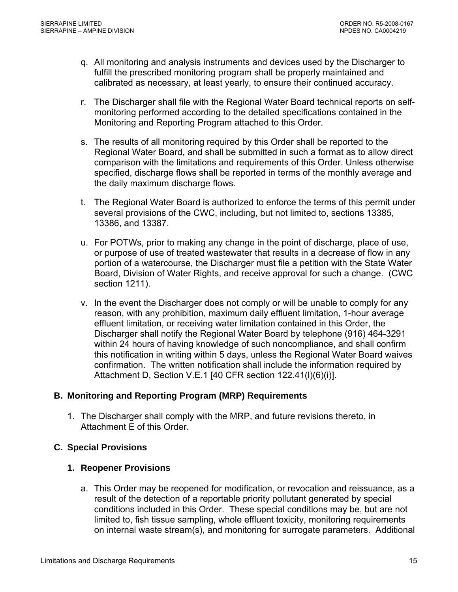- <span id="page-16-0"></span>q. All monitoring and analysis instruments and devices used by the Discharger to fulfill the prescribed monitoring program shall be properly maintained and calibrated as necessary, at least yearly, to ensure their continued accuracy.
- r. The Discharger shall file with the Regional Water Board technical reports on selfmonitoring performed according to the detailed specifications contained in the Monitoring and Reporting Program attached to this Order.
- s. The results of all monitoring required by this Order shall be reported to the Regional Water Board, and shall be submitted in such a format as to allow direct comparison with the limitations and requirements of this Order. Unless otherwise specified, discharge flows shall be reported in terms of the monthly average and the daily maximum discharge flows.
- t. The Regional Water Board is authorized to enforce the terms of this permit under several provisions of the CWC, including, but not limited to, sections 13385, 13386, and 13387.
- u. For POTWs, prior to making any change in the point of discharge, place of use, or purpose of use of treated wastewater that results in a decrease of flow in any portion of a watercourse, the Discharger must file a petition with the State Water Board, Division of Water Rights, and receive approval for such a change. (CWC section 1211).
- v. In the event the Discharger does not comply or will be unable to comply for any reason, with any prohibition, maximum daily effluent limitation, 1-hour average effluent limitation, or receiving water limitation contained in this Order, the Discharger shall notify the Regional Water Board by telephone (916) 464-3291 within 24 hours of having knowledge of such noncompliance, and shall confirm this notification in writing within 5 days, unless the Regional Water Board waives confirmation. The written notification shall include the information required by [Attachment D, Section V.E.1](#page-0-0) [40 CFR section 122.41(l)(6)(i)].

### **B. Monitoring and Reporting Program (MRP) Requirements**

1. The Discharger shall comply with the MRP, and future revisions thereto, in Attachment E of this Order.

# **C. Special Provisions**

# **1. Reopener Provisions**

a. This Order may be reopened for modification, or revocation and reissuance, as a result of the detection of a reportable priority pollutant generated by special conditions included in this Order. These special conditions may be, but are not limited to, fish tissue sampling, whole effluent toxicity, monitoring requirements on internal waste stream(s), and monitoring for surrogate parameters. Additional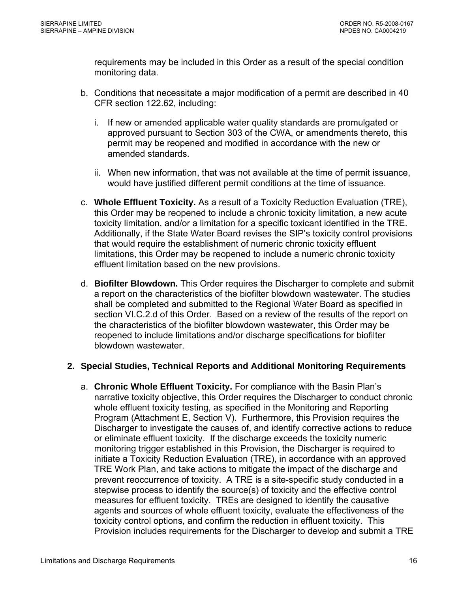<span id="page-17-0"></span>requirements may be included in this Order as a result of the special condition monitoring data.

- b. Conditions that necessitate a major modification of a permit are described in 40 CFR section 122.62, including:
	- i. If new or amended applicable water quality standards are promulgated or approved pursuant to Section 303 of the CWA, or amendments thereto, this permit may be reopened and modified in accordance with the new or amended standards.
	- ii. When new information, that was not available at the time of permit issuance, would have justified different permit conditions at the time of issuance.
- c. **Whole Effluent Toxicity.** As a result of a Toxicity Reduction Evaluation (TRE), this Order may be reopened to include a chronic toxicity limitation, a new acute toxicity limitation, and/or a limitation for a specific toxicant identified in the TRE. Additionally, if the State Water Board revises the SIP's toxicity control provisions that would require the establishment of numeric chronic toxicity effluent limitations, this Order may be reopened to include a numeric chronic toxicity effluent limitation based on the new provisions.
- d. **Biofilter Blowdown.** This Order requires the Discharger to complete and submit a report on the characteristics of the biofilter blowdown wastewater. The studies shall be completed and submitted to the Regional Water Board as specified in section VI.C.2.d of this Order. Based on a review of the results of the report on the characteristics of the biofilter blowdown wastewater, this Order may be reopened to include limitations and/or discharge specifications for biofilter blowdown wastewater.

# **2. Special Studies, Technical Reports and Additional Monitoring Requirements**

a. **Chronic Whole Effluent Toxicity.** For compliance with the Basin Plan's narrative toxicity objective, this Order requires the Discharger to conduct chronic whole effluent toxicity testing, as specified in the Monitoring and Reporting Program (Attachment E, Section V). Furthermore, this Provision requires the Discharger to investigate the causes of, and identify corrective actions to reduce or eliminate effluent toxicity. If the discharge exceeds the toxicity numeric monitoring trigger established in this Provision, the Discharger is required to initiate a Toxicity Reduction Evaluation (TRE), in accordance with an approved TRE Work Plan, and take actions to mitigate the impact of the discharge and prevent reoccurrence of toxicity. A TRE is a site-specific study conducted in a stepwise process to identify the source(s) of toxicity and the effective control measures for effluent toxicity. TREs are designed to identify the causative agents and sources of whole effluent toxicity, evaluate the effectiveness of the toxicity control options, and confirm the reduction in effluent toxicity. This Provision includes requirements for the Discharger to develop and submit a TRE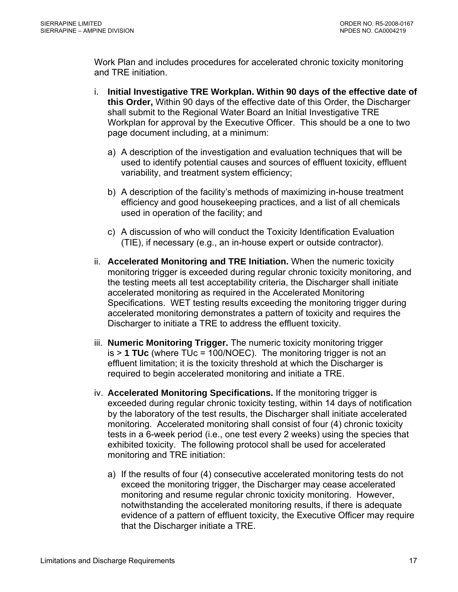Work Plan and includes procedures for accelerated chronic toxicity monitoring and TRE initiation.

- i. **Initial Investigative TRE Workplan. Within 90 days of the effective date of this Order,** Within 90 days of the effective date of this Order, the Discharger shall submit to the Regional Water Board an Initial Investigative TRE Workplan for approval by the Executive Officer. This should be a one to two page document including, at a minimum:
	- a) A description of the investigation and evaluation techniques that will be used to identify potential causes and sources of effluent toxicity, effluent variability, and treatment system efficiency;
	- b) A description of the facility's methods of maximizing in-house treatment efficiency and good housekeeping practices, and a list of all chemicals used in operation of the facility; and
	- c) A discussion of who will conduct the Toxicity Identification Evaluation (TIE), if necessary (e.g., an in-house expert or outside contractor).
- ii. **Accelerated Monitoring and TRE Initiation.** When the numeric toxicity monitoring trigger is exceeded during regular chronic toxicity monitoring, and the testing meets all test acceptability criteria, the Discharger shall initiate accelerated monitoring as required in the Accelerated Monitoring Specifications. WET testing results exceeding the monitoring trigger during accelerated monitoring demonstrates a pattern of toxicity and requires the Discharger to initiate a TRE to address the effluent toxicity.
- iii. **Numeric Monitoring Trigger.** The numeric toxicity monitoring trigger is > **1 TUc** (where TUc = 100/NOEC). The monitoring trigger is not an effluent limitation; it is the toxicity threshold at which the Discharger is required to begin accelerated monitoring and initiate a TRE.
- iv. **Accelerated Monitoring Specifications.** If the monitoring trigger is exceeded during regular chronic toxicity testing, within 14 days of notification by the laboratory of the test results, the Discharger shall initiate accelerated monitoring. Accelerated monitoring shall consist of four (4) chronic toxicity tests in a 6-week period (i.e., one test every 2 weeks) using the species that exhibited toxicity. The following protocol shall be used for accelerated monitoring and TRE initiation:
	- a) If the results of four (4) consecutive accelerated monitoring tests do not exceed the monitoring trigger, the Discharger may cease accelerated monitoring and resume regular chronic toxicity monitoring. However, notwithstanding the accelerated monitoring results, if there is adequate evidence of a pattern of effluent toxicity, the Executive Officer may require that the Discharger initiate a TRE.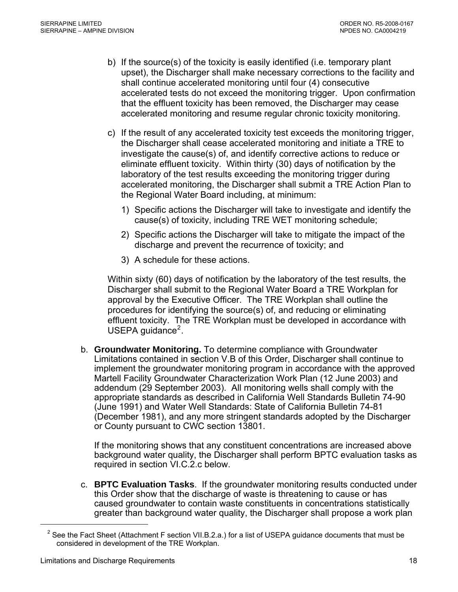- <span id="page-19-0"></span>b) If the source(s) of the toxicity is easily identified (i.e. temporary plant upset), the Discharger shall make necessary corrections to the facility and shall continue accelerated monitoring until four (4) consecutive accelerated tests do not exceed the monitoring trigger. Upon confirmation that the effluent toxicity has been removed, the Discharger may cease accelerated monitoring and resume regular chronic toxicity monitoring.
- c) If the result of any accelerated toxicity test exceeds the monitoring trigger, the Discharger shall cease accelerated monitoring and initiate a TRE to investigate the cause(s) of, and identify corrective actions to reduce or eliminate effluent toxicity. Within thirty (30) days of notification by the laboratory of the test results exceeding the monitoring trigger during accelerated monitoring, the Discharger shall submit a TRE Action Plan to the Regional Water Board including, at minimum:
	- 1) Specific actions the Discharger will take to investigate and identify the cause(s) of toxicity, including TRE WET monitoring schedule;
	- 2) Specific actions the Discharger will take to mitigate the impact of the discharge and prevent the recurrence of toxicity; and
	- 3) A schedule for these actions.

Within sixty (60) days of notification by the laboratory of the test results, the Discharger shall submit to the Regional Water Board a TRE Workplan for approval by the Executive Officer. The TRE Workplan shall outline the procedures for identifying the source(s) of, and reducing or eliminating effluent toxicity. The TRE Workplan must be developed in accordance with USEPA guidance<sup>[2](#page-19-0)</sup>.

b. **Groundwater Monitoring.** To determine compliance with Groundwater Limitations contained in section V.B of this Order, Discharger shall continue to implement the groundwater monitoring program in accordance with the approved Martell Facility Groundwater Characterization Work Plan (12 June 2003) and addendum (29 September 2003). All monitoring wells shall comply with the appropriate standards as described in California Well Standards Bulletin 74-90 (June 1991) and Water Well Standards: State of California Bulletin 74-81 (December 1981), and any more stringent standards adopted by the Discharger or County pursuant to CWC section 13801.

If the monitoring shows that any constituent concentrations are increased above background water quality, the Discharger shall perform BPTC evaluation tasks as required in section VI.C.2.c below.

c. **BPTC Evaluation Tasks**. If the groundwater monitoring results conducted under this Order show that the discharge of waste is threatening to cause or has caused groundwater to contain waste constituents in concentrations statistically greater than background water quality, the Discharger shall propose a work plan

 $\overline{a}$ 

<sup>&</sup>lt;sup>2</sup> See the Fact Sheet (Attachment F section VII.B.2.a.) for a list of USEPA guidance documents that must be considered in development of the TRE Workplan.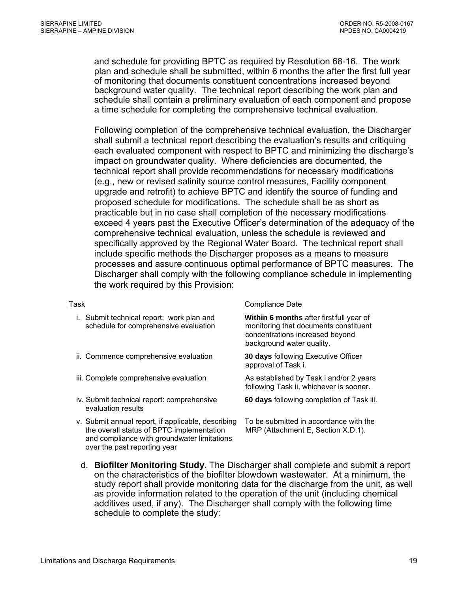and schedule for providing BPTC as required by Resolution 68-16. The work plan and schedule shall be submitted, within 6 months the after the first full year of monitoring that documents constituent concentrations increased beyond background water quality. The technical report describing the work plan and schedule shall contain a preliminary evaluation of each component and propose a time schedule for completing the comprehensive technical evaluation.

Following completion of the comprehensive technical evaluation, the Discharger shall submit a technical report describing the evaluation's results and critiquing each evaluated component with respect to BPTC and minimizing the discharge's impact on groundwater quality. Where deficiencies are documented, the technical report shall provide recommendations for necessary modifications (e.g., new or revised salinity source control measures, Facility component upgrade and retrofit) to achieve BPTC and identify the source of funding and proposed schedule for modifications. The schedule shall be as short as practicable but in no case shall completion of the necessary modifications exceed 4 years past the Executive Officer's determination of the adequacy of the comprehensive technical evaluation, unless the schedule is reviewed and specifically approved by the Regional Water Board. The technical report shall include specific methods the Discharger proposes as a means to measure processes and assure continuous optimal performance of BPTC measures. The Discharger shall comply with the following compliance schedule in implementing the work required by this Provision:

### Task Compliance Date

| i. Submit technical report: work plan and<br>schedule for comprehensive evaluation              | Within 6 months after first full year of<br>monitoring that documents constituent<br>concentrations increased beyond<br>background water quality. |
|-------------------------------------------------------------------------------------------------|---------------------------------------------------------------------------------------------------------------------------------------------------|
| ii. Commence comprehensive evaluation                                                           | <b>30 days following Executive Officer</b><br>approval of Task i.                                                                                 |
| iii. Complete comprehensive evaluation                                                          | As established by Task i and/or 2 years<br>following Task ii, whichever is sooner.                                                                |
| iv. Submit technical report: comprehensive<br>evaluation results                                | 60 days following completion of Task iii.                                                                                                         |
| v. Submit annual report, if applicable, describing<br>the overall status of BPTC implementation | To be submitted in accordance with the<br>MRP (Attachment E, Section X.D.1).                                                                      |

d. **Biofilter Monitoring Study.** The Discharger shall complete and submit a report on the characteristics of the biofilter blowdown wastewater. At a minimum, the study report shall provide monitoring data for the discharge from the unit, as well as provide information related to the operation of the unit (including chemical additives used, if any). The Discharger shall comply with the following time schedule to complete the study:

and compliance with groundwater limitations

over the past reporting year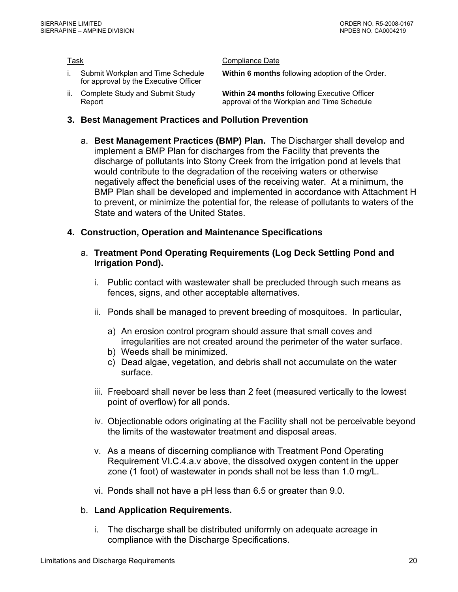- i. Submit Workplan and Time Schedule for approval by the Executive Officer
- ii. Complete Study and Submit Study Report

<span id="page-21-0"></span>Task **Compliance** Date

- **Within 6 months** following adoption of the Order.
- **Within 24 months** following Executive Officer approval of the Workplan and Time Schedule
- **3. Best Management Practices and Pollution Prevention** 
	- a. **Best Management Practices (BMP) Plan.** The Discharger shall develop and implement a BMP Plan for discharges from the Facility that prevents the discharge of pollutants into Stony Creek from the irrigation pond at levels that would contribute to the degradation of the receiving waters or otherwise negatively affect the beneficial uses of the receiving water. At a minimum, the BMP Plan shall be developed and implemented in accordance with Attachment H to prevent, or minimize the potential for, the release of pollutants to waters of the State and waters of the United States.

## **4. Construction, Operation and Maintenance Specifications**

- a. **Treatment Pond Operating Requirements (Log Deck Settling Pond and Irrigation Pond).**
	- i. Public contact with wastewater shall be precluded through such means as fences, signs, and other acceptable alternatives.
	- ii. Ponds shall be managed to prevent breeding of mosquitoes. In particular,
		- a) An erosion control program should assure that small coves and irregularities are not created around the perimeter of the water surface.
		- b) Weeds shall be minimized.
		- c) Dead algae, vegetation, and debris shall not accumulate on the water surface.
	- iii. Freeboard shall never be less than 2 feet (measured vertically to the lowest point of overflow) for all ponds.
	- iv. Objectionable odors originating at the Facility shall not be perceivable beyond the limits of the wastewater treatment and disposal areas.
	- v. As a means of discerning compliance with Treatment Pond Operating Requirement VI.C.4.a.v above, the dissolved oxygen content in the upper zone (1 foot) of wastewater in ponds shall not be less than 1.0 mg/L.
	- vi. Ponds shall not have a pH less than 6.5 or greater than 9.0.

# b. **Land Application Requirements.**

i. The discharge shall be distributed uniformly on adequate acreage in compliance with the Discharge Specifications.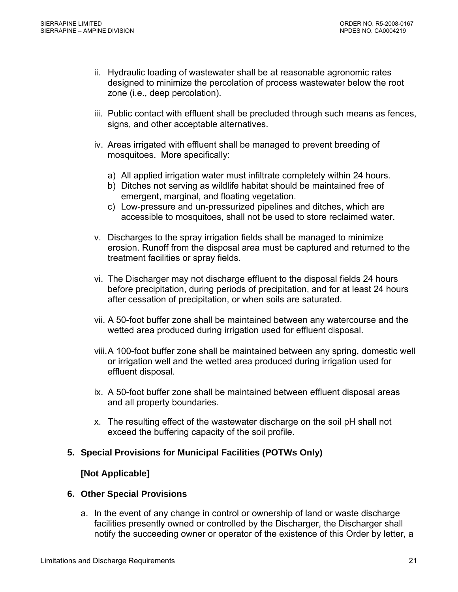- <span id="page-22-0"></span>ii. Hydraulic loading of wastewater shall be at reasonable agronomic rates designed to minimize the percolation of process wastewater below the root zone (i.e., deep percolation).
- iii. Public contact with effluent shall be precluded through such means as fences, signs, and other acceptable alternatives.
- iv. Areas irrigated with effluent shall be managed to prevent breeding of mosquitoes. More specifically:
	- a) All applied irrigation water must infiltrate completely within 24 hours.
	- b) Ditches not serving as wildlife habitat should be maintained free of emergent, marginal, and floating vegetation.
	- c) Low-pressure and un-pressurized pipelines and ditches, which are accessible to mosquitoes, shall not be used to store reclaimed water.
- v. Discharges to the spray irrigation fields shall be managed to minimize erosion. Runoff from the disposal area must be captured and returned to the treatment facilities or spray fields.
- vi. The Discharger may not discharge effluent to the disposal fields 24 hours before precipitation, during periods of precipitation, and for at least 24 hours after cessation of precipitation, or when soils are saturated.
- vii. A 50-foot buffer zone shall be maintained between any watercourse and the wetted area produced during irrigation used for effluent disposal.
- viii. A 100-foot buffer zone shall be maintained between any spring, domestic well or irrigation well and the wetted area produced during irrigation used for effluent disposal.
- ix. A 50-foot buffer zone shall be maintained between effluent disposal areas and all property boundaries.
- x. The resulting effect of the wastewater discharge on the soil pH shall not exceed the buffering capacity of the soil profile.

### **5. Special Provisions for Municipal Facilities (POTWs Only)**

### **[Not Applicable]**

### **6. Other Special Provisions**

a. In the event of any change in control or ownership of land or waste discharge facilities presently owned or controlled by the Discharger, the Discharger shall notify the succeeding owner or operator of the existence of this Order by letter, a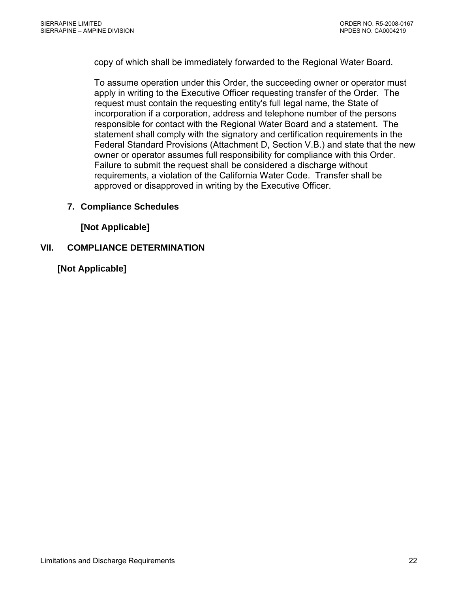<span id="page-23-0"></span>copy of which shall be immediately forwarded to the Regional Water Board.

To assume operation under this Order, the succeeding owner or operator must apply in writing to the Executive Officer requesting transfer of the Order. The request must contain the requesting entity's full legal name, the State of incorporation if a corporation, address and telephone number of the persons responsible for contact with the Regional Water Board and a statement. The statement shall comply with the signatory and certification requirements in the Federal Standard Provisions (Attachment D, Section V.B.) and state that the new owner or operator assumes full responsibility for compliance with this Order. Failure to submit the request shall be considered a discharge without requirements, a violation of the California Water Code. Transfer shall be approved or disapproved in writing by the Executive Officer.

## **7. Compliance Schedules**

**[Not Applicable]** 

## **VII. COMPLIANCE DETERMINATION**

**[Not Applicable]**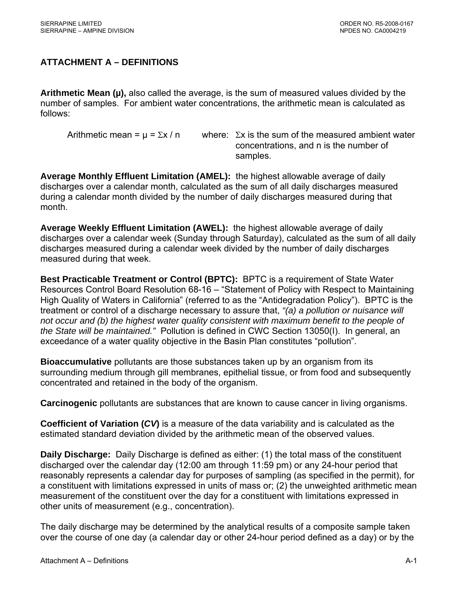# <span id="page-24-0"></span>**ATTACHMENT A – DEFINITIONS**

**Arithmetic Mean (µ),** also called the average, is the sum of measured values divided by the number of samples. For ambient water concentrations, the arithmetic mean is calculated as follows:

Arithmetic mean =  $\mu$  =  $\Sigma x / n$  where:  $\Sigma x$  is the sum of the measured ambient water concentrations, and n is the number of samples.

**Average Monthly Effluent Limitation (AMEL):** the highest allowable average of daily discharges over a calendar month, calculated as the sum of all daily discharges measured during a calendar month divided by the number of daily discharges measured during that month.

**Average Weekly Effluent Limitation (AWEL):** the highest allowable average of daily discharges over a calendar week (Sunday through Saturday), calculated as the sum of all daily discharges measured during a calendar week divided by the number of daily discharges measured during that week.

**Best Practicable Treatment or Control (BPTC):** BPTC is a requirement of State Water Resources Control Board Resolution 68-16 – "Statement of Policy with Respect to Maintaining High Quality of Waters in California" (referred to as the "Antidegradation Policy"). BPTC is the treatment or control of a discharge necessary to assure that, *"(a) a pollution or nuisance will not occur and (b) the highest water quality consistent with maximum benefit to the people of the State will be maintained."* Pollution is defined in CWC Section 13050(I). In general, an exceedance of a water quality objective in the Basin Plan constitutes "pollution".

**Bioaccumulative** pollutants are those substances taken up by an organism from its surrounding medium through gill membranes, epithelial tissue, or from food and subsequently concentrated and retained in the body of the organism.

**Carcinogenic** pollutants are substances that are known to cause cancer in living organisms.

**Coefficient of Variation (***CV***)** is a measure of the data variability and is calculated as the estimated standard deviation divided by the arithmetic mean of the observed values.

**Daily Discharge:** Daily Discharge is defined as either: (1) the total mass of the constituent discharged over the calendar day (12:00 am through 11:59 pm) or any 24-hour period that reasonably represents a calendar day for purposes of sampling (as specified in the permit), for a constituent with limitations expressed in units of mass or; (2) the unweighted arithmetic mean measurement of the constituent over the day for a constituent with limitations expressed in other units of measurement (e.g., concentration).

The daily discharge may be determined by the analytical results of a composite sample taken over the course of one day (a calendar day or other 24-hour period defined as a day) or by the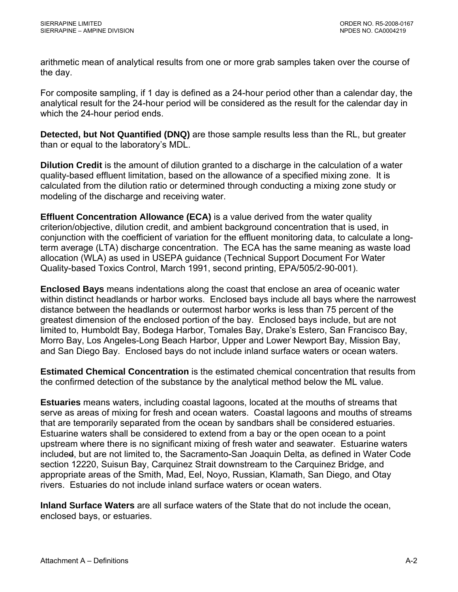arithmetic mean of analytical results from one or more grab samples taken over the course of the day.

For composite sampling, if 1 day is defined as a 24-hour period other than a calendar day, the analytical result for the 24-hour period will be considered as the result for the calendar day in which the 24-hour period ends.

**Detected, but Not Quantified (DNQ)** are those sample results less than the RL, but greater than or equal to the laboratory's MDL.

**Dilution Credit** is the amount of dilution granted to a discharge in the calculation of a water quality-based effluent limitation, based on the allowance of a specified mixing zone. It is calculated from the dilution ratio or determined through conducting a mixing zone study or modeling of the discharge and receiving water.

**Effluent Concentration Allowance (ECA)** is a value derived from the water quality criterion/objective, dilution credit, and ambient background concentration that is used, in conjunction with the coefficient of variation for the effluent monitoring data, to calculate a longterm average (LTA) discharge concentration. The ECA has the same meaning as waste load allocation (WLA) as used in USEPA guidance (Technical Support Document For Water Quality-based Toxics Control, March 1991, second printing, EPA/505/2-90-001).

**Enclosed Bays** means indentations along the coast that enclose an area of oceanic water within distinct headlands or harbor works. Enclosed bays include all bays where the narrowest distance between the headlands or outermost harbor works is less than 75 percent of the greatest dimension of the enclosed portion of the bay. Enclosed bays include, but are not limited to, Humboldt Bay, Bodega Harbor, Tomales Bay, Drake's Estero, San Francisco Bay, Morro Bay, Los Angeles-Long Beach Harbor, Upper and Lower Newport Bay, Mission Bay, and San Diego Bay. Enclosed bays do not include inland surface waters or ocean waters.

**Estimated Chemical Concentration** is the estimated chemical concentration that results from the confirmed detection of the substance by the analytical method below the ML value.

**Estuaries** means waters, including coastal lagoons, located at the mouths of streams that serve as areas of mixing for fresh and ocean waters. Coastal lagoons and mouths of streams that are temporarily separated from the ocean by sandbars shall be considered estuaries. Estuarine waters shall be considered to extend from a bay or the open ocean to a point upstream where there is no significant mixing of fresh water and seawater. Estuarine waters included, but are not limited to, the Sacramento-San Joaquin Delta, as defined in Water Code section 12220, Suisun Bay, Carquinez Strait downstream to the Carquinez Bridge, and appropriate areas of the Smith, Mad, Eel, Noyo, Russian, Klamath, San Diego, and Otay rivers. Estuaries do not include inland surface waters or ocean waters.

**Inland Surface Waters** are all surface waters of the State that do not include the ocean, enclosed bays, or estuaries.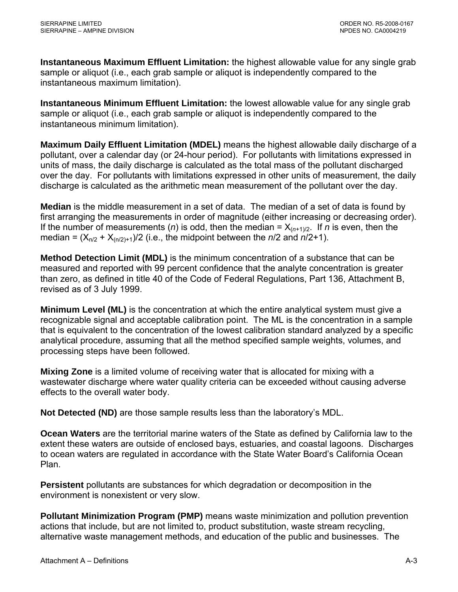**Instantaneous Maximum Effluent Limitation:** the highest allowable value for any single grab sample or aliquot (i.e., each grab sample or aliquot is independently compared to the instantaneous maximum limitation).

**Instantaneous Minimum Effluent Limitation:** the lowest allowable value for any single grab sample or aliquot (i.e., each grab sample or aliquot is independently compared to the instantaneous minimum limitation).

**Maximum Daily Effluent Limitation (MDEL)** means the highest allowable daily discharge of a pollutant, over a calendar day (or 24-hour period). For pollutants with limitations expressed in units of mass, the daily discharge is calculated as the total mass of the pollutant discharged over the day. For pollutants with limitations expressed in other units of measurement, the daily discharge is calculated as the arithmetic mean measurement of the pollutant over the day.

**Median** is the middle measurement in a set of data. The median of a set of data is found by first arranging the measurements in order of magnitude (either increasing or decreasing order). If the number of measurements (*n*) is odd, then the median =  $X_{(n+1)/2}$ . If *n* is even, then the median =  $(X_{n/2} + X_{(n/2)+1})/2$  (i.e., the midpoint between the *n*/2 and *n*/2+1).

**Method Detection Limit (MDL)** is the minimum concentration of a substance that can be measured and reported with 99 percent confidence that the analyte concentration is greater than zero, as defined in title 40 of the Code of Federal Regulations, Part 136, Attachment B, revised as of 3 July 1999.

**Minimum Level (ML)** is the concentration at which the entire analytical system must give a recognizable signal and acceptable calibration point. The ML is the concentration in a sample that is equivalent to the concentration of the lowest calibration standard analyzed by a specific analytical procedure, assuming that all the method specified sample weights, volumes, and processing steps have been followed.

**Mixing Zone** is a limited volume of receiving water that is allocated for mixing with a wastewater discharge where water quality criteria can be exceeded without causing adverse effects to the overall water body.

**Not Detected (ND)** are those sample results less than the laboratory's MDL.

**Ocean Waters** are the territorial marine waters of the State as defined by California law to the extent these waters are outside of enclosed bays, estuaries, and coastal lagoons. Discharges to ocean waters are regulated in accordance with the State Water Board's California Ocean Plan.

**Persistent** pollutants are substances for which degradation or decomposition in the environment is nonexistent or very slow.

**Pollutant Minimization Program (PMP)** means waste minimization and pollution prevention actions that include, but are not limited to, product substitution, waste stream recycling, alternative waste management methods, and education of the public and businesses. The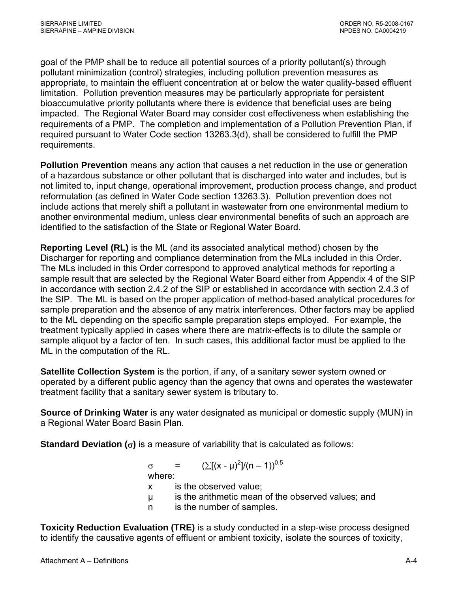goal of the PMP shall be to reduce all potential sources of a priority pollutant(s) through pollutant minimization (control) strategies, including pollution prevention measures as appropriate, to maintain the effluent concentration at or below the water quality-based effluent limitation. Pollution prevention measures may be particularly appropriate for persistent bioaccumulative priority pollutants where there is evidence that beneficial uses are being impacted. The Regional Water Board may consider cost effectiveness when establishing the requirements of a PMP. The completion and implementation of a Pollution Prevention Plan, if required pursuant to Water Code section 13263.3(d), shall be considered to fulfill the PMP requirements.

**Pollution Prevention** means any action that causes a net reduction in the use or generation of a hazardous substance or other pollutant that is discharged into water and includes, but is not limited to, input change, operational improvement, production process change, and product reformulation (as defined in Water Code section 13263.3). Pollution prevention does not include actions that merely shift a pollutant in wastewater from one environmental medium to another environmental medium, unless clear environmental benefits of such an approach are identified to the satisfaction of the State or Regional Water Board.

**Reporting Level (RL)** is the ML (and its associated analytical method) chosen by the Discharger for reporting and compliance determination from the MLs included in this Order. The MLs included in this Order correspond to approved analytical methods for reporting a sample result that are selected by the Regional Water Board either from Appendix 4 of the SIP in accordance with section 2.4.2 of the SIP or established in accordance with section 2.4.3 of the SIP. The ML is based on the proper application of method-based analytical procedures for sample preparation and the absence of any matrix interferences. Other factors may be applied to the ML depending on the specific sample preparation steps employed. For example, the treatment typically applied in cases where there are matrix-effects is to dilute the sample or sample aliquot by a factor of ten. In such cases, this additional factor must be applied to the ML in the computation of the RL.

**Satellite Collection System** is the portion, if any, of a sanitary sewer system owned or operated by a different public agency than the agency that owns and operates the wastewater treatment facility that a sanitary sewer system is tributary to.

**Source of Drinking Water** is any water designated as municipal or domestic supply (MUN) in a Regional Water Board Basin Plan.

**Standard Deviation (**σ**)** is a measure of variability that is calculated as follows:

 $\sigma = (\sum [(x - μ)^2]/(n - 1))^{0.5}$ 

where:

- x is the observed value;
- µ is the arithmetic mean of the observed values; and
- n is the number of samples.

**Toxicity Reduction Evaluation (TRE)** is a study conducted in a step-wise process designed to identify the causative agents of effluent or ambient toxicity, isolate the sources of toxicity,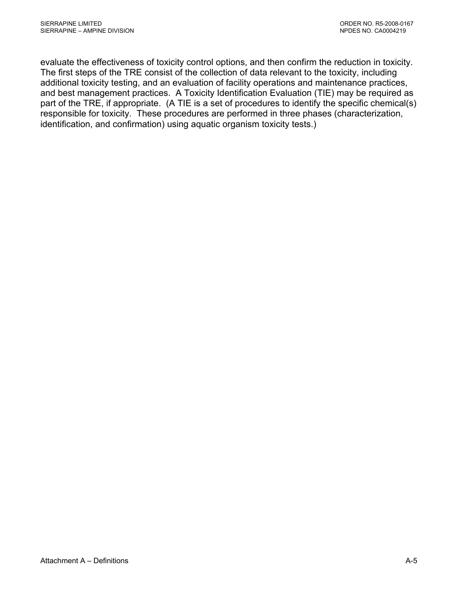evaluate the effectiveness of toxicity control options, and then confirm the reduction in toxicity. The first steps of the TRE consist of the collection of data relevant to the toxicity, including additional toxicity testing, and an evaluation of facility operations and maintenance practices, and best management practices. A Toxicity Identification Evaluation (TIE) may be required as part of the TRE, if appropriate. (A TIE is a set of procedures to identify the specific chemical(s) responsible for toxicity. These procedures are performed in three phases (characterization, identification, and confirmation) using aquatic organism toxicity tests.)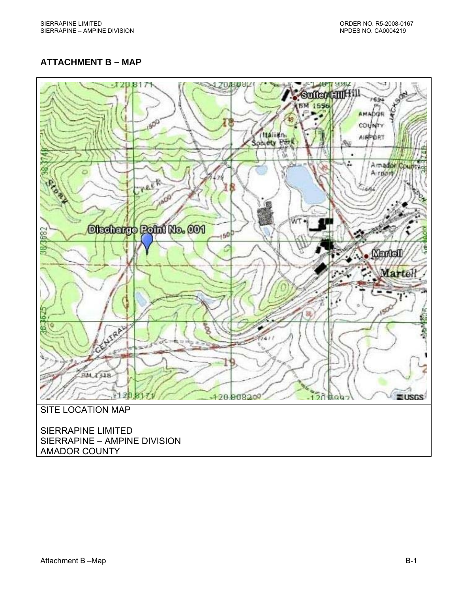# <span id="page-29-0"></span>**ATTACHMENT B – MAP**



SIERRAPINE – AMPINE DIVISION AMADOR COUNTY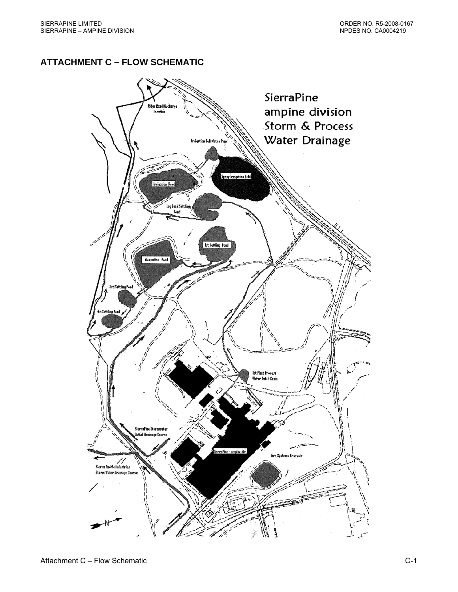# <span id="page-30-0"></span>**ATTACHMENT C – FLOW SCHEMATIC**

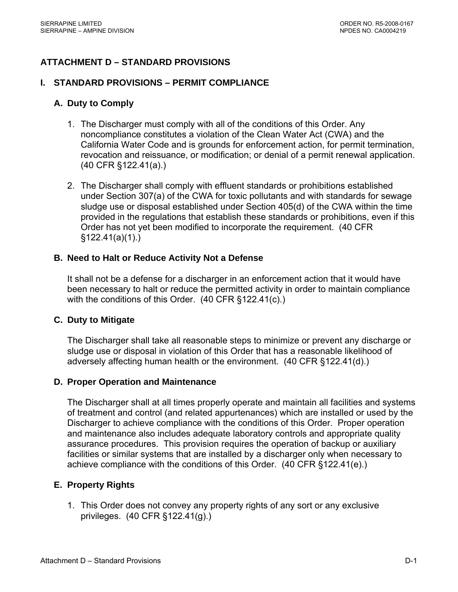# <span id="page-31-0"></span>**ATTACHMENT D – STANDARD PROVISIONS**

### **I. STANDARD PROVISIONS – PERMIT COMPLIANCE**

### **A. Duty to Comply**

- 1. The Discharger must comply with all of the conditions of this Order. Any noncompliance constitutes a violation of the Clean Water Act (CWA) and the California Water Code and is grounds for enforcement action, for permit termination, revocation and reissuance, or modification; or denial of a permit renewal application. (40 CFR §122.41(a).)
- 2. The Discharger shall comply with effluent standards or prohibitions established under Section 307(a) of the CWA for toxic pollutants and with standards for sewage sludge use or disposal established under Section 405(d) of the CWA within the time provided in the regulations that establish these standards or prohibitions, even if this Order has not yet been modified to incorporate the requirement. (40 CFR §122.41(a)(1).)

### **B. Need to Halt or Reduce Activity Not a Defense**

It shall not be a defense for a discharger in an enforcement action that it would have been necessary to halt or reduce the permitted activity in order to maintain compliance with the conditions of this Order. (40 CFR §122.41(c).)

### **C. Duty to Mitigate**

The Discharger shall take all reasonable steps to minimize or prevent any discharge or sludge use or disposal in violation of this Order that has a reasonable likelihood of adversely affecting human health or the environment. (40 CFR §122.41(d).)

### **D. Proper Operation and Maintenance**

The Discharger shall at all times properly operate and maintain all facilities and systems of treatment and control (and related appurtenances) which are installed or used by the Discharger to achieve compliance with the conditions of this Order. Proper operation and maintenance also includes adequate laboratory controls and appropriate quality assurance procedures. This provision requires the operation of backup or auxiliary facilities or similar systems that are installed by a discharger only when necessary to achieve compliance with the conditions of this Order. (40 CFR §122.41(e).)

### **E. Property Rights**

1. This Order does not convey any property rights of any sort or any exclusive privileges. (40 CFR §122.41(g).)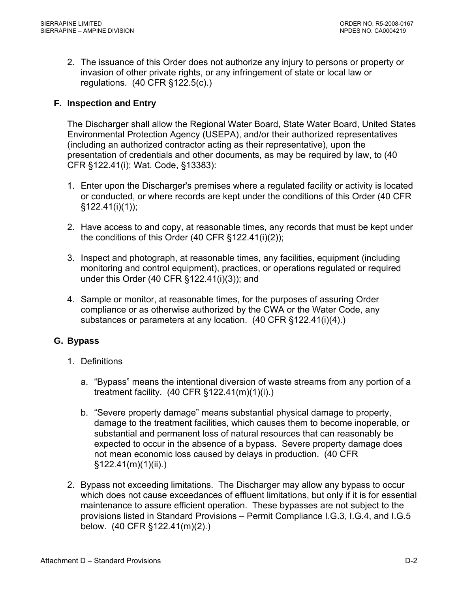<span id="page-32-0"></span>2. The issuance of this Order does not authorize any injury to persons or property or invasion of other private rights, or any infringement of state or local law or regulations. (40 CFR §122.5(c).)

# **F. Inspection and Entry**

The Discharger shall allow the Regional Water Board, State Water Board, United States Environmental Protection Agency (USEPA), and/or their authorized representatives (including an authorized contractor acting as their representative), upon the presentation of credentials and other documents, as may be required by law, to (40 CFR §122.41(i); Wat. Code, §13383):

- 1. Enter upon the Discharger's premises where a regulated facility or activity is located or conducted, or where records are kept under the conditions of this Order (40 CFR  $§122.41(i)(1))$ ;
- 2. Have access to and copy, at reasonable times, any records that must be kept under the conditions of this Order (40 CFR §122.41(i)(2));
- 3. Inspect and photograph, at reasonable times, any facilities, equipment (including monitoring and control equipment), practices, or operations regulated or required under this Order (40 CFR §122.41(i)(3)); and
- 4. Sample or monitor, at reasonable times, for the purposes of assuring Order compliance or as otherwise authorized by the CWA or the Water Code, any substances or parameters at any location. (40 CFR §122.41(i)(4).)

# **G. Bypass**

- 1. Definitions
	- a. "Bypass" means the intentional diversion of waste streams from any portion of a treatment facility. (40 CFR §122.41(m)(1)(i).)
	- b. "Severe property damage" means substantial physical damage to property, damage to the treatment facilities, which causes them to become inoperable, or substantial and permanent loss of natural resources that can reasonably be expected to occur in the absence of a bypass. Severe property damage does not mean economic loss caused by delays in production. (40 CFR §122.41(m)(1)(ii).)
- 2. Bypass not exceeding limitations. The Discharger may allow any bypass to occur which does not cause exceedances of effluent limitations, but only if it is for essential maintenance to assure efficient operation. These bypasses are not subject to the provisions listed in Standard Provisions – Permit Compliance I.G.3, I.G.4, and I.G.5 below. (40 CFR §122.41(m)(2).)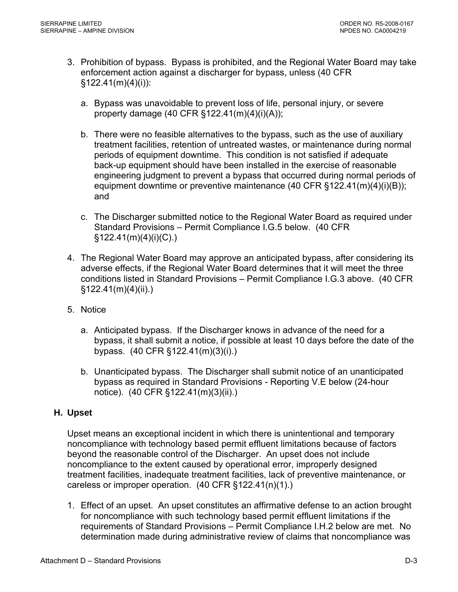- <span id="page-33-0"></span>3. Prohibition of bypass. Bypass is prohibited, and the Regional Water Board may take enforcement action against a discharger for bypass, unless (40 CFR  $§122.41(m)(4)(i))$ :
	- a. Bypass was unavoidable to prevent loss of life, personal injury, or severe property damage (40 CFR §122.41(m)(4)(i)(A));
	- b. There were no feasible alternatives to the bypass, such as the use of auxiliary treatment facilities, retention of untreated wastes, or maintenance during normal periods of equipment downtime. This condition is not satisfied if adequate back-up equipment should have been installed in the exercise of reasonable engineering judgment to prevent a bypass that occurred during normal periods of equipment downtime or preventive maintenance (40 CFR §122.41(m)(4)(i)(B)); and
	- c. The Discharger submitted notice to the Regional Water Board as required under Standard Provisions – Permit Compliance I.G.5 below. (40 CFR §122.41(m)(4)(i)(C).)
- 4. The Regional Water Board may approve an anticipated bypass, after considering its adverse effects, if the Regional Water Board determines that it will meet the three conditions listed in Standard Provisions – Permit Compliance I.G.3 above. (40 CFR §122.41(m)(4)(ii).)
- 5. Notice
	- a. Anticipated bypass. If the Discharger knows in advance of the need for a bypass, it shall submit a notice, if possible at least 10 days before the date of the bypass. (40 CFR §122.41(m)(3)(i).)
	- b. Unanticipated bypass. The Discharger shall submit notice of an unanticipated bypass as required in Standard Provisions - Reporting V.E below (24-hour notice). (40 CFR §122.41(m)(3)(ii).)

# **H. Upset**

Upset means an exceptional incident in which there is unintentional and temporary noncompliance with technology based permit effluent limitations because of factors beyond the reasonable control of the Discharger. An upset does not include noncompliance to the extent caused by operational error, improperly designed treatment facilities, inadequate treatment facilities, lack of preventive maintenance, or careless or improper operation. (40 CFR §122.41(n)(1).)

1. Effect of an upset. An upset constitutes an affirmative defense to an action brought for noncompliance with such technology based permit effluent limitations if the requirements of Standard Provisions – Permit Compliance I.H.2 below are met. No determination made during administrative review of claims that noncompliance was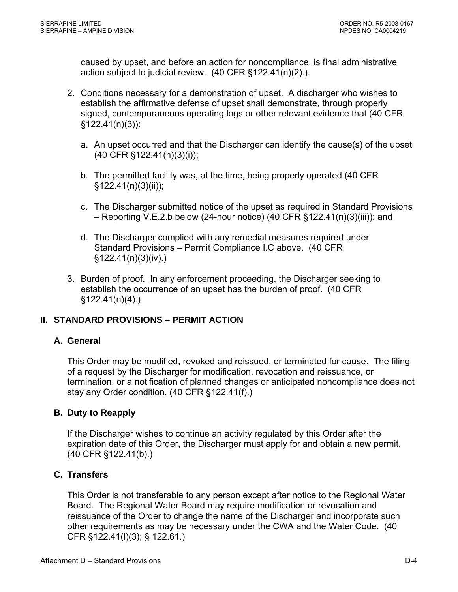caused by upset, and before an action for noncompliance, is final administrative action subject to judicial review. (40 CFR §122.41(n)(2).).

- 2. Conditions necessary for a demonstration of upset. A discharger who wishes to establish the affirmative defense of upset shall demonstrate, through properly signed, contemporaneous operating logs or other relevant evidence that (40 CFR §122.41(n)(3)):
	- a. An upset occurred and that the Discharger can identify the cause(s) of the upset (40 CFR §122.41(n)(3)(i));
	- b. The permitted facility was, at the time, being properly operated (40 CFR §122.41(n)(3)(ii));
	- c. The Discharger submitted notice of the upset as required in Standard Provisions – Reporting V.E.2.b below (24-hour notice) (40 CFR §122.41(n)(3)(iii)); and
	- d. The Discharger complied with any remedial measures required under Standard Provisions – Permit Compliance I.C above. (40 CFR §122.41(n)(3)(iv).)
- 3. Burden of proof. In any enforcement proceeding, the Discharger seeking to establish the occurrence of an upset has the burden of proof. (40 CFR §122.41(n)(4).)

# **II. STANDARD PROVISIONS – PERMIT ACTION**

### **A. General**

This Order may be modified, revoked and reissued, or terminated for cause. The filing of a request by the Discharger for modification, revocation and reissuance, or termination, or a notification of planned changes or anticipated noncompliance does not stay any Order condition. (40 CFR §122.41(f).)

### **B. Duty to Reapply**

If the Discharger wishes to continue an activity regulated by this Order after the expiration date of this Order, the Discharger must apply for and obtain a new permit. (40 CFR §122.41(b).)

### **C. Transfers**

This Order is not transferable to any person except after notice to the Regional Water Board. The Regional Water Board may require modification or revocation and reissuance of the Order to change the name of the Discharger and incorporate such other requirements as may be necessary under the CWA and the Water Code. (40 CFR §122.41(l)(3); § 122.61.)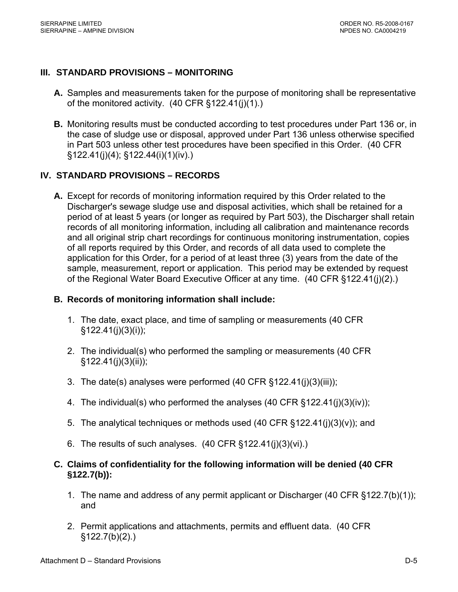# **III. STANDARD PROVISIONS – MONITORING**

- **A.** Samples and measurements taken for the purpose of monitoring shall be representative of the monitored activity. (40 CFR §122.41(j)(1).)
- **B.** Monitoring results must be conducted according to test procedures under Part 136 or, in the case of sludge use or disposal, approved under Part 136 unless otherwise specified in Part 503 unless other test procedures have been specified in this Order. (40 CFR §122.41(j)(4); §122.44(i)(1)(iv).)

## **IV. STANDARD PROVISIONS – RECORDS**

**A.** Except for records of monitoring information required by this Order related to the Discharger's sewage sludge use and disposal activities, which shall be retained for a period of at least 5 years (or longer as required by Part 503), the Discharger shall retain records of all monitoring information, including all calibration and maintenance records and all original strip chart recordings for continuous monitoring instrumentation, copies of all reports required by this Order, and records of all data used to complete the application for this Order, for a period of at least three (3) years from the date of the sample, measurement, report or application. This period may be extended by request of the Regional Water Board Executive Officer at any time. (40 CFR §122.41(j)(2).)

### **B. Records of monitoring information shall include:**

- 1. The date, exact place, and time of sampling or measurements (40 CFR  $§122.41(j)(3)(i));$
- 2. The individual(s) who performed the sampling or measurements (40 CFR §122.41(j)(3)(ii));
- 3. The date(s) analyses were performed (40 CFR §122.41(j)(3)(iii));
- 4. The individual(s) who performed the analyses (40 CFR §122.41(j)(3)(iv));
- 5. The analytical techniques or methods used (40 CFR §122.41(j)(3)(v)); and
- 6. The results of such analyses.  $(40 \text{ CFR } \S 122.41(j)(3)(vi))$ .

## **C. Claims of confidentiality for the following information will be denied (40 CFR §122.7(b)):**

- 1. The name and address of any permit applicant or Discharger (40 CFR §122.7(b)(1)); and
- 2. Permit applications and attachments, permits and effluent data. (40 CFR §122.7(b)(2).)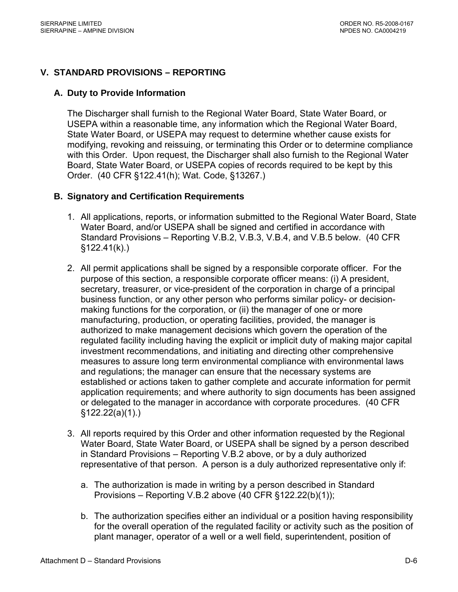## **V. STANDARD PROVISIONS – REPORTING**

### **A. Duty to Provide Information**

The Discharger shall furnish to the Regional Water Board, State Water Board, or USEPA within a reasonable time, any information which the Regional Water Board, State Water Board, or USEPA may request to determine whether cause exists for modifying, revoking and reissuing, or terminating this Order or to determine compliance with this Order. Upon request, the Discharger shall also furnish to the Regional Water Board, State Water Board, or USEPA copies of records required to be kept by this Order. (40 CFR §122.41(h); Wat. Code, §13267.)

### **B. Signatory and Certification Requirements**

- 1. All applications, reports, or information submitted to the Regional Water Board, State Water Board, and/or USEPA shall be signed and certified in accordance with Standard Provisions – Reporting V.B.2, V.B.3, V.B.4, and V.B.5 below. (40 CFR  $§122.41(k).$
- 2. All permit applications shall be signed by a responsible corporate officer. For the purpose of this section, a responsible corporate officer means: (i) A president, secretary, treasurer, or vice-president of the corporation in charge of a principal business function, or any other person who performs similar policy- or decisionmaking functions for the corporation, or (ii) the manager of one or more manufacturing, production, or operating facilities, provided, the manager is authorized to make management decisions which govern the operation of the regulated facility including having the explicit or implicit duty of making major capital investment recommendations, and initiating and directing other comprehensive measures to assure long term environmental compliance with environmental laws and regulations; the manager can ensure that the necessary systems are established or actions taken to gather complete and accurate information for permit application requirements; and where authority to sign documents has been assigned or delegated to the manager in accordance with corporate procedures. (40 CFR §122.22(a)(1).)
- 3. All reports required by this Order and other information requested by the Regional Water Board, State Water Board, or USEPA shall be signed by a person described in Standard Provisions – Reporting V.B.2 above, or by a duly authorized representative of that person. A person is a duly authorized representative only if:
	- a. The authorization is made in writing by a person described in Standard Provisions – Reporting V.B.2 above (40 CFR §122.22(b)(1));
	- b. The authorization specifies either an individual or a position having responsibility for the overall operation of the regulated facility or activity such as the position of plant manager, operator of a well or a well field, superintendent, position of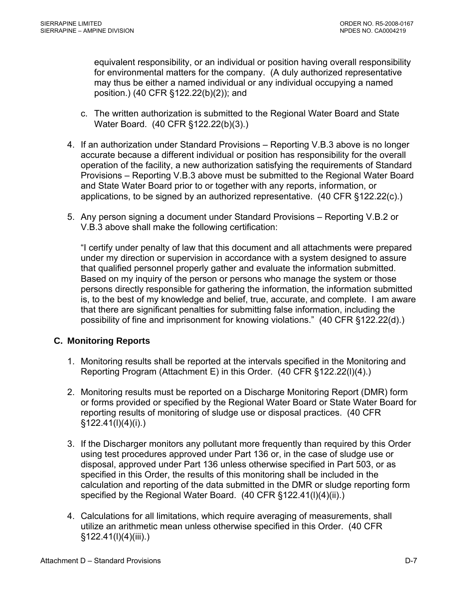equivalent responsibility, or an individual or position having overall responsibility for environmental matters for the company. (A duly authorized representative may thus be either a named individual or any individual occupying a named position.) (40 CFR §122.22(b)(2)); and

- c. The written authorization is submitted to the Regional Water Board and State Water Board. (40 CFR §122.22(b)(3).)
- 4. If an authorization under Standard Provisions Reporting V.B.3 above is no longer accurate because a different individual or position has responsibility for the overall operation of the facility, a new authorization satisfying the requirements of Standard Provisions – Reporting V.B.3 above must be submitted to the Regional Water Board and State Water Board prior to or together with any reports, information, or applications, to be signed by an authorized representative. (40 CFR §122.22(c).)
- 5. Any person signing a document under Standard Provisions Reporting V.B.2 or V.B.3 above shall make the following certification:

"I certify under penalty of law that this document and all attachments were prepared under my direction or supervision in accordance with a system designed to assure that qualified personnel properly gather and evaluate the information submitted. Based on my inquiry of the person or persons who manage the system or those persons directly responsible for gathering the information, the information submitted is, to the best of my knowledge and belief, true, accurate, and complete. I am aware that there are significant penalties for submitting false information, including the possibility of fine and imprisonment for knowing violations." (40 CFR §122.22(d).)

### **C. Monitoring Reports**

- 1. Monitoring results shall be reported at the intervals specified in the Monitoring and Reporting Program (Attachment E) in this Order. (40 CFR §122.22(l)(4).)
- 2. Monitoring results must be reported on a Discharge Monitoring Report (DMR) form or forms provided or specified by the Regional Water Board or State Water Board for reporting results of monitoring of sludge use or disposal practices. (40 CFR §122.41(l)(4)(i).)
- 3. If the Discharger monitors any pollutant more frequently than required by this Order using test procedures approved under Part 136 or, in the case of sludge use or disposal, approved under Part 136 unless otherwise specified in Part 503, or as specified in this Order, the results of this monitoring shall be included in the calculation and reporting of the data submitted in the DMR or sludge reporting form specified by the Regional Water Board. (40 CFR §122.41(I)(4)(ii).)
- 4. Calculations for all limitations, which require averaging of measurements, shall utilize an arithmetic mean unless otherwise specified in this Order. (40 CFR §122.41(l)(4)(iii).)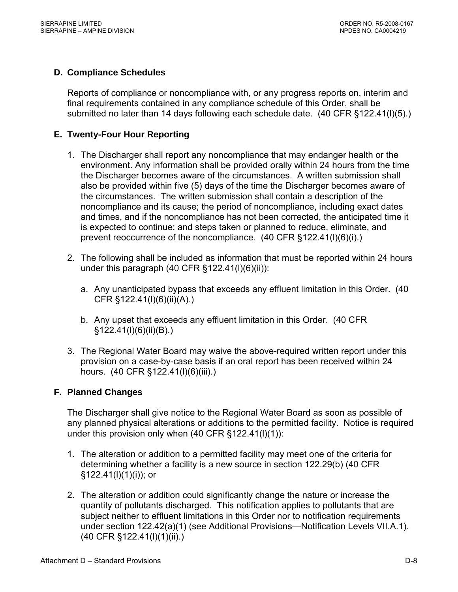## **D. Compliance Schedules**

Reports of compliance or noncompliance with, or any progress reports on, interim and final requirements contained in any compliance schedule of this Order, shall be submitted no later than 14 days following each schedule date. (40 CFR §122.41(l)(5).)

### **E. Twenty-Four Hour Reporting**

- 1. The Discharger shall report any noncompliance that may endanger health or the environment. Any information shall be provided orally within 24 hours from the time the Discharger becomes aware of the circumstances. A written submission shall also be provided within five (5) days of the time the Discharger becomes aware of the circumstances. The written submission shall contain a description of the noncompliance and its cause; the period of noncompliance, including exact dates and times, and if the noncompliance has not been corrected, the anticipated time it is expected to continue; and steps taken or planned to reduce, eliminate, and prevent reoccurrence of the noncompliance. (40 CFR §122.41(l)(6)(i).)
- 2. The following shall be included as information that must be reported within 24 hours under this paragraph  $(40 \text{ CFR } \text{\textless} 122.41(I)(6)(ii))$ :
	- a. Any unanticipated bypass that exceeds any effluent limitation in this Order. (40 CFR §122.41(l)(6)(ii)(A).)
	- b. Any upset that exceeds any effluent limitation in this Order. (40 CFR §122.41(l)(6)(ii)(B).)
- 3. The Regional Water Board may waive the above-required written report under this provision on a case-by-case basis if an oral report has been received within 24 hours. (40 CFR §122.41(l)(6)(iii).)

### **F. Planned Changes**

The Discharger shall give notice to the Regional Water Board as soon as possible of any planned physical alterations or additions to the permitted facility. Notice is required under this provision only when (40 CFR §122.41(l)(1)):

- 1. The alteration or addition to a permitted facility may meet one of the criteria for determining whether a facility is a new source in section 122.29(b) (40 CFR §122.41(l)(1)(i)); or
- 2. The alteration or addition could significantly change the nature or increase the quantity of pollutants discharged. This notification applies to pollutants that are subject neither to effluent limitations in this Order nor to notification requirements under section 122.42(a)(1) (see Additional Provisions—Notification Levels VII.A.1). (40 CFR §122.41(l)(1)(ii).)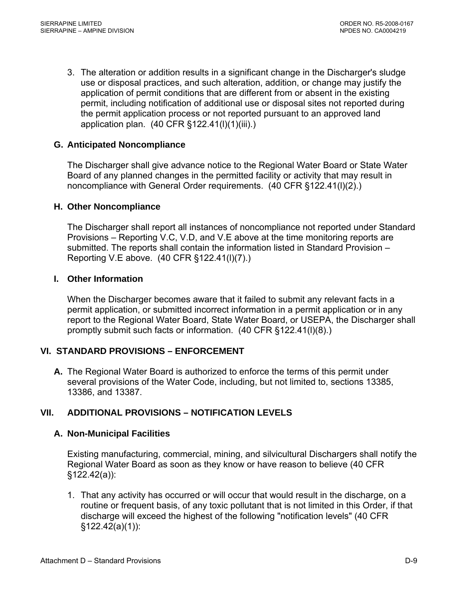3. The alteration or addition results in a significant change in the Discharger's sludge use or disposal practices, and such alteration, addition, or change may justify the application of permit conditions that are different from or absent in the existing permit, including notification of additional use or disposal sites not reported during the permit application process or not reported pursuant to an approved land application plan. (40 CFR §122.41(l)(1)(iii).)

### **G. Anticipated Noncompliance**

The Discharger shall give advance notice to the Regional Water Board or State Water Board of any planned changes in the permitted facility or activity that may result in noncompliance with General Order requirements. (40 CFR §122.41(l)(2).)

#### **H. Other Noncompliance**

The Discharger shall report all instances of noncompliance not reported under Standard Provisions – Reporting V.C, V.D, and V.E above at the time monitoring reports are submitted. The reports shall contain the information listed in Standard Provision – Reporting V.E above. (40 CFR §122.41(l)(7).)

#### **I. Other Information**

When the Discharger becomes aware that it failed to submit any relevant facts in a permit application, or submitted incorrect information in a permit application or in any report to the Regional Water Board, State Water Board, or USEPA, the Discharger shall promptly submit such facts or information. (40 CFR §122.41(l)(8).)

#### **VI. STANDARD PROVISIONS – ENFORCEMENT**

**A.** The Regional Water Board is authorized to enforce the terms of this permit under several provisions of the Water Code, including, but not limited to, sections 13385, 13386, and 13387.

#### **VII. ADDITIONAL PROVISIONS – NOTIFICATION LEVELS**

#### **A. Non-Municipal Facilities**

Existing manufacturing, commercial, mining, and silvicultural Dischargers shall notify the Regional Water Board as soon as they know or have reason to believe (40 CFR §122.42(a)):

1. That any activity has occurred or will occur that would result in the discharge, on a routine or frequent basis, of any toxic pollutant that is not limited in this Order, if that discharge will exceed the highest of the following "notification levels" (40 CFR §122.42(a)(1)):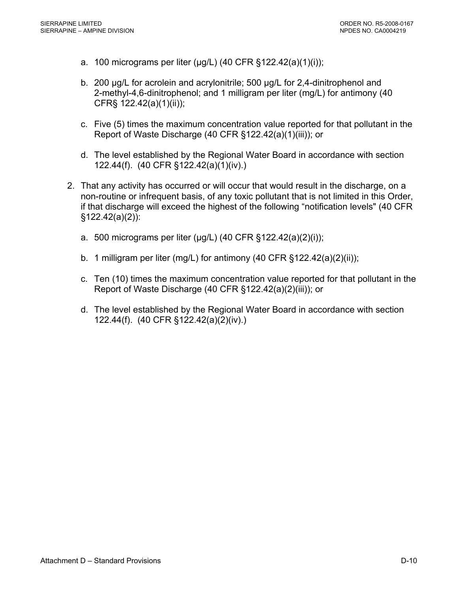- a. 100 micrograms per liter (μg/L) (40 CFR §122.42(a)(1)(i));
- b. 200 μg/L for acrolein and acrylonitrile; 500 μg/L for 2,4-dinitrophenol and 2-methyl-4,6-dinitrophenol; and 1 milligram per liter (mg/L) for antimony (40 CFR§ 122.42(a)(1)(ii));
- c. Five (5) times the maximum concentration value reported for that pollutant in the Report of Waste Discharge (40 CFR §122.42(a)(1)(iii)); or
- d. The level established by the Regional Water Board in accordance with section 122.44(f). (40 CFR §122.42(a)(1)(iv).)
- 2. That any activity has occurred or will occur that would result in the discharge, on a non-routine or infrequent basis, of any toxic pollutant that is not limited in this Order, if that discharge will exceed the highest of the following "notification levels" (40 CFR §122.42(a)(2)):
	- a. 500 micrograms per liter (μg/L) (40 CFR §122.42(a)(2)(i));
	- b. 1 milligram per liter (mg/L) for antimony (40 CFR §122.42(a)(2)(ii));
	- c. Ten (10) times the maximum concentration value reported for that pollutant in the Report of Waste Discharge (40 CFR §122.42(a)(2)(iii)); or
	- d. The level established by the Regional Water Board in accordance with section 122.44(f). (40 CFR §122.42(a)(2)(iv).)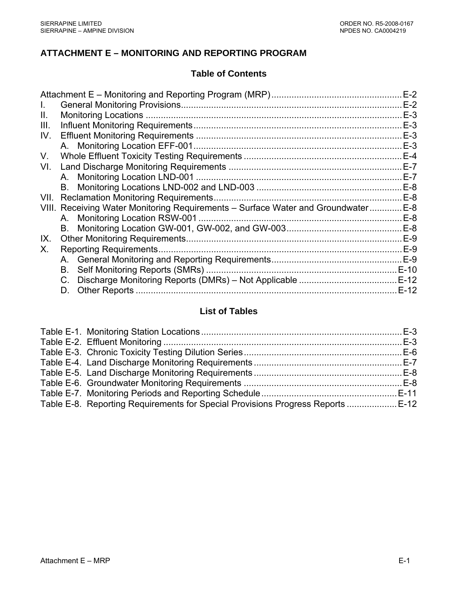### **ATTACHMENT E – MONITORING AND REPORTING PROGRAM**

### **Table of Contents**

|      |                                                                               | $E-2$  |
|------|-------------------------------------------------------------------------------|--------|
|      |                                                                               | $E-2$  |
| Ш.   |                                                                               | $E-3$  |
| III. |                                                                               | $E-3$  |
| IV.  |                                                                               | $E-3$  |
|      |                                                                               | $E-3$  |
| V.   |                                                                               | $E-4$  |
| VI.  |                                                                               | $E-7$  |
|      |                                                                               | $E-7$  |
|      | В.                                                                            | $E-8$  |
| VII. |                                                                               | $E-8$  |
|      | VIII. Receiving Water Monitoring Requirements - Surface Water and Groundwater | $E-8$  |
|      |                                                                               |        |
|      |                                                                               | $E-8$  |
| IX.  |                                                                               | $E-9$  |
| Χ.   | <b>Reporting Requirements.</b>                                                | $E-9$  |
|      |                                                                               |        |
|      | В.                                                                            |        |
|      |                                                                               |        |
|      | D.                                                                            | $E-12$ |
|      |                                                                               |        |

# **List of Tables**

| Table E-8. Reporting Requirements for Special Provisions Progress Reports E-12 |  |
|--------------------------------------------------------------------------------|--|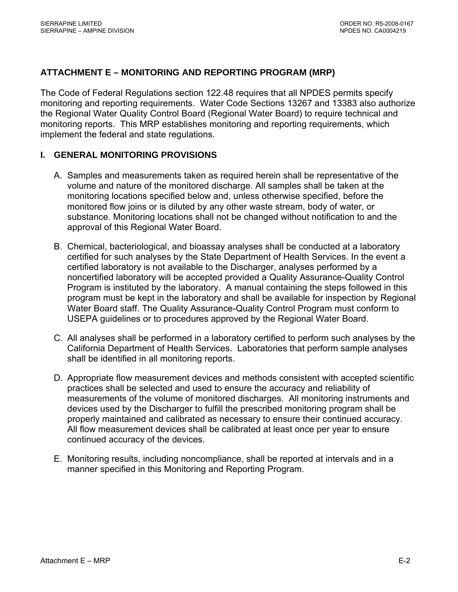### <span id="page-42-0"></span>**ATTACHMENT E – MONITORING AND REPORTING PROGRAM (MRP)**

The Code of Federal Regulations section 122.48 requires that all NPDES permits specify monitoring and reporting requirements. Water Code Sections 13267 and 13383 also authorize the Regional Water Quality Control Board (Regional Water Board) to require technical and monitoring reports. This MRP establishes monitoring and reporting requirements, which implement the federal and state regulations.

#### **I. GENERAL MONITORING PROVISIONS**

- A. Samples and measurements taken as required herein shall be representative of the volume and nature of the monitored discharge. All samples shall be taken at the monitoring locations specified below and, unless otherwise specified, before the monitored flow joins or is diluted by any other waste stream, body of water, or substance. Monitoring locations shall not be changed without notification to and the approval of this Regional Water Board.
- B. Chemical, bacteriological, and bioassay analyses shall be conducted at a laboratory certified for such analyses by the State Department of Health Services. In the event a certified laboratory is not available to the Discharger, analyses performed by a noncertified laboratory will be accepted provided a Quality Assurance-Quality Control Program is instituted by the laboratory. A manual containing the steps followed in this program must be kept in the laboratory and shall be available for inspection by Regional Water Board staff. The Quality Assurance-Quality Control Program must conform to USEPA guidelines or to procedures approved by the Regional Water Board.
- C. All analyses shall be performed in a laboratory certified to perform such analyses by the California Department of Health Services. Laboratories that perform sample analyses shall be identified in all monitoring reports.
- D. Appropriate flow measurement devices and methods consistent with accepted scientific practices shall be selected and used to ensure the accuracy and reliability of measurements of the volume of monitored discharges. All monitoring instruments and devices used by the Discharger to fulfill the prescribed monitoring program shall be properly maintained and calibrated as necessary to ensure their continued accuracy. All flow measurement devices shall be calibrated at least once per year to ensure continued accuracy of the devices.
- E. Monitoring results, including noncompliance, shall be reported at intervals and in a manner specified in this Monitoring and Reporting Program.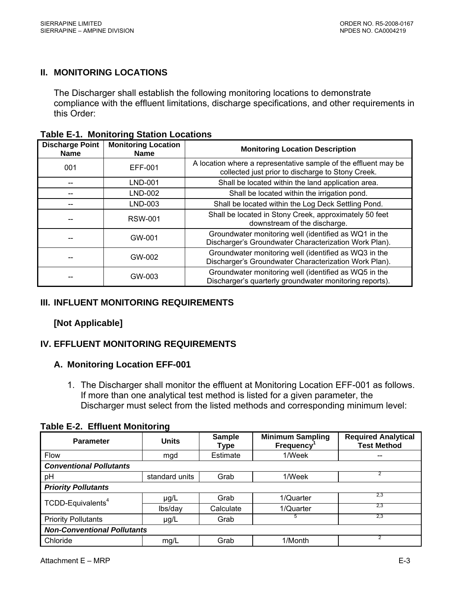### <span id="page-43-0"></span>**II. MONITORING LOCATIONS**

The Discharger shall establish the following monitoring locations to demonstrate compliance with the effluent limitations, discharge specifications, and other requirements in this Order:

| <b>Discharge Point</b><br><b>Name</b> | <b>Monitoring Location</b><br><b>Name</b> | <b>Monitoring Location Description</b>                                                                               |  |
|---------------------------------------|-------------------------------------------|----------------------------------------------------------------------------------------------------------------------|--|
| 001                                   | EFF-001                                   | A location where a representative sample of the effluent may be<br>collected just prior to discharge to Stony Creek. |  |
|                                       | LND-001                                   | Shall be located within the land application area.                                                                   |  |
|                                       | LND-002                                   | Shall be located within the irrigation pond.                                                                         |  |
|                                       | LND-003                                   | Shall be located within the Log Deck Settling Pond.                                                                  |  |
|                                       | <b>RSW-001</b>                            | Shall be located in Stony Creek, approximately 50 feet<br>downstream of the discharge.                               |  |
|                                       | GW-001                                    | Groundwater monitoring well (identified as WQ1 in the<br>Discharger's Groundwater Characterization Work Plan).       |  |
|                                       | GW-002                                    | Groundwater monitoring well (identified as WQ3 in the<br>Discharger's Groundwater Characterization Work Plan).       |  |
|                                       | GW-003                                    | Groundwater monitoring well (identified as WQ5 in the<br>Discharger's quarterly groundwater monitoring reports).     |  |

**Table E-1. Monitoring Station Locations** 

### **III. INFLUENT MONITORING REQUIREMENTS**

### **[Not Applicable]**

### **IV. EFFLUENT MONITORING REQUIREMENTS**

#### **A. Monitoring Location EFF-001**

1. The Discharger shall monitor the effluent at Monitoring Location EFF-001 as follows. If more than one analytical test method is listed for a given parameter, the Discharger must select from the listed methods and corresponding minimum level:

**Table E-2. Effluent Monitoring** 

| <b>Parameter</b>                   | <b>Units</b>   | <b>Sample</b><br>Type | <b>Minimum Sampling</b><br><b>Frequency</b> | <b>Required Analytical</b><br><b>Test Method</b> |
|------------------------------------|----------------|-----------------------|---------------------------------------------|--------------------------------------------------|
| <b>Flow</b>                        | mgd            | Estimate              | 1/Week                                      | --                                               |
| <b>Conventional Pollutants</b>     |                |                       |                                             |                                                  |
| pH                                 | standard units | Grab                  | 1/Week                                      | 2                                                |
| <b>Priority Pollutants</b>         |                |                       |                                             |                                                  |
| TCDD-Equivalents <sup>4</sup>      | $\mu$ g/L      | Grab                  | 1/Quarter                                   | 2.3                                              |
|                                    | lbs/day        | Calculate             | 1/Quarter                                   | 2.3                                              |
| <b>Priority Pollutants</b>         | $\mu$ g/L      | Grab                  | 5                                           | 2.3                                              |
| <b>Non-Conventional Pollutants</b> |                |                       |                                             |                                                  |
| Chloride                           | mg/L           | Grab                  | 1/Month                                     | 2                                                |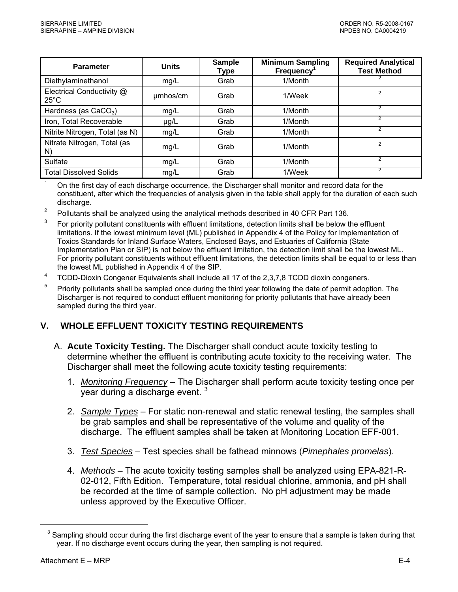<span id="page-44-0"></span>

| <b>Parameter</b>                            | <b>Units</b> | <b>Sample</b><br>Type | <b>Minimum Sampling</b><br><b>Frequency</b> | <b>Required Analytical</b><br><b>Test Method</b> |
|---------------------------------------------|--------------|-----------------------|---------------------------------------------|--------------------------------------------------|
| Diethylaminethanol                          | mg/L         | Grab                  | 1/Month                                     |                                                  |
| Electrical Conductivity @<br>$25^{\circ}$ C | umhos/cm     | Grab                  | 1/Week                                      | $\overline{2}$                                   |
| Hardness (as CaCO <sub>3</sub> )            | mg/L         | Grab                  | 1/Month                                     | 2                                                |
| Iron, Total Recoverable                     | $\mu$ g/L    | Grab                  | 1/Month                                     | 2                                                |
| Nitrite Nitrogen, Total (as N)              | mg/L         | Grab                  | 1/Month                                     | $\mathfrak{p}$                                   |
| Nitrate Nitrogen, Total (as<br>N)           | mg/L         | Grab                  | 1/Month                                     | $\overline{2}$                                   |
| Sulfate                                     | mg/L         | Grab                  | 1/Month                                     | 2                                                |
| <b>Total Dissolved Solids</b>               | mg/L         | Grab                  | 1/Week                                      |                                                  |

 $1$  On the first day of each discharge occurrence, the Discharger shall monitor and record data for the constituent, after which the frequencies of analysis given in the table shall apply for the duration of each such discharge.

- 2 Pollutants shall be analyzed using the analytical methods described in 40 CFR Part 136.
- $3$  For priority pollutant constituents with effluent limitations, detection limits shall be below the effluent limitations. If the lowest minimum level (ML) published in Appendix 4 of the Policy for Implementation of Toxics Standards for Inland Surface Waters, Enclosed Bays, and Estuaries of California (State Implementation Plan or SIP) is not below the effluent limitation, the detection limit shall be the lowest ML. For priority pollutant constituents without effluent limitations, the detection limits shall be equal to or less than the lowest ML published in Appendix 4 of the SIP.
- <sup>4</sup> TCDD-Dioxin Congener Equivalents shall include all 17 of the 2,3,7,8 TCDD dioxin congeners.
- <sup>5</sup> Priority pollutants shall be sampled once during the third year following the date of permit adoption. The Discharger is not required to conduct effluent monitoring for priority pollutants that have already been sampled during the third year.

#### **V. WHOLE EFFLUENT TOXICITY TESTING REQUIREMENTS**

- A. **Acute Toxicity Testing.** The Discharger shall conduct acute toxicity testing to determine whether the effluent is contributing acute toxicity to the receiving water. The Discharger shall meet the following acute toxicity testing requirements:
	- 1. *Monitoring Frequency* The Discharger shall perform acute toxicity testing once per year during a discharge event.<sup>[3](#page-44-0)</sup>
	- 2. *Sample Types* For static non-renewal and static renewal testing, the samples shall be grab samples and shall be representative of the volume and quality of the discharge. The effluent samples shall be taken at Monitoring Location EFF-001.
	- 3. *Test Species* Test species shall be fathead minnows (*Pimephales promelas*).
	- 4. *Methods* The acute toxicity testing samples shall be analyzed using EPA-821-R-02-012, Fifth Edition. Temperature, total residual chlorine, ammonia, and pH shall be recorded at the time of sample collection. No pH adjustment may be made unless approved by the Executive Officer.

 $\overline{a}$ 

 $3$  Sampling should occur during the first discharge event of the year to ensure that a sample is taken during that year. If no discharge event occurs during the year, then sampling is not required.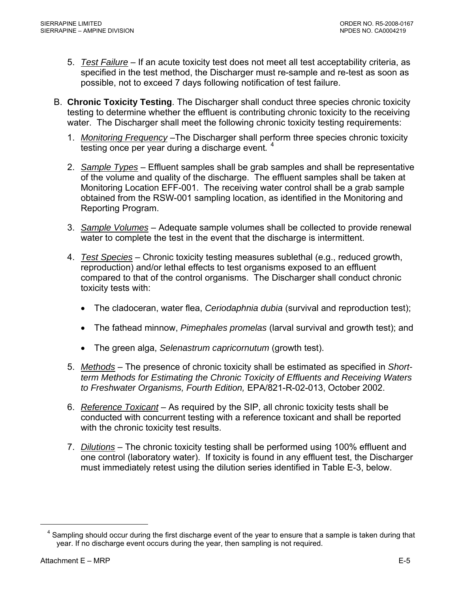- <span id="page-45-0"></span>5. *Test Failure* – If an acute toxicity test does not meet all test acceptability criteria, as specified in the test method, the Discharger must re-sample and re-test as soon as possible, not to exceed 7 days following notification of test failure.
- B. **Chronic Toxicity Testing**. The Discharger shall conduct three species chronic toxicity testing to determine whether the effluent is contributing chronic toxicity to the receiving water. The Discharger shall meet the following chronic toxicity testing requirements:
	- 1. *Monitoring Frequency* –The Discharger shall perform three species chronic toxicity testing once per year during a discharge event*.* [4](#page-45-0)
	- 2. *Sample Types* Effluent samples shall be grab samples and shall be representative of the volume and quality of the discharge. The effluent samples shall be taken at Monitoring Location EFF-001. The receiving water control shall be a grab sample obtained from the RSW-001 sampling location, as identified in the Monitoring and Reporting Program.
	- 3. *Sample Volumes* Adequate sample volumes shall be collected to provide renewal water to complete the test in the event that the discharge is intermittent.
	- 4. *Test Species* Chronic toxicity testing measures sublethal (e.g., reduced growth, reproduction) and/or lethal effects to test organisms exposed to an effluent compared to that of the control organisms. The Discharger shall conduct chronic toxicity tests with:
		- The cladoceran, water flea, *Ceriodaphnia dubia* (survival and reproduction test);
		- The fathead minnow, *Pimephales promelas* (larval survival and growth test); and
		- The green alga, *Selenastrum capricornutum* (growth test).
	- 5. *Methods* The presence of chronic toxicity shall be estimated as specified in *Shortterm Methods for Estimating the Chronic Toxicity of Effluents and Receiving Waters to Freshwater Organisms, Fourth Edition,* EPA/821-R-02-013, October 2002.
	- 6. *Reference Toxicant* As required by the SIP, all chronic toxicity tests shall be conducted with concurrent testing with a reference toxicant and shall be reported with the chronic toxicity test results.
	- 7. *Dilutions* The chronic toxicity testing shall be performed using 100% effluent and one control (laboratory water). If toxicity is found in any effluent test, the Discharger must immediately retest using the dilution series identified in Table E-3, below.

1

<sup>&</sup>lt;sup>4</sup> Sampling should occur during the first discharge event of the year to ensure that a sample is taken during that year. If no discharge event occurs during the year, then sampling is not required.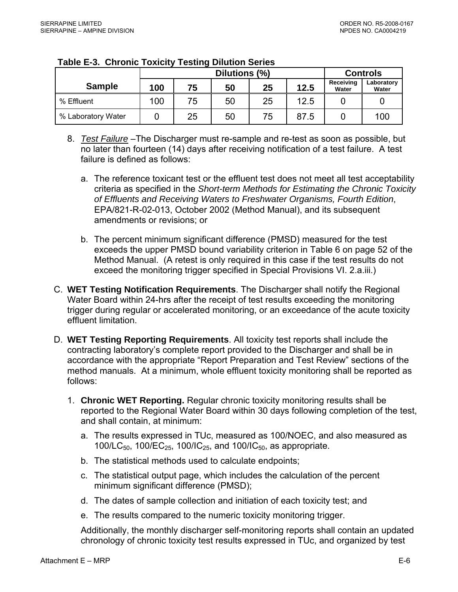|                    | Dilutions (%) |    |    |    |      |                    | <b>Controls</b>     |
|--------------------|---------------|----|----|----|------|--------------------|---------------------|
| <b>Sample</b>      | 100           | 75 | 50 | 25 | 12.5 | Receiving<br>Water | Laboratory<br>Water |
| % Effluent         | 100           | 75 | 50 | 25 | 12.5 |                    |                     |
| % Laboratory Water |               | 25 | 50 | 75 | 87.5 |                    | 100                 |

#### <span id="page-46-0"></span>**Table E-3. Chronic Toxicity Testing Dilution Series**

- 8. *Test Failure* –The Discharger must re-sample and re-test as soon as possible, but no later than fourteen (14) days after receiving notification of a test failure. A test failure is defined as follows:
	- a. The reference toxicant test or the effluent test does not meet all test acceptability criteria as specified in the *Short-term Methods for Estimating the Chronic Toxicity of Effluents and Receiving Waters to Freshwater Organisms, Fourth Edition*, EPA/821-R-02-013, October 2002 (Method Manual), and its subsequent amendments or revisions; or
	- b. The percent minimum significant difference (PMSD) measured for the test exceeds the upper PMSD bound variability criterion in Table 6 on page 52 of the Method Manual. (A retest is only required in this case if the test results do not exceed the monitoring trigger specified in Special Provisions VI. 2.a.iii.)
- C. **WET Testing Notification Requirements**. The Discharger shall notify the Regional Water Board within 24-hrs after the receipt of test results exceeding the monitoring trigger during regular or accelerated monitoring, or an exceedance of the acute toxicity effluent limitation.
- D. **WET Testing Reporting Requirements**. All toxicity test reports shall include the contracting laboratory's complete report provided to the Discharger and shall be in accordance with the appropriate "Report Preparation and Test Review" sections of the method manuals. At a minimum, whole effluent toxicity monitoring shall be reported as follows:
	- 1. **Chronic WET Reporting.** Regular chronic toxicity monitoring results shall be reported to the Regional Water Board within 30 days following completion of the test, and shall contain, at minimum:
		- a. The results expressed in TUc, measured as 100/NOEC, and also measured as 100/LC<sub>50</sub>, 100/EC<sub>25</sub>, 100/IC<sub>25</sub>, and 100/IC<sub>50</sub>, as appropriate.
		- b. The statistical methods used to calculate endpoints;
		- c. The statistical output page, which includes the calculation of the percent minimum significant difference (PMSD);
		- d. The dates of sample collection and initiation of each toxicity test; and
		- e. The results compared to the numeric toxicity monitoring trigger.

Additionally, the monthly discharger self-monitoring reports shall contain an updated chronology of chronic toxicity test results expressed in TUc, and organized by test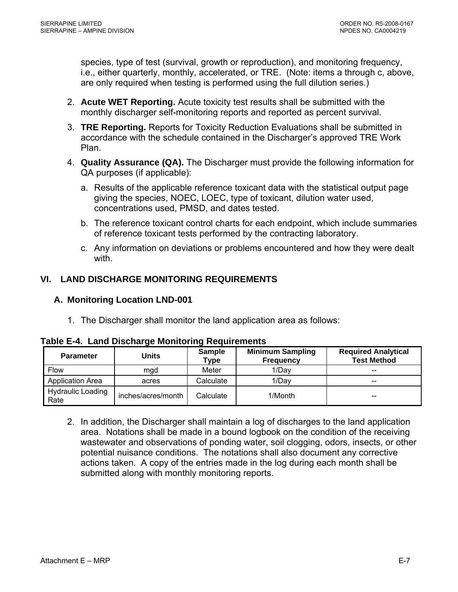<span id="page-47-0"></span>species, type of test (survival, growth or reproduction), and monitoring frequency, i.e., either quarterly, monthly, accelerated, or TRE. (Note: items a through c, above, are only required when testing is performed using the full dilution series.)

- 2. **Acute WET Reporting.** Acute toxicity test results shall be submitted with the monthly discharger self-monitoring reports and reported as percent survival.
- 3. **TRE Reporting.** Reports for Toxicity Reduction Evaluations shall be submitted in accordance with the schedule contained in the Discharger's approved TRE Work Plan.
- 4. **Quality Assurance (QA).** The Discharger must provide the following information for QA purposes (if applicable):
	- a. Results of the applicable reference toxicant data with the statistical output page giving the species, NOEC, LOEC, type of toxicant, dilution water used, concentrations used, PMSD, and dates tested.
	- b. The reference toxicant control charts for each endpoint, which include summaries of reference toxicant tests performed by the contracting laboratory.
	- c. Any information on deviations or problems encountered and how they were dealt with.

# **VI. LAND DISCHARGE MONITORING REQUIREMENTS**

# **A. Monitoring Location LND-001**

1. The Discharger shall monitor the land application area as follows:

| aple E-4. Land Discharge Monitoring Reguliements |                    |                       |                                             |                                                  |  |  |  |
|--------------------------------------------------|--------------------|-----------------------|---------------------------------------------|--------------------------------------------------|--|--|--|
| <b>Parameter</b>                                 | Units              | <b>Sample</b><br>Type | <b>Minimum Sampling</b><br><b>Frequency</b> | <b>Required Analytical</b><br><b>Test Method</b> |  |  |  |
| <b>Flow</b>                                      | mad                | Meter                 | 1/Day                                       | --                                               |  |  |  |
| <b>Application Area</b>                          | acres              | Calculate             | 1/Dav                                       | --                                               |  |  |  |
| <b>Hydraulic Loading</b><br>Rate                 | inches/acres/month | Calculate             | 1/Month                                     | --                                               |  |  |  |

# **Table E-4. Land Discharge Monitoring Requirements**

2. In addition, the Discharger shall maintain a log of discharges to the land application area. Notations shall be made in a bound logbook on the condition of the receiving wastewater and observations of ponding water, soil clogging, odors, insects, or other potential nuisance conditions. The notations shall also document any corrective actions taken. A copy of the entries made in the log during each month shall be submitted along with monthly monitoring reports.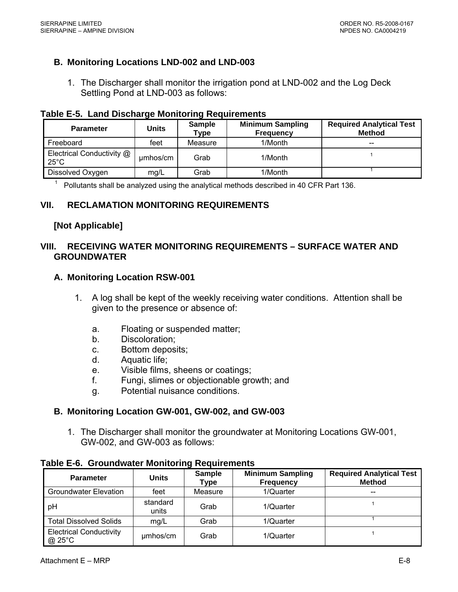### <span id="page-48-0"></span>**B. Monitoring Locations LND-002 and LND-003**

1. The Discharger shall monitor the irrigation pond at LND-002 and the Log Deck Settling Pond at LND-003 as follows:

#### **Table E-5. Land Discharge Monitoring Requirements**

| <b>Parameter</b>                            | Units    | <b>Sample</b><br><b>Type</b> | <b>Minimum Sampling</b><br><b>Frequency</b> | <b>Required Analytical Test</b><br><b>Method</b> |
|---------------------------------------------|----------|------------------------------|---------------------------------------------|--------------------------------------------------|
| Freeboard                                   | feet     | Measure                      | 1/Month                                     | $- -$                                            |
| Electrical Conductivity @<br>$25^{\circ}$ C | umhos/cm | Grab                         | 1/Month                                     |                                                  |
| Dissolved Oxygen                            | mg/L     | Grab                         | 1/Month                                     |                                                  |

 $1$  Pollutants shall be analyzed using the analytical methods described in 40 CFR Part 136.

### **VII. RECLAMATION MONITORING REQUIREMENTS**

#### **[Not Applicable]**

### **VIII. RECEIVING WATER MONITORING REQUIREMENTS – SURFACE WATER AND GROUNDWATER**

#### **A. Monitoring Location RSW-001**

- 1. A log shall be kept of the weekly receiving water conditions. Attention shall be given to the presence or absence of:
	- a. Floating or suspended matter;
	- b. Discoloration;
	- c. Bottom deposits;
	- d. Aquatic life;
	- e. Visible films, sheens or coatings;
	- f. Fungi, slimes or objectionable growth; and
	- g. Potential nuisance conditions.

#### **B. Monitoring Location GW-001, GW-002, and GW-003**

1. The Discharger shall monitor the groundwater at Monitoring Locations GW-001, GW-002, and GW-003 as follows:

| <b>Parameter</b>                         | <b>Units</b>      | <b>Sample</b><br>Type | <b>Minimum Sampling</b><br><b>Frequency</b> | <b>Required Analytical Test</b><br><b>Method</b> |
|------------------------------------------|-------------------|-----------------------|---------------------------------------------|--------------------------------------------------|
| <b>Groundwater Elevation</b>             | feet              | Measure               | 1/Quarter                                   |                                                  |
| рH                                       | standard<br>units | Grab                  | 1/Quarter                                   |                                                  |
| <b>Total Dissolved Solids</b>            | mg/L              | Grab                  | 1/Quarter                                   |                                                  |
| <b>Electrical Conductivity</b><br>@ 25°C | umhos/cm          | Grab                  | 1/Quarter                                   |                                                  |

### **Table E-6. Groundwater Monitoring Requirements**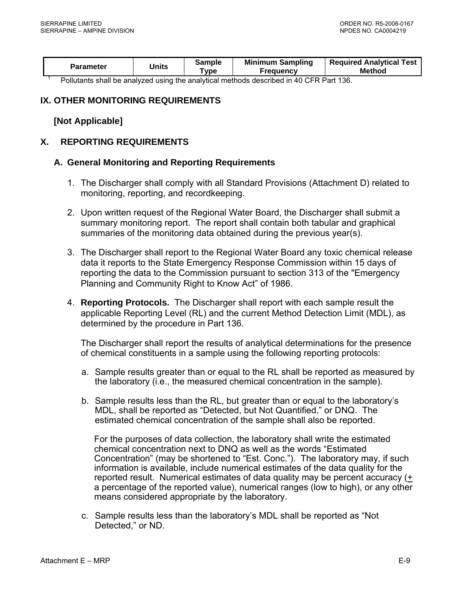<span id="page-49-0"></span>

| <b>Parameter</b>                                                                       | Units | Sample<br>vpe ⊺ | <b>Minimum Sampling</b><br>Freauencv | <b>Required Analytical Test</b><br>Method |  |
|----------------------------------------------------------------------------------------|-------|-----------------|--------------------------------------|-------------------------------------------|--|
| Dellutante abell be analyzed uning the analytical methods described in 10 CED Dert 126 |       |                 |                                      |                                           |  |

Pollutants shall be analyzed using the analytical methods described in 40 CFR Part 136.

### **IX. OTHER MONITORING REQUIREMENTS**

#### **[Not Applicable]**

#### **X. REPORTING REQUIREMENTS**

#### **A. General Monitoring and Reporting Requirements**

- 1. The Discharger shall comply with all Standard Provisions (Attachment D) related to monitoring, reporting, and recordkeeping.
- 2. Upon written request of the Regional Water Board, the Discharger shall submit a summary monitoring report. The report shall contain both tabular and graphical summaries of the monitoring data obtained during the previous year(s).
- 3. The Discharger shall report to the Regional Water Board any toxic chemical release data it reports to the State Emergency Response Commission within 15 days of reporting the data to the Commission pursuant to section 313 of the "Emergency Planning and Community Right to Know Act" of 1986.
- 4. **Reporting Protocols.** The Discharger shall report with each sample result the applicable Reporting Level (RL) and the current Method Detection Limit (MDL), as determined by the procedure in Part 136.

The Discharger shall report the results of analytical determinations for the presence of chemical constituents in a sample using the following reporting protocols:

- a. Sample results greater than or equal to the RL shall be reported as measured by the laboratory (i.e., the measured chemical concentration in the sample).
- b. Sample results less than the RL, but greater than or equal to the laboratory's MDL, shall be reported as "Detected, but Not Quantified," or DNQ. The estimated chemical concentration of the sample shall also be reported.

For the purposes of data collection, the laboratory shall write the estimated chemical concentration next to DNQ as well as the words "Estimated Concentration" (may be shortened to "Est. Conc."). The laboratory may, if such information is available, include numerical estimates of the data quality for the reported result. Numerical estimates of data quality may be percent accuracy (+ a percentage of the reported value), numerical ranges (low to high), or any other means considered appropriate by the laboratory.

c. Sample results less than the laboratory's MDL shall be reported as "Not Detected," or ND.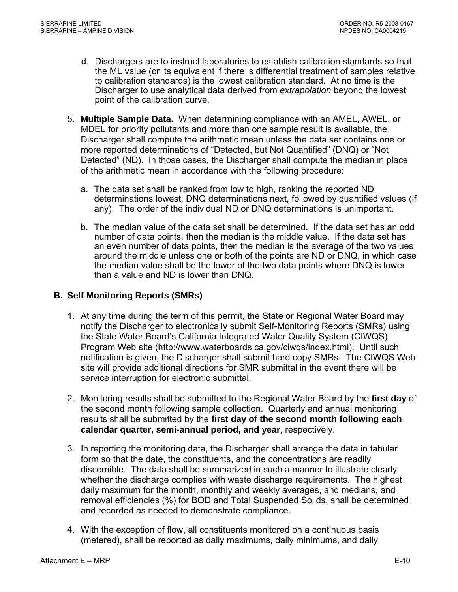- <span id="page-50-0"></span>d. Dischargers are to instruct laboratories to establish calibration standards so that the ML value (or its equivalent if there is differential treatment of samples relative to calibration standards) is the lowest calibration standard. At no time is the Discharger to use analytical data derived from *extrapolation* beyond the lowest point of the calibration curve.
- 5. **Multiple Sample Data.** When determining compliance with an AMEL, AWEL, or MDEL for priority pollutants and more than one sample result is available, the Discharger shall compute the arithmetic mean unless the data set contains one or more reported determinations of "Detected, but Not Quantified" (DNQ) or "Not Detected" (ND). In those cases, the Discharger shall compute the median in place of the arithmetic mean in accordance with the following procedure:
	- a. The data set shall be ranked from low to high, ranking the reported ND determinations lowest, DNQ determinations next, followed by quantified values (if any). The order of the individual ND or DNQ determinations is unimportant.
	- b. The median value of the data set shall be determined. If the data set has an odd number of data points, then the median is the middle value. If the data set has an even number of data points, then the median is the average of the two values around the middle unless one or both of the points are ND or DNQ, in which case the median value shall be the lower of the two data points where DNQ is lower than a value and ND is lower than DNQ.

## **B. Self Monitoring Reports (SMRs)**

- 1. At any time during the term of this permit, the State or Regional Water Board may notify the Discharger to electronically submit Self-Monitoring Reports (SMRs) using the State Water Board's California Integrated Water Quality System (CIWQS) Program Web site (http://www.waterboards.ca.gov/ciwqs/index.html). Until such notification is given, the Discharger shall submit hard copy SMRs. The CIWQS Web site will provide additional directions for SMR submittal in the event there will be service interruption for electronic submittal.
- 2. Monitoring results shall be submitted to the Regional Water Board by the **first day** of the second month following sample collection. Quarterly and annual monitoring results shall be submitted by the **first day of the second month following each calendar quarter, semi-annual period, and year**, respectively.
- 3. In reporting the monitoring data, the Discharger shall arrange the data in tabular form so that the date, the constituents, and the concentrations are readily discernible. The data shall be summarized in such a manner to illustrate clearly whether the discharge complies with waste discharge requirements. The highest daily maximum for the month, monthly and weekly averages, and medians, and removal efficiencies (%) for BOD and Total Suspended Solids, shall be determined and recorded as needed to demonstrate compliance.
- 4. With the exception of flow, all constituents monitored on a continuous basis (metered), shall be reported as daily maximums, daily minimums, and daily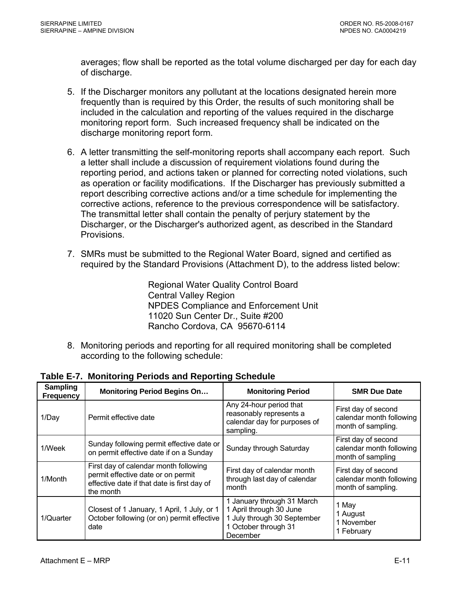<span id="page-51-0"></span>averages; flow shall be reported as the total volume discharged per day for each day of discharge.

- 5. If the Discharger monitors any pollutant at the locations designated herein more frequently than is required by this Order, the results of such monitoring shall be included in the calculation and reporting of the values required in the discharge monitoring report form. Such increased frequency shall be indicated on the discharge monitoring report form.
- 6. A letter transmitting the self-monitoring reports shall accompany each report. Such a letter shall include a discussion of requirement violations found during the reporting period, and actions taken or planned for correcting noted violations, such as operation or facility modifications. If the Discharger has previously submitted a report describing corrective actions and/or a time schedule for implementing the corrective actions, reference to the previous correspondence will be satisfactory. The transmittal letter shall contain the penalty of perjury statement by the Discharger, or the Discharger's authorized agent, as described in the Standard Provisions.
- 7. SMRs must be submitted to the Regional Water Board, signed and certified as required by the Standard Provisions (Attachment D), to the address listed below:

Regional Water Quality Control Board Central Valley Region NPDES Compliance and Enforcement Unit 11020 Sun Center Dr., Suite #200 Rancho Cordova, CA 95670-6114

8. Monitoring periods and reporting for all required monitoring shall be completed according to the following schedule:

| <b>Sampling</b><br><b>Frequency</b> | <b>Monitoring Period Begins On</b>                                                                                                      | <b>Monitoring Period</b>                                                                                                 | <b>SMR Due Date</b>                                                   |
|-------------------------------------|-----------------------------------------------------------------------------------------------------------------------------------------|--------------------------------------------------------------------------------------------------------------------------|-----------------------------------------------------------------------|
| 1/Day                               | Permit effective date                                                                                                                   | Any 24-hour period that<br>reasonably represents a<br>calendar day for purposes of<br>sampling.                          | First day of second<br>calendar month following<br>month of sampling. |
| 1/Week                              | Sunday following permit effective date or<br>on permit effective date if on a Sunday                                                    | Sunday through Saturday                                                                                                  | First day of second<br>calendar month following<br>month of sampling  |
| 1/Month                             | First day of calendar month following<br>permit effective date or on permit<br>effective date if that date is first day of<br>the month | First day of calendar month<br>through last day of calendar<br>month                                                     | First day of second<br>calendar month following<br>month of sampling. |
| 1/Quarter                           | Closest of 1 January, 1 April, 1 July, or 1<br>October following (or on) permit effective<br>date                                       | 1 January through 31 March<br>1 April through 30 June<br>1 July through 30 September<br>1 October through 31<br>December | 1 May<br>1 August<br>1 November<br>1 February                         |

**Table E-7. Monitoring Periods and Reporting Schedule**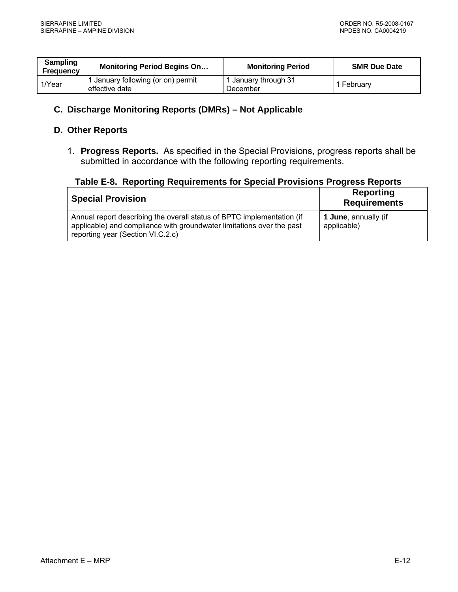<span id="page-52-0"></span>

| <b>Sampling</b><br><b>Frequency</b> | <b>Monitoring Period Begins On</b>                   | <b>Monitoring Period</b>         | <b>SMR Due Date</b> |
|-------------------------------------|------------------------------------------------------|----------------------------------|---------------------|
| 1/Year                              | 1 January following (or on) permit<br>effective date | 1 January through 31<br>December | February            |

## **C. Discharge Monitoring Reports (DMRs) – Not Applicable**

### **D. Other Reports**

1. **Progress Reports.** As specified in the Special Provisions, progress reports shall be submitted in accordance with the following reporting requirements.

|  |  |  |  | Table E-8. Reporting Requirements for Special Provisions Progress Reports |
|--|--|--|--|---------------------------------------------------------------------------|
|--|--|--|--|---------------------------------------------------------------------------|

| <b>Special Provision</b>                                                                                                                                                             | Reporting<br><b>Requirements</b>    |
|--------------------------------------------------------------------------------------------------------------------------------------------------------------------------------------|-------------------------------------|
| Annual report describing the overall status of BPTC implementation (if<br>applicable) and compliance with groundwater limitations over the past<br>reporting year (Section VI.C.2.c) | 1 June, annually (if<br>applicable) |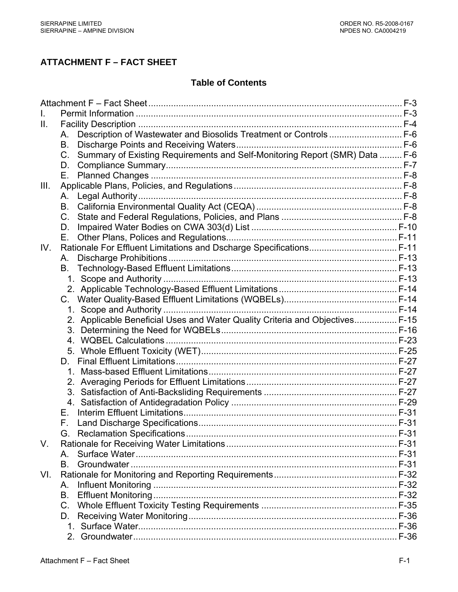# **ATTACHMENT F – FACT SHEET**

# **Table of Contents**

| Ш.   |                                                                                            |  |
|------|--------------------------------------------------------------------------------------------|--|
|      | Description of Wastewater and Biosolids Treatment or Controls F-6<br>A.                    |  |
|      | <b>B.</b>                                                                                  |  |
|      | Summary of Existing Requirements and Self-Monitoring Report (SMR) Data  F-6<br>$C_{\cdot}$ |  |
|      | D.                                                                                         |  |
|      | Е.                                                                                         |  |
| III. |                                                                                            |  |
|      | А.                                                                                         |  |
|      | <b>B.</b>                                                                                  |  |
|      | $C_{1}$                                                                                    |  |
|      | D.                                                                                         |  |
|      | Е.                                                                                         |  |
| IV.  | Rationale For Effluent Limitations and Dscharge Specifications F-11                        |  |
|      | А.                                                                                         |  |
|      | В.                                                                                         |  |
|      |                                                                                            |  |
|      |                                                                                            |  |
|      |                                                                                            |  |
|      |                                                                                            |  |
|      | 2. Applicable Beneficial Uses and Water Quality Criteria and Objectives F-15               |  |
|      |                                                                                            |  |
|      |                                                                                            |  |
|      |                                                                                            |  |
|      | D.                                                                                         |  |
|      |                                                                                            |  |
|      |                                                                                            |  |
|      |                                                                                            |  |
|      |                                                                                            |  |
|      | Е.                                                                                         |  |
|      |                                                                                            |  |
|      |                                                                                            |  |
| V.   |                                                                                            |  |
|      | A                                                                                          |  |
|      | B.                                                                                         |  |
| VI.  |                                                                                            |  |
|      | А.                                                                                         |  |
|      | B.                                                                                         |  |
|      | $C_{\cdot}$                                                                                |  |
|      | D.                                                                                         |  |
|      |                                                                                            |  |
|      |                                                                                            |  |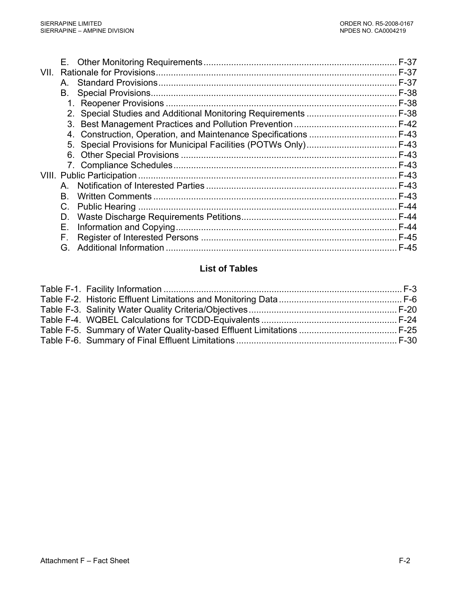|      |    | $F-37$ |
|------|----|--------|
| VII. |    | F-37   |
|      | A  | F-37   |
|      | В. | F-38   |
|      |    | $F-38$ |
|      |    |        |
|      |    |        |
|      |    |        |
|      |    |        |
|      | 6. |        |
|      |    |        |
|      |    |        |
|      | A  |        |
|      | B. |        |
|      | C. | $F-44$ |
|      | D. | $F-44$ |
|      | Е. | $F-44$ |
|      | F. |        |
|      | G. | $F-45$ |
|      |    |        |

# **List of Tables**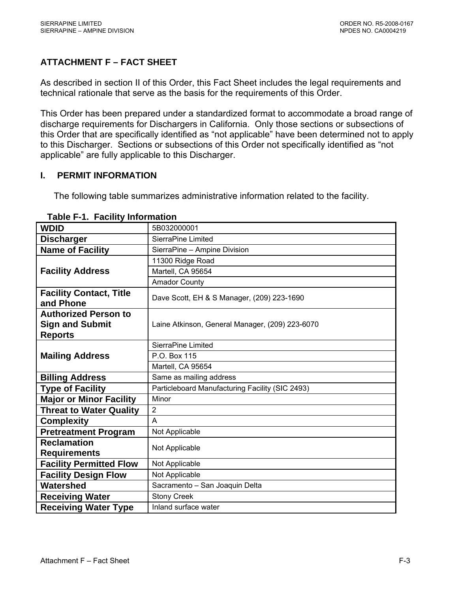# <span id="page-55-0"></span>**ATTACHMENT F – FACT SHEET**

As described in section II of this Order, this Fact Sheet includes the legal requirements and technical rationale that serve as the basis for the requirements of this Order.

This Order has been prepared under a standardized format to accommodate a broad range of discharge requirements for Dischargers in California. Only those sections or subsections of this Order that are specifically identified as "not applicable" have been determined not to apply to this Discharger. Sections or subsections of this Order not specifically identified as "not applicable" are fully applicable to this Discharger.

### **I. PERMIT INFORMATION**

The following table summarizes administrative information related to the facility.

| <b>WDID</b>                                 | 5B032000001                                     |  |  |  |  |
|---------------------------------------------|-------------------------------------------------|--|--|--|--|
| <b>Discharger</b>                           | SierraPine Limited                              |  |  |  |  |
| <b>Name of Facility</b>                     | SierraPine - Ampine Division                    |  |  |  |  |
|                                             | 11300 Ridge Road                                |  |  |  |  |
| <b>Facility Address</b>                     | Martell, CA 95654                               |  |  |  |  |
|                                             | <b>Amador County</b>                            |  |  |  |  |
| <b>Facility Contact, Title</b><br>and Phone | Dave Scott, EH & S Manager, (209) 223-1690      |  |  |  |  |
| <b>Authorized Person to</b>                 |                                                 |  |  |  |  |
| <b>Sign and Submit</b>                      | Laine Atkinson, General Manager, (209) 223-6070 |  |  |  |  |
| <b>Reports</b>                              |                                                 |  |  |  |  |
|                                             | SierraPine Limited                              |  |  |  |  |
| <b>Mailing Address</b>                      | P.O. Box 115                                    |  |  |  |  |
|                                             | Martell, CA 95654                               |  |  |  |  |
| <b>Billing Address</b>                      | Same as mailing address                         |  |  |  |  |
| <b>Type of Facility</b>                     | Particleboard Manufacturing Facility (SIC 2493) |  |  |  |  |
| <b>Major or Minor Facility</b>              | Minor                                           |  |  |  |  |
| <b>Threat to Water Quality</b>              | $\overline{2}$                                  |  |  |  |  |
| <b>Complexity</b>                           | A                                               |  |  |  |  |
| <b>Pretreatment Program</b>                 | Not Applicable                                  |  |  |  |  |
| <b>Reclamation</b>                          | Not Applicable                                  |  |  |  |  |
| <b>Requirements</b>                         |                                                 |  |  |  |  |
| <b>Facility Permitted Flow</b>              | Not Applicable                                  |  |  |  |  |
| <b>Facility Design Flow</b>                 | Not Applicable                                  |  |  |  |  |
| Watershed                                   | Sacramento - San Joaquin Delta                  |  |  |  |  |
| <b>Receiving Water</b>                      | <b>Stony Creek</b>                              |  |  |  |  |
| <b>Receiving Water Type</b>                 | Inland surface water                            |  |  |  |  |

#### **Table F-1. Facility Information**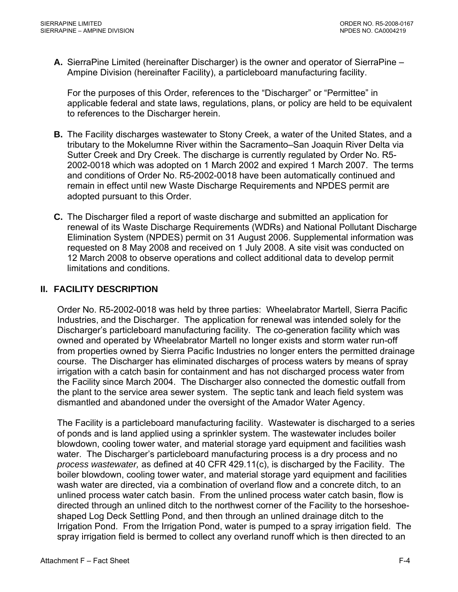<span id="page-56-0"></span>**A.** SierraPine Limited (hereinafter Discharger) is the owner and operator of SierraPine – Ampine Division (hereinafter Facility), a particleboard manufacturing facility.

For the purposes of this Order, references to the "Discharger" or "Permittee" in applicable federal and state laws, regulations, plans, or policy are held to be equivalent to references to the Discharger herein.

- **B.** The Facility discharges wastewater to Stony Creek, a water of the United States, and a tributary to the Mokelumne River within the Sacramento–San Joaquin River Delta via Sutter Creek and Dry Creek. The discharge is currently regulated by Order No. R5- 2002-0018 which was adopted on 1 March 2002 and expired 1 March 2007. The terms and conditions of Order No. R5-2002-0018 have been automatically continued and remain in effect until new Waste Discharge Requirements and NPDES permit are adopted pursuant to this Order.
- **C.** The Discharger filed a report of waste discharge and submitted an application for renewal of its Waste Discharge Requirements (WDRs) and National Pollutant Discharge Elimination System (NPDES) permit on 31 August 2006. Supplemental information was requested on 8 May 2008 and received on 1 July 2008. A site visit was conducted on 12 March 2008 to observe operations and collect additional data to develop permit limitations and conditions.

### **II. FACILITY DESCRIPTION**

Order No. R5-2002-0018 was held by three parties: Wheelabrator Martell, Sierra Pacific Industries, and the Discharger. The application for renewal was intended solely for the Discharger's particleboard manufacturing facility. The co-generation facility which was owned and operated by Wheelabrator Martell no longer exists and storm water run-off from properties owned by Sierra Pacific Industries no longer enters the permitted drainage course. The Discharger has eliminated discharges of process waters by means of spray irrigation with a catch basin for containment and has not discharged process water from the Facility since March 2004. The Discharger also connected the domestic outfall from the plant to the service area sewer system. The septic tank and leach field system was dismantled and abandoned under the oversight of the Amador Water Agency.

The Facility is a particleboard manufacturing facility. Wastewater is discharged to a series of ponds and is land applied using a sprinkler system. The wastewater includes boiler blowdown, cooling tower water, and material storage yard equipment and facilities wash water. The Discharger's particleboard manufacturing process is a dry process and no *process wastewater,* as defined at 40 CFR 429.11(c), is discharged by the Facility. The boiler blowdown, cooling tower water, and material storage yard equipment and facilities wash water are directed, via a combination of overland flow and a concrete ditch, to an unlined process water catch basin. From the unlined process water catch basin, flow is directed through an unlined ditch to the northwest corner of the Facility to the horseshoeshaped Log Deck Settling Pond, and then through an unlined drainage ditch to the Irrigation Pond. From the Irrigation Pond, water is pumped to a spray irrigation field. The spray irrigation field is bermed to collect any overland runoff which is then directed to an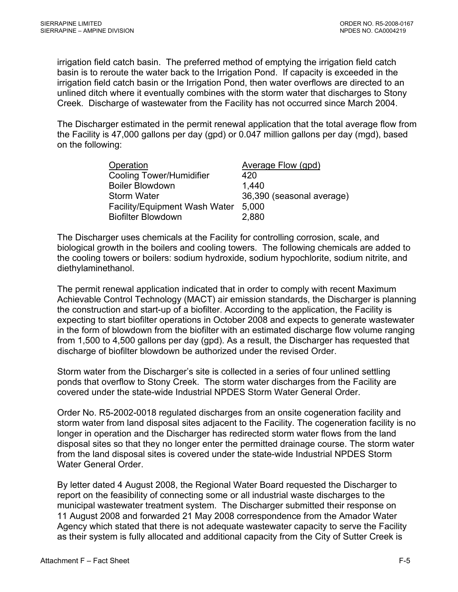irrigation field catch basin. The preferred method of emptying the irrigation field catch basin is to reroute the water back to the Irrigation Pond. If capacity is exceeded in the irrigation field catch basin or the Irrigation Pond, then water overflows are directed to an unlined ditch where it eventually combines with the storm water that discharges to Stony Creek. Discharge of wastewater from the Facility has not occurred since March 2004.

The Discharger estimated in the permit renewal application that the total average flow from the Facility is 47,000 gallons per day (gpd) or 0.047 million gallons per day (mgd), based on the following:

| Operation                            | Average Flow (gpd)        |
|--------------------------------------|---------------------------|
| <b>Cooling Tower/Humidifier</b>      | 420                       |
| <b>Boiler Blowdown</b>               | 1,440                     |
| <b>Storm Water</b>                   | 36,390 (seasonal average) |
| <b>Facility/Equipment Wash Water</b> | 5,000                     |
| <b>Biofilter Blowdown</b>            | 2,880                     |

The Discharger uses chemicals at the Facility for controlling corrosion, scale, and biological growth in the boilers and cooling towers. The following chemicals are added to the cooling towers or boilers: sodium hydroxide, sodium hypochlorite, sodium nitrite, and diethylaminethanol.

The permit renewal application indicated that in order to comply with recent Maximum Achievable Control Technology (MACT) air emission standards, the Discharger is planning the construction and start-up of a biofilter. According to the application, the Facility is expecting to start biofilter operations in October 2008 and expects to generate wastewater in the form of blowdown from the biofilter with an estimated discharge flow volume ranging from 1,500 to 4,500 gallons per day (gpd). As a result, the Discharger has requested that discharge of biofilter blowdown be authorized under the revised Order.

Storm water from the Discharger's site is collected in a series of four unlined settling ponds that overflow to Stony Creek. The storm water discharges from the Facility are covered under the state-wide Industrial NPDES Storm Water General Order.

Order No. R5-2002-0018 regulated discharges from an onsite cogeneration facility and storm water from land disposal sites adjacent to the Facility. The cogeneration facility is no longer in operation and the Discharger has redirected storm water flows from the land disposal sites so that they no longer enter the permitted drainage course. The storm water from the land disposal sites is covered under the state-wide Industrial NPDES Storm Water General Order.

By letter dated 4 August 2008, the Regional Water Board requested the Discharger to report on the feasibility of connecting some or all industrial waste discharges to the municipal wastewater treatment system. The Discharger submitted their response on 11 August 2008 and forwarded 21 May 2008 correspondence from the Amador Water Agency which stated that there is not adequate wastewater capacity to serve the Facility as their system is fully allocated and additional capacity from the City of Sutter Creek is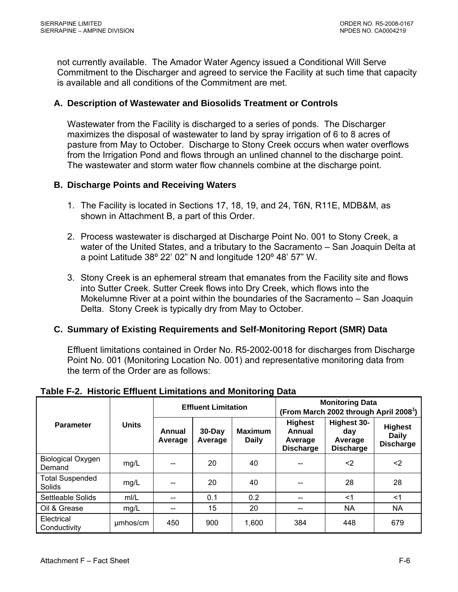<span id="page-58-0"></span>not currently available. The Amador Water Agency issued a Conditional Will Serve Commitment to the Discharger and agreed to service the Facility at such time that capacity is available and all conditions of the Commitment are met.

### **A. Description of Wastewater and Biosolids Treatment or Controls**

Wastewater from the Facility is discharged to a series of ponds. The Discharger maximizes the disposal of wastewater to land by spray irrigation of 6 to 8 acres of pasture from May to October. Discharge to Stony Creek occurs when water overflows from the Irrigation Pond and flows through an unlined channel to the discharge point. The wastewater and storm water flow channels combine at the discharge point.

#### **B. Discharge Points and Receiving Waters**

- 1. The Facility is located in Sections 17, 18, 19, and 24, T6N, R11E, MDB&M, as shown in Attachment B, a part of this Order.
- 2. Process wastewater is discharged at Discharge Point No. 001 to Stony Creek, a water of the United States, and a tributary to the Sacramento – San Joaquin Delta at a point Latitude 38º 22' 02" N and longitude 120º 48' 57" W.
- 3. Stony Creek is an ephemeral stream that emanates from the Facility site and flows into Sutter Creek. Sutter Creek flows into Dry Creek, which flows into the Mokelumne River at a point within the boundaries of the Sacramento – San Joaquin Delta. Stony Creek is typically dry from May to October.

### **C. Summary of Existing Requirements and Self-Monitoring Report (SMR) Data**

Effluent limitations contained in Order No. R5-2002-0018 for discharges from Discharge Point No. 001 (Monitoring Location No. 001) and representative monitoring data from the term of the Order are as follows:

|                                    | <b>Units</b> | <b>Effluent Limitation</b> |                      |                                | <b>Monitoring Data</b><br>(From March 2002 through April 2008 <sup>1</sup> ) |                                                          |                                                    |
|------------------------------------|--------------|----------------------------|----------------------|--------------------------------|------------------------------------------------------------------------------|----------------------------------------------------------|----------------------------------------------------|
| <b>Parameter</b>                   |              | Annual<br>Average          | $30$ -Day<br>Average | <b>Maximum</b><br><b>Daily</b> | <b>Highest</b><br>Annual<br>Average<br><b>Discharge</b>                      | <b>Highest 30-</b><br>day<br>Average<br><b>Discharge</b> | <b>Highest</b><br><b>Daily</b><br><b>Discharge</b> |
| <b>Biological Oxygen</b><br>Demand | mg/L         | --                         | 20                   | 40                             |                                                                              | $<$ 2                                                    | <2                                                 |
| <b>Total Suspended</b><br>Solids   | mg/L         |                            | 20                   | 40                             |                                                                              | 28                                                       | 28                                                 |
| Settleable Solids                  | mI/L         |                            | 0.1                  | 0.2                            |                                                                              | $<$ 1                                                    | $<$ 1                                              |
| Oil & Grease                       | mg/L         | --                         | 15                   | 20                             |                                                                              | NA                                                       | <b>NA</b>                                          |
| Electrical<br>Conductivity         | umhos/cm     | 450                        | 900                  | 1,600                          | 384                                                                          | 448                                                      | 679                                                |

**Table F-2. Historic Effluent Limitations and Monitoring Data**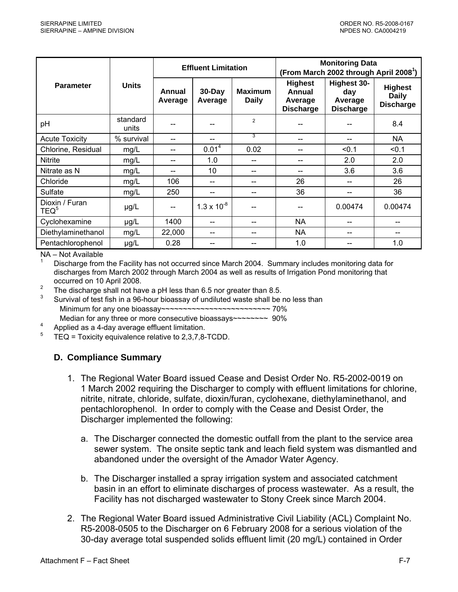<span id="page-59-0"></span>

|                                    |                   | <b>Effluent Limitation</b> |                       |                                | <b>Monitoring Data</b><br>(From March 2002 through April 2008 <sup>1</sup> ) |                                                          |                                                    |
|------------------------------------|-------------------|----------------------------|-----------------------|--------------------------------|------------------------------------------------------------------------------|----------------------------------------------------------|----------------------------------------------------|
| <b>Parameter</b>                   | <b>Units</b>      | Annual<br>Average          | $30 - Day$<br>Average | <b>Maximum</b><br><b>Daily</b> | <b>Highest</b><br>Annual<br>Average<br><b>Discharge</b>                      | <b>Highest 30-</b><br>day<br>Average<br><b>Discharge</b> | <b>Highest</b><br><b>Daily</b><br><b>Discharge</b> |
| pH                                 | standard<br>units |                            |                       | $\overline{2}$                 |                                                                              |                                                          | 8.4                                                |
| <b>Acute Toxicity</b>              | % survival        | --                         |                       | 3                              |                                                                              |                                                          | NA                                                 |
| Chlorine, Residual                 | mg/L              | --                         | 0.01 <sup>4</sup>     | 0.02                           | --                                                                           | < 0.1                                                    | < 0.1                                              |
| Nitrite                            | mg/L              | $- -$                      | 1.0                   | --                             | --                                                                           | 2.0                                                      | 2.0                                                |
| Nitrate as N                       | mg/L              | --                         | 10                    |                                |                                                                              | 3.6                                                      | 3.6                                                |
| Chloride                           | mg/L              | 106                        | --                    | --                             | 26                                                                           | $-$                                                      | 26                                                 |
| Sulfate                            | mg/L              | 250                        |                       |                                | 36                                                                           | --                                                       | 36                                                 |
| Dioxin / Furan<br>TEQ <sup>5</sup> | µg/L              | --                         | $1.3 \times 10^{-8}$  |                                |                                                                              | 0.00474                                                  | 0.00474                                            |
| Cyclohexamine                      | µg/L              | 1400                       |                       | --                             | <b>NA</b>                                                                    |                                                          |                                                    |
| Diethylaminethanol                 | mg/L              | 22,000                     |                       |                                | NA                                                                           |                                                          |                                                    |
| Pentachlorophenol                  | µg/L              | 0.28                       |                       |                                | 1.0                                                                          |                                                          | 1.0                                                |

NA – Not Available

1 Discharge from the Facility has not occurred since March 2004. Summary includes monitoring data for discharges from March 2002 through March 2004 as well as results of Irrigation Pond monitoring that occurred on 10 April 2008.

 $\mathfrak{p}$ The discharge shall not have a pH less than 6.5 nor greater than 8.5.

3 Survival of test fish in a 96-hour bioassay of undiluted waste shall be no less than Minimum for any one bioassay~~~~~~~~~~~~~~~~~~~~~~~~~~~~~ 70% Median for any three or more consecutive bioassays~~~~~~~~~~~ 90%

4 Applied as a 4-day average effluent limitation.

5 TEQ = Toxicity equivalence relative to 2,3,7,8-TCDD.

### **D. Compliance Summary**

- 1. The Regional Water Board issued Cease and Desist Order No. R5-2002-0019 on 1 March 2002 requiring the Discharger to comply with effluent limitations for chlorine, nitrite, nitrate, chloride, sulfate, dioxin/furan, cyclohexane, diethylaminethanol, and pentachlorophenol. In order to comply with the Cease and Desist Order, the Discharger implemented the following:
	- a. The Discharger connected the domestic outfall from the plant to the service area sewer system. The onsite septic tank and leach field system was dismantled and abandoned under the oversight of the Amador Water Agency.
	- b. The Discharger installed a spray irrigation system and associated catchment basin in an effort to eliminate discharges of process wastewater. As a result, the Facility has not discharged wastewater to Stony Creek since March 2004.
- 2. The Regional Water Board issued Administrative Civil Liability (ACL) Complaint No. R5-2008-0505 to the Discharger on 6 February 2008 for a serious violation of the 30-day average total suspended solids effluent limit (20 mg/L) contained in Order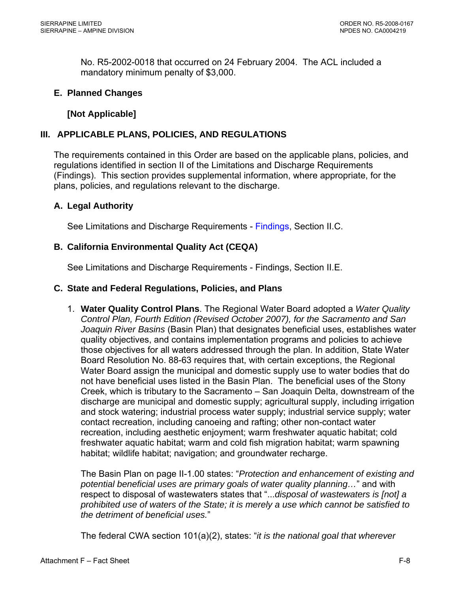<span id="page-60-0"></span>No. R5-2002-0018 that occurred on 24 February 2004. The ACL included a mandatory minimum penalty of \$3,000.

#### **E. Planned Changes**

### **[Not Applicable]**

#### **III. APPLICABLE PLANS, POLICIES, AND REGULATIONS**

The requirements contained in this Order are based on the applicable plans, policies, and regulations identified in section II of the Limitations and Discharge Requirements ([Findings](#page-2-0)). This section provides supplemental information, where appropriate, for the plans, policies, and regulations relevant to the discharge.

#### **A. Legal Authority**

See Limitations and Discharge Requirements - [Findings, Section II.C.](#page-2-0) 

#### **B. California Environmental Quality Act (CEQA)**

See Limitations and Discharge Requirements - [Findings, Section II.E.](#page-3-0) 

#### **C. State and Federal Regulations, Policies, and Plans**

1. **Water Quality Control Plans**. The Regional Water Board adopted a *Water Quality Control Plan, Fourth Edition (Revised October 2007), for the Sacramento and San Joaquin River Basins* (Basin Plan) that designates beneficial uses, establishes water quality objectives, and contains implementation programs and policies to achieve those objectives for all waters addressed through the plan. In addition, State Water Board Resolution No. 88-63 requires that, with certain exceptions, the Regional Water Board assign the municipal and domestic supply use to water bodies that do not have beneficial uses listed in the Basin Plan. The beneficial uses of the Stony Creek, which is tributary to the Sacramento – San Joaquin Delta, downstream of the discharge are municipal and domestic supply; agricultural supply, including irrigation and stock watering; industrial process water supply; industrial service supply; water contact recreation, including canoeing and rafting; other non-contact water recreation, including aesthetic enjoyment; warm freshwater aquatic habitat; cold freshwater aquatic habitat; warm and cold fish migration habitat; warm spawning habitat; wildlife habitat; navigation; and groundwater recharge.

The Basin Plan on page II-1.00 states: "*Protection and enhancement of existing and potential beneficial uses are primary goals of water quality planning…*" and with respect to disposal of wastewaters states that "...*disposal of wastewaters is [not] a prohibited use of waters of the State; it is merely a use which cannot be satisfied to the detriment of beneficial uses.*"

The federal CWA section 101(a)(2), states: "*it is the national goal that wherever*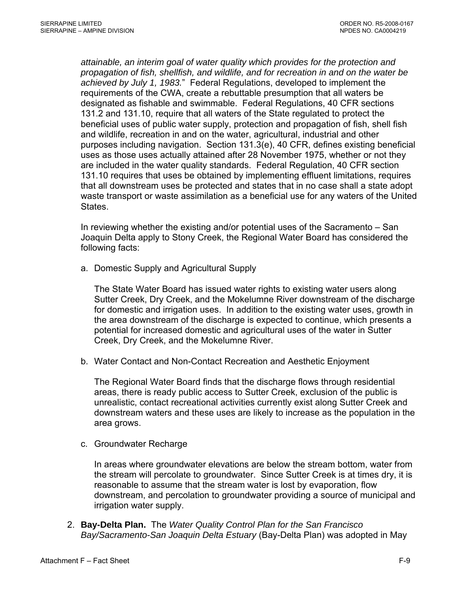*attainable, an interim goal of water quality which provides for the protection and propagation of fish, shellfish, and wildlife, and for recreation in and on the water be achieved by July 1, 1983.*" Federal Regulations, developed to implement the requirements of the CWA, create a rebuttable presumption that all waters be designated as fishable and swimmable. Federal Regulations, 40 CFR sections 131.2 and 131.10, require that all waters of the State regulated to protect the beneficial uses of public water supply, protection and propagation of fish, shell fish and wildlife, recreation in and on the water, agricultural, industrial and other purposes including navigation. Section 131.3(e), 40 CFR, defines existing beneficial uses as those uses actually attained after 28 November 1975, whether or not they are included in the water quality standards. Federal Regulation, 40 CFR section 131.10 requires that uses be obtained by implementing effluent limitations, requires that all downstream uses be protected and states that in no case shall a state adopt waste transport or waste assimilation as a beneficial use for any waters of the United States.

In reviewing whether the existing and/or potential uses of the Sacramento – San Joaquin Delta apply to Stony Creek, the Regional Water Board has considered the following facts:

a. Domestic Supply and Agricultural Supply

The State Water Board has issued water rights to existing water users along Sutter Creek, Dry Creek, and the Mokelumne River downstream of the discharge for domestic and irrigation uses. In addition to the existing water uses, growth in the area downstream of the discharge is expected to continue, which presents a potential for increased domestic and agricultural uses of the water in Sutter Creek, Dry Creek, and the Mokelumne River.

b. Water Contact and Non-Contact Recreation and Aesthetic Enjoyment

The Regional Water Board finds that the discharge flows through residential areas, there is ready public access to Sutter Creek, exclusion of the public is unrealistic, contact recreational activities currently exist along Sutter Creek and downstream waters and these uses are likely to increase as the population in the area grows.

c. Groundwater Recharge

In areas where groundwater elevations are below the stream bottom, water from the stream will percolate to groundwater. Since Sutter Creek is at times dry, it is reasonable to assume that the stream water is lost by evaporation, flow downstream, and percolation to groundwater providing a source of municipal and irrigation water supply.

2. **Bay-Delta Plan.** The *Water Quality Control Plan for the San Francisco Bay/Sacramento-San Joaquin Delta Estuary* (Bay-Delta Plan) was adopted in May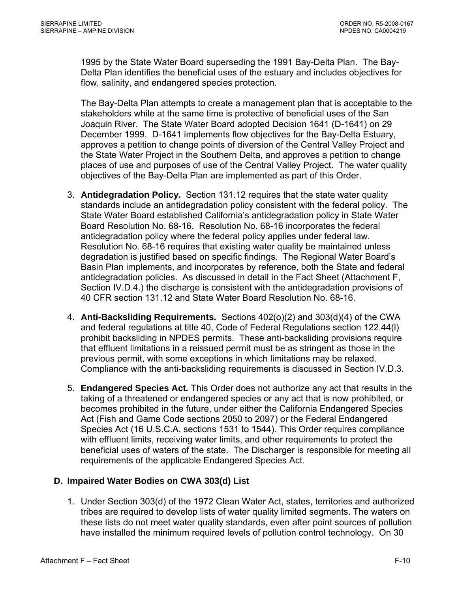<span id="page-62-0"></span>1995 by the State Water Board superseding the 1991 Bay-Delta Plan. The Bay-Delta Plan identifies the beneficial uses of the estuary and includes objectives for flow, salinity, and endangered species protection.

The Bay-Delta Plan attempts to create a management plan that is acceptable to the stakeholders while at the same time is protective of beneficial uses of the San Joaquin River. The State Water Board adopted Decision 1641 (D-1641) on 29 December 1999. D-1641 implements flow objectives for the Bay-Delta Estuary, approves a petition to change points of diversion of the Central Valley Project and the State Water Project in the Southern Delta, and approves a petition to change places of use and purposes of use of the Central Valley Project. The water quality objectives of the Bay-Delta Plan are implemented as part of this Order.

- 3. **Antidegradation Policy.** Section 131.12 requires that the state water quality standards include an antidegradation policy consistent with the federal policy. The State Water Board established California's antidegradation policy in State Water Board Resolution No. 68-16. Resolution No. 68-16 incorporates the federal antidegradation policy where the federal policy applies under federal law. Resolution No. 68-16 requires that existing water quality be maintained unless degradation is justified based on specific findings. The Regional Water Board's Basin Plan implements, and incorporates by reference, both the State and federal antidegradation policies. As discussed in detail in the Fact Sheet ([Attachment F,](#page-81-0)  [Section IV.D.4.](#page-81-0)) the discharge is consistent with the antidegradation provisions of 40 CFR section 131.12 and State Water Board Resolution No. 68-16.
- 4. **Anti-Backsliding Requirements.** Sections 402(o)(2) and 303(d)(4) of the CWA and federal regulations at title 40, Code of Federal Regulations section 122.44(l) prohibit backsliding in NPDES permits. These anti-backsliding provisions require that effluent limitations in a reissued permit must be as stringent as those in the previous permit, with some exceptions in which limitations may be relaxed. Compliance with the anti-backsliding requirements is discussed in [Section IV.D.3.](#page-79-0)
- 5. **Endangered Species Act***.* This Order does not authorize any act that results in the taking of a threatened or endangered species or any act that is now prohibited, or becomes prohibited in the future, under either the California Endangered Species Act (Fish and Game Code sections 2050 to 2097) or the Federal Endangered Species Act (16 U.S.C.A. sections 1531 to 1544). This Order requires compliance with effluent limits, receiving water limits, and other requirements to protect the beneficial uses of waters of the state. The Discharger is responsible for meeting all requirements of the applicable Endangered Species Act.

### **D. Impaired Water Bodies on CWA 303(d) List**

1. Under Section 303(d) of the 1972 Clean Water Act, states, territories and authorized tribes are required to develop lists of water quality limited segments. The waters on these lists do not meet water quality standards, even after point sources of pollution have installed the minimum required levels of pollution control technology. On 30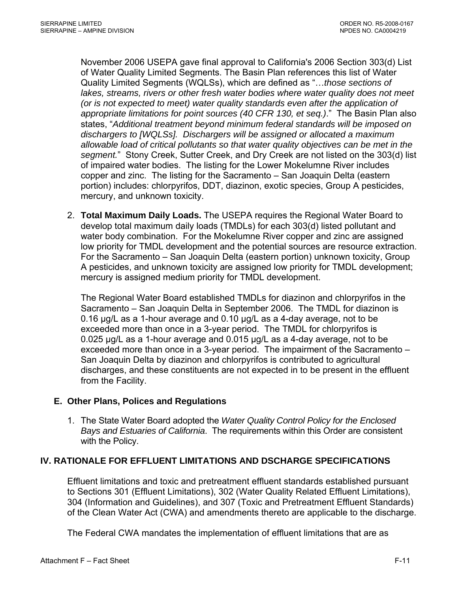<span id="page-63-0"></span>November 2006 USEPA gave final approval to California's 2006 Section 303(d) List of Water Quality Limited Segments. The Basin Plan references this list of Water Quality Limited Segments (WQLSs), which are defined as "…*those sections of*  lakes, streams, rivers or other fresh water bodies where water quality does not meet *(or is not expected to meet) water quality standards even after the application of appropriate limitations for point sources (40 CFR 130, et seq.)*." The Basin Plan also states, "*Additional treatment beyond minimum federal standards will be imposed on dischargers to [WQLSs]. Dischargers will be assigned or allocated a maximum allowable load of critical pollutants so that water quality objectives can be met in the segment.*" Stony Creek, Sutter Creek, and Dry Creek are not listed on the 303(d) list of impaired water bodies. The listing for the Lower Mokelumne River includes copper and zinc. The listing for the Sacramento – San Joaquin Delta (eastern portion) includes: chlorpyrifos, DDT, diazinon, exotic species, Group A pesticides, mercury, and unknown toxicity.

2. **Total Maximum Daily Loads.** The USEPA requires the Regional Water Board to develop total maximum daily loads (TMDLs) for each 303(d) listed pollutant and water body combination. For the Mokelumne River copper and zinc are assigned low priority for TMDL development and the potential sources are resource extraction. For the Sacramento – San Joaquin Delta (eastern portion) unknown toxicity, Group A pesticides, and unknown toxicity are assigned low priority for TMDL development; mercury is assigned medium priority for TMDL development.

The Regional Water Board established TMDLs for diazinon and chlorpyrifos in the Sacramento – San Joaquin Delta in September 2006. The TMDL for diazinon is 0.16 µg/L as a 1-hour average and 0.10 µg/L as a 4-day average, not to be exceeded more than once in a 3-year period. The TMDL for chlorpyrifos is 0.025 µg/L as a 1-hour average and 0.015 µg/L as a 4-day average, not to be exceeded more than once in a 3-year period. The impairment of the Sacramento – San Joaquin Delta by diazinon and chlorpyrifos is contributed to agricultural discharges, and these constituents are not expected in to be present in the effluent from the Facility.

#### **E. Other Plans, Polices and Regulations**

1. The State Water Board adopted the *Water Quality Control Policy for the Enclosed Bays and Estuaries of California*. The requirements within this Order are consistent with the Policy.

### **IV. RATIONALE FOR EFFLUENT LIMITATIONS AND DSCHARGE SPECIFICATIONS**

Effluent limitations and toxic and pretreatment effluent standards established pursuant to Sections 301 (Effluent Limitations), 302 (Water Quality Related Effluent Limitations), 304 (Information and Guidelines), and 307 (Toxic and Pretreatment Effluent Standards) of the Clean Water Act (CWA) and amendments thereto are applicable to the discharge.

The Federal CWA mandates the implementation of effluent limitations that are as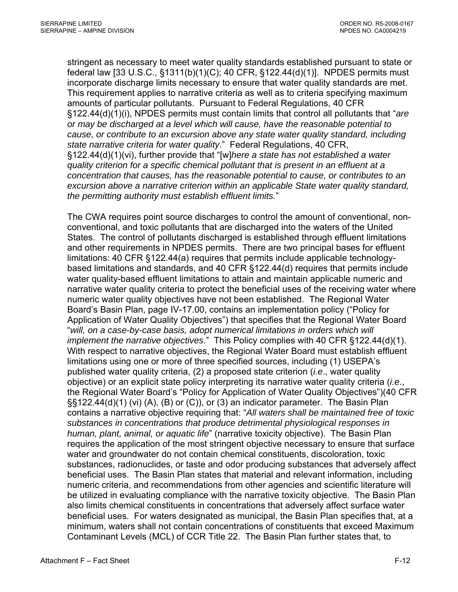stringent as necessary to meet water quality standards established pursuant to state or federal law [33 U.S.C., §1311(b)(1)(C); 40 CFR, §122.44(d)(1)]. NPDES permits must incorporate discharge limits necessary to ensure that water quality standards are met. This requirement applies to narrative criteria as well as to criteria specifying maximum amounts of particular pollutants. Pursuant to Federal Regulations, 40 CFR §122.44(d)(1)(i), NPDES permits must contain limits that control all pollutants that "*are or may be discharged at a level which will cause, have the reasonable potential to cause, or contribute to an excursion above any state water quality standard, including state narrative criteria for water quality*." Federal Regulations, 40 CFR, §122.44(d)(1)(vi), further provide that "[w]*here a state has not established a water quality criterion for a specific chemical pollutant that is present in an effluent at a concentration that causes, has the reasonable potential to cause, or contributes to an excursion above a narrative criterion within an applicable State water quality standard, the permitting authority must establish effluent limits.*"

The CWA requires point source discharges to control the amount of conventional, nonconventional, and toxic pollutants that are discharged into the waters of the United States. The control of pollutants discharged is established through effluent limitations and other requirements in NPDES permits. There are two principal bases for effluent limitations: 40 CFR §122.44(a) requires that permits include applicable technologybased limitations and standards, and 40 CFR §122.44(d) requires that permits include water quality-based effluent limitations to attain and maintain applicable numeric and narrative water quality criteria to protect the beneficial uses of the receiving water where numeric water quality objectives have not been established. The Regional Water Board's Basin Plan, page IV-17.00, contains an implementation policy ("Policy for Application of Water Quality Objectives") that specifies that the Regional Water Board "*will, on a case-by-case basis, adopt numerical limitations in orders which will implement the narrative objectives*." This Policy complies with 40 CFR §122.44(d)(1). With respect to narrative objectives, the Regional Water Board must establish effluent limitations using one or more of three specified sources, including (1) USEPA's published water quality criteria, (2) a proposed state criterion (*i.e*., water quality objective) or an explicit state policy interpreting its narrative water quality criteria (*i.e*., the Regional Water Board's "Policy for Application of Water Quality Objectives")(40 CFR §§122.44(d)(1) (vi) (A), (B) or (C)), or (3) an indicator parameter. The Basin Plan contains a narrative objective requiring that: "*All waters shall be maintained free of toxic substances in concentrations that produce detrimental physiological responses in human, plant, animal, or aquatic life*" (narrative toxicity objective). The Basin Plan requires the application of the most stringent objective necessary to ensure that surface water and groundwater do not contain chemical constituents, discoloration, toxic substances, radionuclides, or taste and odor producing substances that adversely affect beneficial uses. The Basin Plan states that material and relevant information, including numeric criteria, and recommendations from other agencies and scientific literature will be utilized in evaluating compliance with the narrative toxicity objective. The Basin Plan also limits chemical constituents in concentrations that adversely affect surface water beneficial uses. For waters designated as municipal, the Basin Plan specifies that, at a minimum, waters shall not contain concentrations of constituents that exceed Maximum Contaminant Levels (MCL) of CCR Title 22. The Basin Plan further states that, to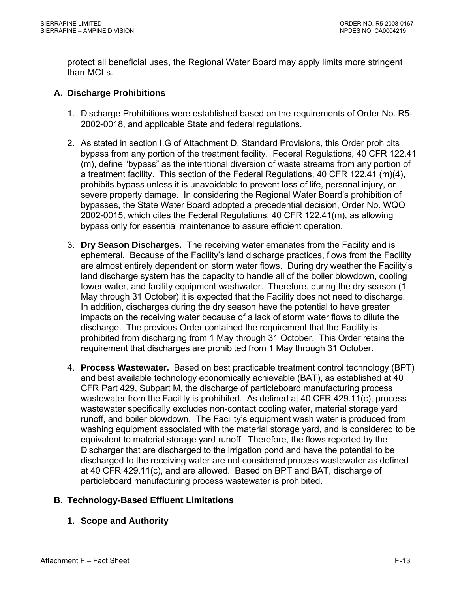<span id="page-65-0"></span>protect all beneficial uses, the Regional Water Board may apply limits more stringent than MCLs.

### **A. Discharge Prohibitions**

- 1. Discharge Prohibitions were established based on the requirements of Order No. R5- 2002-0018, and applicable State and federal regulations.
- 2. As stated in section I.G of Attachment D, Standard Provisions, this Order prohibits bypass from any portion of the treatment facility. Federal Regulations, 40 CFR 122.41 (m), define "bypass" as the intentional diversion of waste streams from any portion of a treatment facility. This section of the Federal Regulations, 40 CFR 122.41 (m)(4), prohibits bypass unless it is unavoidable to prevent loss of life, personal injury, or severe property damage. In considering the Regional Water Board's prohibition of bypasses, the State Water Board adopted a precedential decision, Order No. WQO 2002-0015, which cites the Federal Regulations, 40 CFR 122.41(m), as allowing bypass only for essential maintenance to assure efficient operation.
- 3. **Dry Season Discharges.** The receiving water emanates from the Facility and is ephemeral. Because of the Facility's land discharge practices, flows from the Facility are almost entirely dependent on storm water flows. During dry weather the Facility's land discharge system has the capacity to handle all of the boiler blowdown, cooling tower water, and facility equipment washwater. Therefore, during the dry season (1 May through 31 October) it is expected that the Facility does not need to discharge. In addition, discharges during the dry season have the potential to have greater impacts on the receiving water because of a lack of storm water flows to dilute the discharge. The previous Order contained the requirement that the Facility is prohibited from discharging from 1 May through 31 October. This Order retains the requirement that discharges are prohibited from 1 May through 31 October.
- 4. **Process Wastewater.** Based on best practicable treatment control technology (BPT) and best available technology economically achievable (BAT), as established at 40 CFR Part 429, Subpart M, the discharge of particleboard manufacturing process wastewater from the Facility is prohibited. As defined at 40 CFR 429.11(c), process wastewater specifically excludes non-contact cooling water, material storage yard runoff, and boiler blowdown. The Facility's equipment wash water is produced from washing equipment associated with the material storage yard, and is considered to be equivalent to material storage yard runoff. Therefore, the flows reported by the Discharger that are discharged to the irrigation pond and have the potential to be discharged to the receiving water are not considered process wastewater as defined at 40 CFR 429.11(c), and are allowed. Based on BPT and BAT, discharge of particleboard manufacturing process wastewater is prohibited.

### **B. Technology-Based Effluent Limitations**

#### **1. Scope and Authority**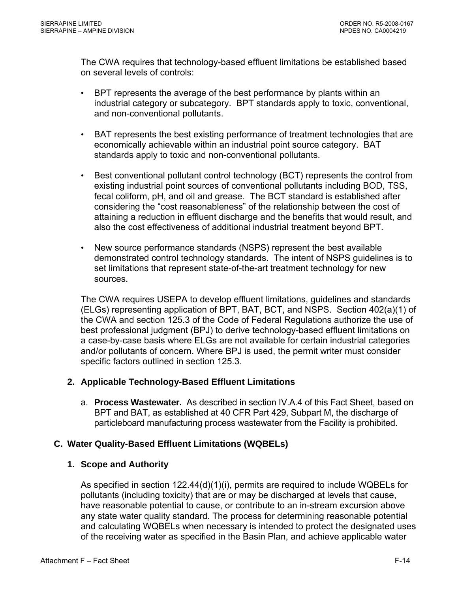<span id="page-66-0"></span>The CWA requires that technology-based effluent limitations be established based on several levels of controls:

- BPT represents the average of the best performance by plants within an industrial category or subcategory. BPT standards apply to toxic, conventional, and non-conventional pollutants.
- BAT represents the best existing performance of treatment technologies that are economically achievable within an industrial point source category. BAT standards apply to toxic and non-conventional pollutants.
- Best conventional pollutant control technology (BCT) represents the control from existing industrial point sources of conventional pollutants including BOD, TSS, fecal coliform, pH, and oil and grease. The BCT standard is established after considering the "cost reasonableness" of the relationship between the cost of attaining a reduction in effluent discharge and the benefits that would result, and also the cost effectiveness of additional industrial treatment beyond BPT.
- New source performance standards (NSPS) represent the best available demonstrated control technology standards. The intent of NSPS guidelines is to set limitations that represent state-of-the-art treatment technology for new sources.

The CWA requires USEPA to develop effluent limitations, guidelines and standards (ELGs) representing application of BPT, BAT, BCT, and NSPS. Section 402(a)(1) of the CWA and section 125.3 of the Code of Federal Regulations authorize the use of best professional judgment (BPJ) to derive technology-based effluent limitations on a case-by-case basis where ELGs are not available for certain industrial categories and/or pollutants of concern. Where BPJ is used, the permit writer must consider specific factors outlined in section 125.3.

#### **2. Applicable Technology-Based Effluent Limitations**

a. **Process Wastewater.** As described in section IV.A.4 of this Fact Sheet, based on BPT and BAT, as established at 40 CFR Part 429, Subpart M, the discharge of particleboard manufacturing process wastewater from the Facility is prohibited.

#### **C. Water Quality-Based Effluent Limitations (WQBELs)**

#### **1. Scope and Authority**

As specified in section 122.44(d)(1)(i), permits are required to include WQBELs for pollutants (including toxicity) that are or may be discharged at levels that cause, have reasonable potential to cause, or contribute to an in-stream excursion above any state water quality standard. The process for determining reasonable potential and calculating WQBELs when necessary is intended to protect the designated uses of the receiving water as specified in the Basin Plan, and achieve applicable water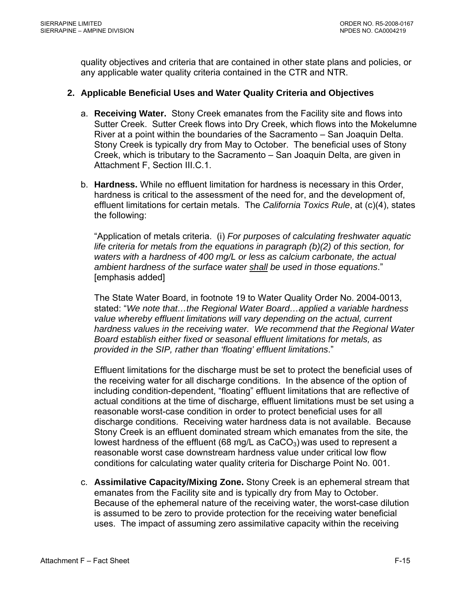<span id="page-67-0"></span>quality objectives and criteria that are contained in other state plans and policies, or any applicable water quality criteria contained in the CTR and NTR.

#### **2. Applicable Beneficial Uses and Water Quality Criteria and Objectives**

- a. **Receiving Water.** Stony Creek emanates from the Facility site and flows into Sutter Creek. Sutter Creek flows into Dry Creek, which flows into the Mokelumne River at a point within the boundaries of the Sacramento – San Joaquin Delta. Stony Creek is typically dry from May to October. The beneficial uses of Stony Creek, which is tributary to the Sacramento – San Joaquin Delta, are given in Attachment F, Section III.C.1.
- b. **Hardness.** While no effluent limitation for hardness is necessary in this Order, hardness is critical to the assessment of the need for, and the development of, effluent limitations for certain metals. The *California Toxics Rule*, at (c)(4), states the following:

"Application of metals criteria. (i) *For purposes of calculating freshwater aquatic life criteria for metals from the equations in paragraph (b)(2) of this section, for waters with a hardness of 400 mg/L or less as calcium carbonate, the actual ambient hardness of the surface water shall be used in those equations*." [emphasis added]

The State Water Board, in footnote 19 to Water Quality Order No. 2004-0013, stated: "*We note that…the Regional Water Board…applied a variable hardness value whereby effluent limitations will vary depending on the actual, current hardness values in the receiving water. We recommend that the Regional Water Board establish either fixed or seasonal effluent limitations for metals, as provided in the SIP, rather than 'floating' effluent limitations*."

Effluent limitations for the discharge must be set to protect the beneficial uses of the receiving water for all discharge conditions. In the absence of the option of including condition-dependent, "floating" effluent limitations that are reflective of actual conditions at the time of discharge, effluent limitations must be set using a reasonable worst-case condition in order to protect beneficial uses for all discharge conditions. Receiving water hardness data is not available. Because Stony Creek is an effluent dominated stream which emanates from the site, the lowest hardness of the effluent (68 mg/L as  $CaCO<sub>3</sub>$ ) was used to represent a reasonable worst case downstream hardness value under critical low flow conditions for calculating water quality criteria for Discharge Point No. 001.

c. **Assimilative Capacity/Mixing Zone.** Stony Creek is an ephemeral stream that emanates from the Facility site and is typically dry from May to October. Because of the ephemeral nature of the receiving water, the worst-case dilution is assumed to be zero to provide protection for the receiving water beneficial uses. The impact of assuming zero assimilative capacity within the receiving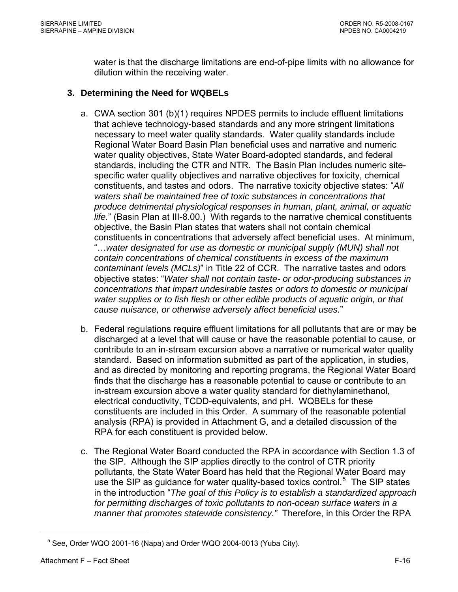<span id="page-68-0"></span>water is that the discharge limitations are end-of-pipe limits with no allowance for dilution within the receiving water.

### **3. Determining the Need for WQBELs**

- a. CWA section 301 (b)(1) requires NPDES permits to include effluent limitations that achieve technology-based standards and any more stringent limitations necessary to meet water quality standards. Water quality standards include Regional Water Board Basin Plan beneficial uses and narrative and numeric water quality objectives, State Water Board-adopted standards, and federal standards, including the CTR and NTR. The Basin Plan includes numeric sitespecific water quality objectives and narrative objectives for toxicity, chemical constituents, and tastes and odors. The narrative toxicity objective states: "*All waters shall be maintained free of toxic substances in concentrations that produce detrimental physiological responses in human, plant, animal, or aquatic life.*" (Basin Plan at III-8.00.) With regards to the narrative chemical constituents objective, the Basin Plan states that waters shall not contain chemical constituents in concentrations that adversely affect beneficial uses. At minimum, "…*water designated for use as domestic or municipal supply (MUN) shall not contain concentrations of chemical constituents in excess of the maximum contaminant levels (MCLs)*" in Title 22 of CCR. The narrative tastes and odors objective states: "*Water shall not contain taste- or odor-producing substances in concentrations that impart undesirable tastes or odors to domestic or municipal water supplies or to fish flesh or other edible products of aquatic origin, or that cause nuisance, or otherwise adversely affect beneficial uses.*"
- b. Federal regulations require effluent limitations for all pollutants that are or may be discharged at a level that will cause or have the reasonable potential to cause, or contribute to an in-stream excursion above a narrative or numerical water quality standard. Based on information submitted as part of the application, in studies, and as directed by monitoring and reporting programs, the Regional Water Board finds that the discharge has a reasonable potential to cause or contribute to an in-stream excursion above a water quality standard for diethylaminethanol, electrical conductivity, TCDD-equivalents, and pH. WQBELs for these constituents are included in this Order. A summary of the reasonable potential analysis (RPA) is provided in Attachment G, and a detailed discussion of the RPA for each constituent is provided below.
- c. The Regional Water Board conducted the RPA in accordance with Section 1.3 of the SIP. Although the SIP applies directly to the control of CTR priority pollutants, the State Water Board has held that the Regional Water Board may use the SIP as guidance for water quality-based toxics control.<sup>[5](#page-68-0)</sup> The SIP states in the introduction "*The goal of this Policy is to establish a standardized approach*  for permitting discharges of toxic pollutants to non-ocean surface waters in a *manner that promotes statewide consistency."* Therefore, in this Order the RPA

 $\overline{a}$ 

 $5$  See, Order WQO 2001-16 (Napa) and Order WQO 2004-0013 (Yuba City).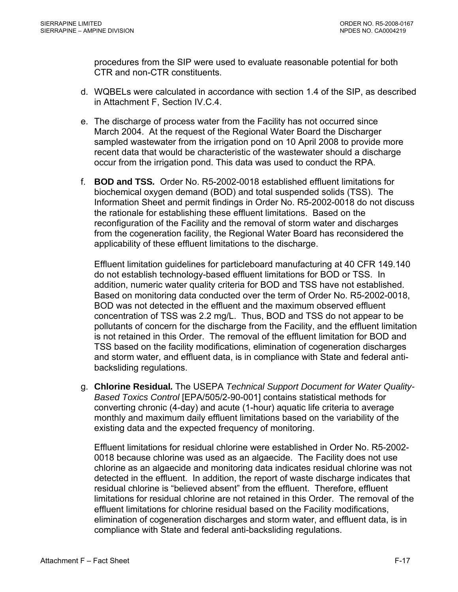procedures from the SIP were used to evaluate reasonable potential for both CTR and non-CTR constituents.

- d. WQBELs were calculated in accordance with section 1.4 of the SIP, as described in [Attachment F, Section IV.C.4.](#page-75-0)
- e. The discharge of process water from the Facility has not occurred since March 2004. At the request of the Regional Water Board the Discharger sampled wastewater from the irrigation pond on 10 April 2008 to provide more recent data that would be characteristic of the wastewater should a discharge occur from the irrigation pond. This data was used to conduct the RPA.
- f. **BOD and TSS***.* Order No. R5-2002-0018 established effluent limitations for biochemical oxygen demand (BOD) and total suspended solids (TSS). The Information Sheet and permit findings in Order No. R5-2002-0018 do not discuss the rationale for establishing these effluent limitations. Based on the reconfiguration of the Facility and the removal of storm water and discharges from the cogeneration facility, the Regional Water Board has reconsidered the applicability of these effluent limitations to the discharge.

Effluent limitation guidelines for particleboard manufacturing at 40 CFR 149.140 do not establish technology-based effluent limitations for BOD or TSS. In addition, numeric water quality criteria for BOD and TSS have not established. Based on monitoring data conducted over the term of Order No. R5-2002-0018, BOD was not detected in the effluent and the maximum observed effluent concentration of TSS was 2.2 mg/L. Thus, BOD and TSS do not appear to be pollutants of concern for the discharge from the Facility, and the effluent limitation is not retained in this Order. The removal of the effluent limitation for BOD and TSS based on the facility modifications, elimination of cogeneration discharges and storm water, and effluent data, is in compliance with State and federal antibacksliding regulations.

g. **Chlorine Residual***.* The USEPA *Technical Support Document for Water Quality-Based Toxics Control* [EPA/505/2-90-001] contains statistical methods for converting chronic (4-day) and acute (1-hour) aquatic life criteria to average monthly and maximum daily effluent limitations based on the variability of the existing data and the expected frequency of monitoring.

Effluent limitations for residual chlorine were established in Order No. R5-2002- 0018 because chlorine was used as an algaecide. The Facility does not use chlorine as an algaecide and monitoring data indicates residual chlorine was not detected in the effluent. In addition, the report of waste discharge indicates that residual chlorine is "believed absent" from the effluent. Therefore, effluent limitations for residual chlorine are not retained in this Order. The removal of the effluent limitations for chlorine residual based on the Facility modifications, elimination of cogeneration discharges and storm water, and effluent data, is in compliance with State and federal anti-backsliding regulations.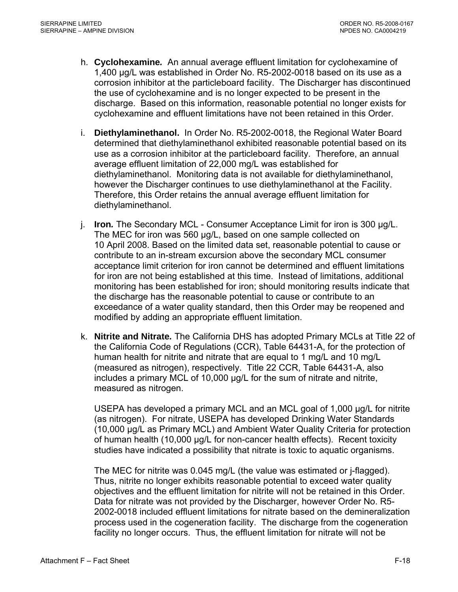- h. **Cyclohexamine***.* An annual average effluent limitation for cyclohexamine of 1,400 µg/L was established in Order No. R5-2002-0018 based on its use as a corrosion inhibitor at the particleboard facility. The Discharger has discontinued the use of cyclohexamine and is no longer expected to be present in the discharge. Based on this information, reasonable potential no longer exists for cyclohexamine and effluent limitations have not been retained in this Order.
- i. **Diethylaminethanol.** In Order No. R5-2002-0018, the Regional Water Board determined that diethylaminethanol exhibited reasonable potential based on its use as a corrosion inhibitor at the particleboard facility. Therefore, an annual average effluent limitation of 22,000 mg/L was established for diethylaminethanol. Monitoring data is not available for diethylaminethanol, however the Discharger continues to use diethylaminethanol at the Facility. Therefore, this Order retains the annual average effluent limitation for diethylaminethanol.
- j. **Iron***.* The Secondary MCL Consumer Acceptance Limit for iron is 300 µg/L. The MEC for iron was 560 µg/L, based on one sample collected on 10 April 2008. Based on the limited data set, reasonable potential to cause or contribute to an in-stream excursion above the secondary MCL consumer acceptance limit criterion for iron cannot be determined and effluent limitations for iron are not being established at this time. Instead of limitations, additional monitoring has been established for iron; should monitoring results indicate that the discharge has the reasonable potential to cause or contribute to an exceedance of a water quality standard, then this Order may be reopened and modified by adding an appropriate effluent limitation.
- k. **Nitrite and Nitrate***.* The California DHS has adopted Primary MCLs at Title 22 of the California Code of Regulations (CCR), Table 64431-A, for the protection of human health for nitrite and nitrate that are equal to 1 mg/L and 10 mg/L (measured as nitrogen), respectively. Title 22 CCR, Table 64431-A, also includes a primary MCL of 10,000 µg/L for the sum of nitrate and nitrite, measured as nitrogen.

USEPA has developed a primary MCL and an MCL goal of 1,000 µg/L for nitrite (as nitrogen). For nitrate, USEPA has developed Drinking Water Standards (10,000 µg/L as Primary MCL) and Ambient Water Quality Criteria for protection of human health (10,000 µg/L for non-cancer health effects). Recent toxicity studies have indicated a possibility that nitrate is toxic to aquatic organisms.

The MEC for nitrite was 0.045 mg/L (the value was estimated or j-flagged). Thus, nitrite no longer exhibits reasonable potential to exceed water quality objectives and the effluent limitation for nitrite will not be retained in this Order. Data for nitrate was not provided by the Discharger, however Order No. R5- 2002-0018 included effluent limitations for nitrate based on the demineralization process used in the cogeneration facility. The discharge from the cogeneration facility no longer occurs. Thus, the effluent limitation for nitrate will not be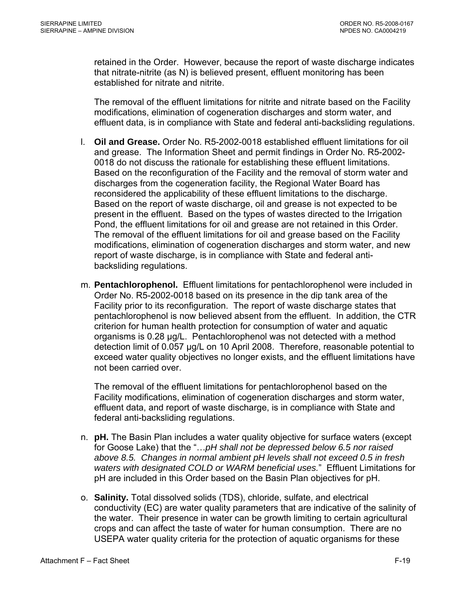retained in the Order. However, because the report of waste discharge indicates that nitrate-nitrite (as N) is believed present, effluent monitoring has been established for nitrate and nitrite.

The removal of the effluent limitations for nitrite and nitrate based on the Facility modifications, elimination of cogeneration discharges and storm water, and effluent data, is in compliance with State and federal anti-backsliding regulations.

- l. **Oil and Grease.** Order No. R5-2002-0018 established effluent limitations for oil and grease. The Information Sheet and permit findings in Order No. R5-2002- 0018 do not discuss the rationale for establishing these effluent limitations. Based on the reconfiguration of the Facility and the removal of storm water and discharges from the cogeneration facility, the Regional Water Board has reconsidered the applicability of these effluent limitations to the discharge. Based on the report of waste discharge, oil and grease is not expected to be present in the effluent. Based on the types of wastes directed to the Irrigation Pond, the effluent limitations for oil and grease are not retained in this Order. The removal of the effluent limitations for oil and grease based on the Facility modifications, elimination of cogeneration discharges and storm water, and new report of waste discharge, is in compliance with State and federal antibacksliding regulations.
- m. **Pentachlorophenol.** Effluent limitations for pentachlorophenol were included in Order No. R5-2002-0018 based on its presence in the dip tank area of the Facility prior to its reconfiguration. The report of waste discharge states that pentachlorophenol is now believed absent from the effluent. In addition, the CTR criterion for human health protection for consumption of water and aquatic organisms is 0.28 µg/L. Pentachlorophenol was not detected with a method detection limit of 0.057 µg/L on 10 April 2008. Therefore, reasonable potential to exceed water quality objectives no longer exists, and the effluent limitations have not been carried over.

The removal of the effluent limitations for pentachlorophenol based on the Facility modifications, elimination of cogeneration discharges and storm water, effluent data, and report of waste discharge, is in compliance with State and federal anti-backsliding regulations.

- n. **pH.** The Basin Plan includes a water quality objective for surface waters (except for Goose Lake) that the "…*pH shall not be depressed below 6.5 nor raised above 8.5. Changes in normal ambient pH levels shall not exceed 0.5 in fresh waters with designated COLD or WARM beneficial uses.*" Effluent Limitations for pH are included in this Order based on the Basin Plan objectives for pH.
- o. **Salinity.** Total dissolved solids (TDS), chloride, sulfate, and electrical conductivity (EC) are water quality parameters that are indicative of the salinity of the water. Their presence in water can be growth limiting to certain agricultural crops and can affect the taste of water for human consumption. There are no USEPA water quality criteria for the protection of aquatic organisms for these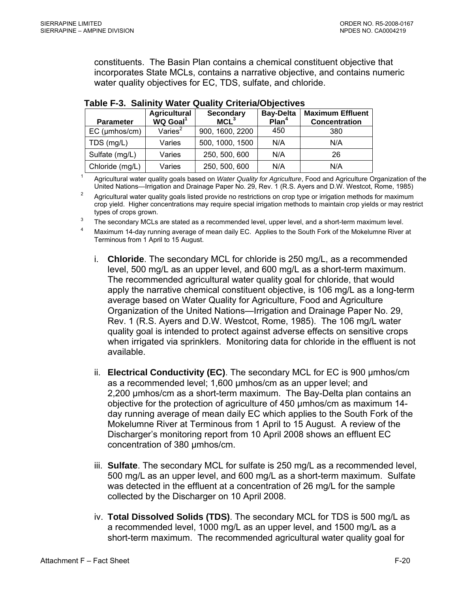constituents. The Basin Plan contains a chemical constituent objective that incorporates State MCLs, contains a narrative objective, and contains numeric water quality objectives for EC, TDS, sulfate, and chloride.

| <b>Parameter</b>    | <b>Agricultural</b><br>WQ Goal <sup>1</sup> | <b>Secondary</b><br>MCL <sup>3</sup> | <b>Bay-Delta</b><br>Plan <sup>4</sup> | <b>Maximum Effluent</b><br><b>Concentration</b> |
|---------------------|---------------------------------------------|--------------------------------------|---------------------------------------|-------------------------------------------------|
| $EC$ ( $µmbos/cm$ ) | Varies $2$                                  | 900, 1600, 2200                      | 450                                   | 380                                             |
| TDS (mg/L)          | Varies                                      | 500, 1000, 1500                      | N/A                                   | N/A                                             |
| Sulfate (mg/L)      | Varies                                      | 250, 500, 600                        | N/A                                   | 26                                              |
| Chloride (mg/L)     | Varies                                      | 250, 500, 600                        | N/A                                   | N/A                                             |

#### **Table F-3. Salinity Water Quality Criteria/Objectives**

1 Agricultural water quality goals based on *Water Quality for Agriculture*, Food and Agriculture Organization of the United Nations—Irrigation and Drainage Paper No. 29, Rev. 1 (R.S. Ayers and D.W. Westcot, Rome, 1985)

 Agricultural water quality goals listed provide no restrictions on crop type or irrigation methods for maximum crop yield. Higher concentrations may require special irrigation methods to maintain crop yields or may restrict types of crops grown.

The secondary MCLs are stated as a recommended level, upper level, and a short-term maximum level.

4 Maximum 14-day running average of mean daily EC. Applies to the South Fork of the Mokelumne River at Terminous from 1 April to 15 August.

- i. **Chloride**. The secondary MCL for chloride is 250 mg/L, as a recommended level, 500 mg/L as an upper level, and 600 mg/L as a short-term maximum. The recommended agricultural water quality goal for chloride, that would apply the narrative chemical constituent objective, is 106 mg/L as a long-term average based on Water Quality for Agriculture, Food and Agriculture Organization of the United Nations—Irrigation and Drainage Paper No. 29, Rev. 1 (R.S. Ayers and D.W. Westcot, Rome, 1985). The 106 mg/L water quality goal is intended to protect against adverse effects on sensitive crops when irrigated via sprinklers. Monitoring data for chloride in the effluent is not available.
- ii. **Electrical Conductivity (EC)**. The secondary MCL for EC is 900 µmhos/cm as a recommended level; 1,600 µmhos/cm as an upper level; and 2,200 µmhos/cm as a short-term maximum. The Bay-Delta plan contains an objective for the protection of agriculture of 450 µmhos/cm as maximum 14 day running average of mean daily EC which applies to the South Fork of the Mokelumne River at Terminous from 1 April to 15 August. A review of the Discharger's monitoring report from 10 April 2008 shows an effluent EC concentration of 380 µmhos/cm.
- iii. **Sulfate**. The secondary MCL for sulfate is 250 mg/L as a recommended level, 500 mg/L as an upper level, and 600 mg/L as a short-term maximum. Sulfate was detected in the effluent at a concentration of 26 mg/L for the sample collected by the Discharger on 10 April 2008.
- iv. **Total Dissolved Solids (TDS)**. The secondary MCL for TDS is 500 mg/L as a recommended level, 1000 mg/L as an upper level, and 1500 mg/L as a short-term maximum. The recommended agricultural water quality goal for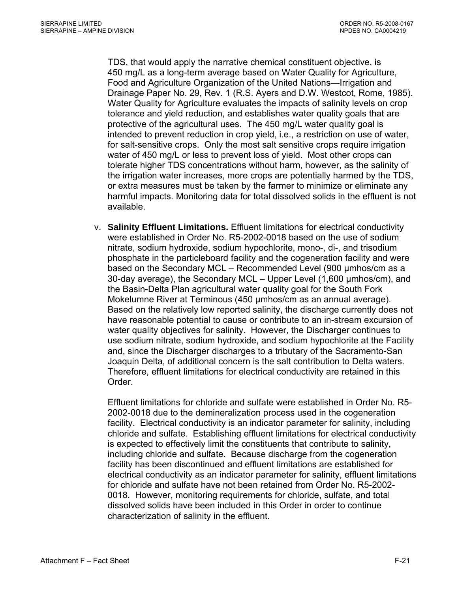TDS, that would apply the narrative chemical constituent objective, is 450 mg/L as a long-term average based on Water Quality for Agriculture, Food and Agriculture Organization of the United Nations—Irrigation and Drainage Paper No. 29, Rev. 1 (R.S. Ayers and D.W. Westcot, Rome, 1985). Water Quality for Agriculture evaluates the impacts of salinity levels on crop tolerance and yield reduction, and establishes water quality goals that are protective of the agricultural uses. The 450 mg/L water quality goal is intended to prevent reduction in crop yield, i.e., a restriction on use of water, for salt-sensitive crops. Only the most salt sensitive crops require irrigation water of 450 mg/L or less to prevent loss of yield. Most other crops can tolerate higher TDS concentrations without harm, however, as the salinity of the irrigation water increases, more crops are potentially harmed by the TDS, or extra measures must be taken by the farmer to minimize or eliminate any harmful impacts. Monitoring data for total dissolved solids in the effluent is not available.

v. **Salinity Effluent Limitations.** Effluent limitations for electrical conductivity were established in Order No. R5-2002-0018 based on the use of sodium nitrate, sodium hydroxide, sodium hypochlorite, mono-, di-, and trisodium phosphate in the particleboard facility and the cogeneration facility and were based on the Secondary MCL – Recommended Level (900 µmhos/cm as a 30-day average), the Secondary MCL – Upper Level (1,600 µmhos/cm), and the Basin-Delta Plan agricultural water quality goal for the South Fork Mokelumne River at Terminous (450 µmhos/cm as an annual average). Based on the relatively low reported salinity, the discharge currently does not have reasonable potential to cause or contribute to an in-stream excursion of water quality objectives for salinity. However, the Discharger continues to use sodium nitrate, sodium hydroxide, and sodium hypochlorite at the Facility and, since the Discharger discharges to a tributary of the Sacramento-San Joaquin Delta, of additional concern is the salt contribution to Delta waters. Therefore, effluent limitations for electrical conductivity are retained in this Order.

Effluent limitations for chloride and sulfate were established in Order No. R5- 2002-0018 due to the demineralization process used in the cogeneration facility. Electrical conductivity is an indicator parameter for salinity, including chloride and sulfate. Establishing effluent limitations for electrical conductivity is expected to effectively limit the constituents that contribute to salinity, including chloride and sulfate. Because discharge from the cogeneration facility has been discontinued and effluent limitations are established for electrical conductivity as an indicator parameter for salinity, effluent limitations for chloride and sulfate have not been retained from Order No. R5-2002- 0018. However, monitoring requirements for chloride, sulfate, and total dissolved solids have been included in this Order in order to continue characterization of salinity in the effluent.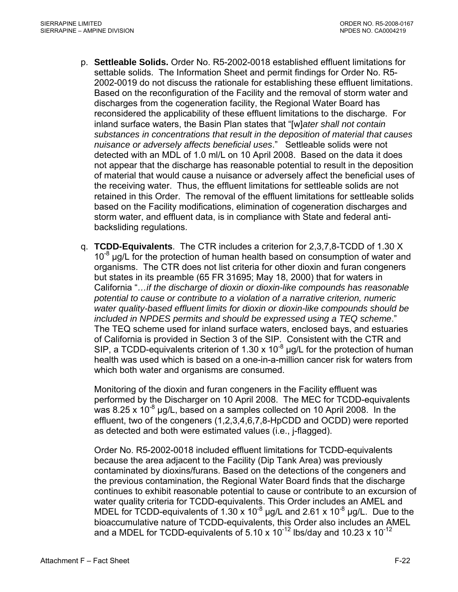- p. **Settleable Solids.** Order No. R5-2002-0018 established effluent limitations for settable solids. The Information Sheet and permit findings for Order No. R5- 2002-0019 do not discuss the rationale for establishing these effluent limitations. Based on the reconfiguration of the Facility and the removal of storm water and discharges from the cogeneration facility, the Regional Water Board has reconsidered the applicability of these effluent limitations to the discharge. For inland surface waters, the Basin Plan states that "[w]*ater shall not contain substances in concentrations that result in the deposition of material that causes nuisance or adversely affects beneficial uses*." Settleable solids were not detected with an MDL of 1.0 ml/L on 10 April 2008. Based on the data it does not appear that the discharge has reasonable potential to result in the deposition of material that would cause a nuisance or adversely affect the beneficial uses of the receiving water. Thus, the effluent limitations for settleable solids are not retained in this Order. The removal of the effluent limitations for settleable solids based on the Facility modifications, elimination of cogeneration discharges and storm water, and effluent data, is in compliance with State and federal antibacksliding regulations.
- q. **TCDD-Equivalents**. The CTR includes a criterion for 2,3,7,8-TCDD of 1.30 X  $10^{-8}$  µg/L for the protection of human health based on consumption of water and organisms. The CTR does not list criteria for other dioxin and furan congeners but states in its preamble (65 FR 31695; May 18, 2000) that for waters in California "*…if the discharge of dioxin or dioxin-like compounds has reasonable potential to cause or contribute to a violation of a narrative criterion, numeric water quality-based effluent limits for dioxin or dioxin-like compounds should be included in NPDES permits and should be expressed using a TEQ scheme*." The TEQ scheme used for inland surface waters, enclosed bays, and estuaries of California is provided in Section 3 of the SIP. Consistent with the CTR and SIP, a TCDD-equivalents criterion of 1.30 x  $10^{-8}$  µg/L for the protection of human health was used which is based on a one-in-a-million cancer risk for waters from which both water and organisms are consumed.

Monitoring of the dioxin and furan congeners in the Facility effluent was performed by the Discharger on 10 April 2008. The MEC for TCDD-equivalents was 8.25 x 10<sup>-8</sup> µg/L, based on a samples collected on 10 April 2008. In the effluent, two of the congeners (1,2,3,4,6,7,8-HpCDD and OCDD) were reported as detected and both were estimated values (i.e., j-flagged).

Order No. R5-2002-0018 included effluent limitations for TCDD-equivalents because the area adjacent to the Facility (Dip Tank Area) was previously contaminated by dioxins/furans. Based on the detections of the congeners and the previous contamination, the Regional Water Board finds that the discharge continues to exhibit reasonable potential to cause or contribute to an excursion of water quality criteria for TCDD-equivalents. This Order includes an AMEL and MDEL for TCDD-equivalents of 1.30 x 10<sup>-8</sup> µg/L and 2.61 x 10<sup>-8</sup> µg/L. Due to the bioaccumulative nature of TCDD-equivalents, this Order also includes an AMEL and a MDEL for TCDD-equivalents of  $5.10 \times 10^{-12}$  lbs/day and 10.23 x 10<sup>-12</sup>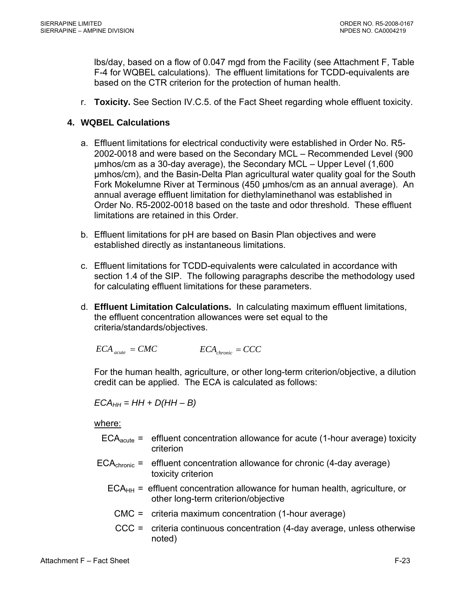lbs/day, based on a flow of 0.047 mgd from the Facility (see Attachment F, Table F-4 for WQBEL calculations). The effluent limitations for TCDD-equivalents are based on the CTR criterion for the protection of human health.

r. **Toxicity.** See Section IV.C.5. of the Fact Sheet regarding whole effluent toxicity.

# **4. WQBEL Calculations**

- a. Effluent limitations for electrical conductivity were established in Order No. R5- 2002-0018 and were based on the Secondary MCL – Recommended Level (900 µmhos/cm as a 30-day average), the Secondary MCL – Upper Level (1,600 µmhos/cm), and the Basin-Delta Plan agricultural water quality goal for the South Fork Mokelumne River at Terminous (450 µmhos/cm as an annual average). An annual average effluent limitation for diethylaminethanol was established in Order No. R5-2002-0018 based on the taste and odor threshold. These effluent limitations are retained in this Order.
- b. Effluent limitations for pH are based on Basin Plan objectives and were established directly as instantaneous limitations.
- c. Effluent limitations for TCDD-equivalents were calculated in accordance with section 1.4 of the SIP. The following paragraphs describe the methodology used for calculating effluent limitations for these parameters.
- d. **Effluent Limitation Calculations.** In calculating maximum effluent limitations, the effluent concentration allowances were set equal to the criteria/standards/objectives.

$$
ECA_{acute} = CMC
$$
 
$$
ECA_{chromic} = CCC
$$

For the human health, agriculture, or other long-term criterion/objective, a dilution credit can be applied. The ECA is calculated as follows:

 $ECA_{HH} = HH + D(HH - B)$ 

where:

- $ECA<sub>acute</sub> =$  effluent concentration allowance for acute (1-hour average) toxicity criterion
- $ECA<sub>chronic</sub> =$  effluent concentration allowance for chronic (4-day average) toxicity criterion
	- $ECA<sub>HH</sub>$  = effluent concentration allowance for human health, agriculture, or other long-term criterion/objective
	- CMC = criteria maximum concentration (1-hour average)
	- CCC = criteria continuous concentration (4-day average, unless otherwise noted)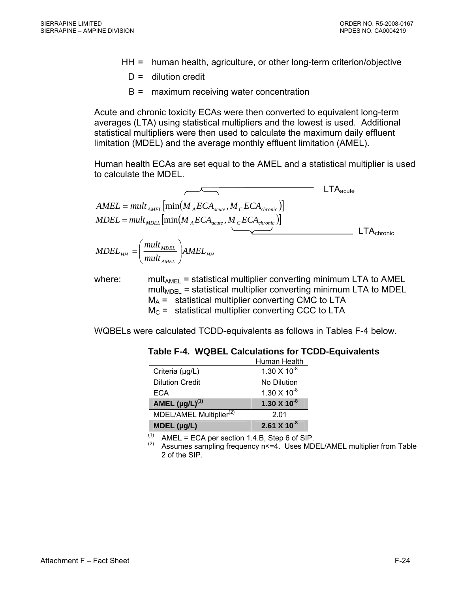- HH = human health, agriculture, or other long-term criterion/objective
	- $D =$  dilution credit
	- B = maximum receiving water concentration

Acute and chronic toxicity ECAs were then converted to equivalent long-term averages (LTA) using statistical multipliers and the lowest is used. Additional statistical multipliers were then used to calculate the maximum daily effluent limitation (MDEL) and the average monthly effluent limitation (AMEL).

Human health ECAs are set equal to the AMEL and a statistical multiplier is used to calculate the MDEL.

$$
AMEL = mult_{AMEL} \left[ min(M_{A}ECA_{acute}, M_{C}ECA_{chronic}) \right]
$$
  
\n
$$
MDEL = mult_{MDEL} \left[ min(M_{A}ECA_{acute}, M_{C}ECA_{chronic}) \right]
$$
  
\n
$$
MDEL_{HH} = \left( \frac{mult_{MDEL}}{mult_{AMEL}} \right) AMEL_{HH}
$$

where: mult<sub>AMEL</sub> = statistical multiplier converting minimum LTA to AMEL  $mult<sub>MDEL</sub>$  = statistical multiplier converting minimum LTA to MDEL  $M_A$  = statistical multiplier converting CMC to LTA  $M<sub>C</sub>$  = statistical multiplier converting CCC to LTA

WQBELs were calculated TCDD-equivalents as follows in Tables F-4 below.

|                                     | Human Health          |
|-------------------------------------|-----------------------|
| Criteria (µg/L)                     | $1.30 \times 10^{-8}$ |
| <b>Dilution Credit</b>              | No Dilution           |
| ECA                                 | $1.30 \times 10^{-8}$ |
| AMEL $(\mu g/L)^{(1)}$              | $1.30 \times 10^{-8}$ |
| MDEL/AMEL Multiplier <sup>(2)</sup> | 2.01                  |
| $MDEL$ (µg/L)                       | $2.61 X 10^{-8}$      |

**Table F-4. WQBEL Calculations for TCDD-Equivalents** 

(1) AMEL = ECA per section 1.4.B, Step 6 of SIP.<br>(2) Assumes sampling frequency n <= 4. Uses MDEL/AMEL multiplier from Table 2 of the SIP.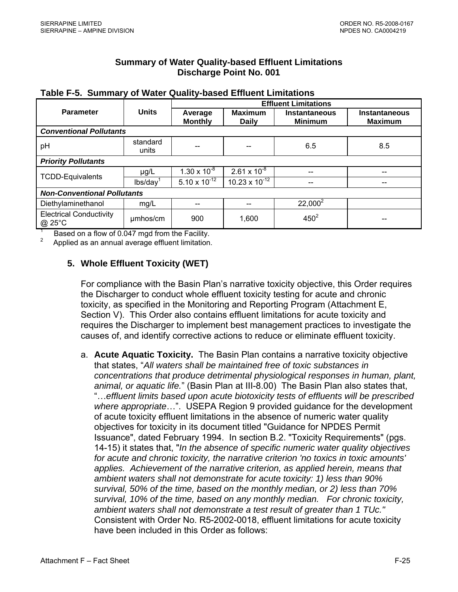# **Summary of Water Quality-based Effluent Limitations Discharge Point No. 001**

|                                                |                   | <b>Effluent Limitations</b> |                                |                                        |                                        |  |  |  |  |
|------------------------------------------------|-------------------|-----------------------------|--------------------------------|----------------------------------------|----------------------------------------|--|--|--|--|
| <b>Parameter</b>                               | <b>Units</b>      | Average<br><b>Monthly</b>   | <b>Maximum</b><br><b>Daily</b> | <b>Instantaneous</b><br><b>Minimum</b> | <b>Instantaneous</b><br><b>Maximum</b> |  |  |  |  |
| <b>Conventional Pollutants</b>                 |                   |                             |                                |                                        |                                        |  |  |  |  |
| pH                                             | standard<br>units |                             |                                | 6.5                                    | 8.5                                    |  |  |  |  |
| <b>Priority Pollutants</b>                     |                   |                             |                                |                                        |                                        |  |  |  |  |
| <b>TCDD-Equivalents</b>                        | $\mu$ g/L         | $1.30 \times 10^{-8}$       | $2.61 \times 10^{-8}$          |                                        |                                        |  |  |  |  |
|                                                | lbs/day           | $5.10 \times 10^{-12}$      | $10.23 \times 10^{-12}$        |                                        |                                        |  |  |  |  |
| <b>Non-Conventional Pollutants</b>             |                   |                             |                                |                                        |                                        |  |  |  |  |
| Diethylaminethanol                             | mg/L              |                             |                                | $22,000^2$                             |                                        |  |  |  |  |
| <b>Electrical Conductivity</b><br>@ 25°C       | umhos/cm          | 900                         | 1,600                          | $450^{2}$                              |                                        |  |  |  |  |
| Board on a flow of 0.047 mad from the Fooility |                   |                             |                                |                                        |                                        |  |  |  |  |

|  |  |  |  | Table F-5. Summary of Water Quality-based Effluent Limitations |
|--|--|--|--|----------------------------------------------------------------|
|--|--|--|--|----------------------------------------------------------------|

 $\frac{1}{2}$  Based on a flow of 0.047 mgd from the Facility.

Applied as an annual average effluent limitation.

# **5. Whole Effluent Toxicity (WET)**

For compliance with the Basin Plan's narrative toxicity objective, this Order requires the Discharger to conduct whole effluent toxicity testing for acute and chronic toxicity, as specified in the Monitoring and Reporting Program (Attachment E, Section V). This Order also contains effluent limitations for acute toxicity and requires the Discharger to implement best management practices to investigate the causes of, and identify corrective actions to reduce or eliminate effluent toxicity.

a. **Acute Aquatic Toxicity.** The Basin Plan contains a narrative toxicity objective that states, "*All waters shall be maintained free of toxic substances in concentrations that produce detrimental physiological responses in human, plant, animal, or aquatic life.*" (Basin Plan at III-8.00) The Basin Plan also states that, "…*effluent limits based upon acute biotoxicity tests of effluents will be prescribed where appropriate*…". USEPA Region 9 provided guidance for the development of acute toxicity effluent limitations in the absence of numeric water quality objectives for toxicity in its document titled "Guidance for NPDES Permit Issuance", dated February 1994. In section B.2. "Toxicity Requirements" (pgs. 14-15) it states that, "*In the absence of specific numeric water quality objectives for acute and chronic toxicity, the narrative criterion 'no toxics in toxic amounts' applies. Achievement of the narrative criterion, as applied herein, means that ambient waters shall not demonstrate for acute toxicity: 1) less than 90% survival, 50% of the time, based on the monthly median, or 2) less than 70% survival, 10% of the time, based on any monthly median. For chronic toxicity, ambient waters shall not demonstrate a test result of greater than 1 TUc."* Consistent with Order No. R5-2002-0018, effluent limitations for acute toxicity have been included in this Order as follows: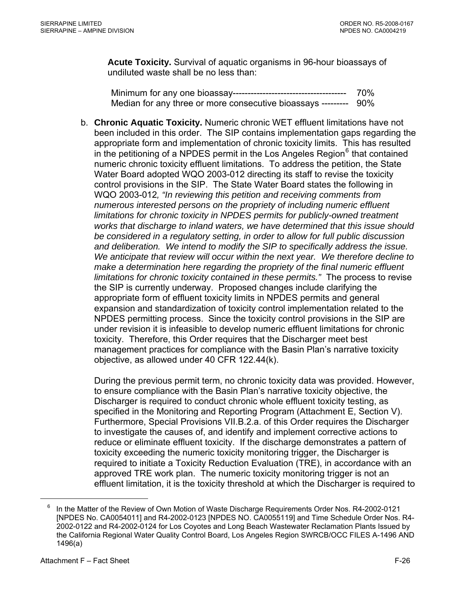<span id="page-78-0"></span>**Acute Toxicity.** Survival of aquatic organisms in 96-hour bioassays of undiluted waste shall be no less than:

Minimum for any one bioassay-------------------------------------- 70% Median for any three or more consecutive bioassays --------- 90%

b. **Chronic Aquatic Toxicity.** Numeric chronic WET effluent limitations have not been included in this order. The SIP contains implementation gaps regarding the appropriate form and implementation of chronic toxicity limits. This has resulted in the petitioning of a NPDES permit in the Los Angeles Region $<sup>6</sup>$  $<sup>6</sup>$  $<sup>6</sup>$  that contained</sup> numeric chronic toxicity effluent limitations. To address the petition, the State Water Board adopted WQO 2003-012 directing its staff to revise the toxicity control provisions in the SIP. The State Water Board states the following in WQO 2003-012*, "In reviewing this petition and receiving comments from numerous interested persons on the propriety of including numeric effluent limitations for chronic toxicity in NPDES permits for publicly-owned treatment works that discharge to inland waters, we have determined that this issue should be considered in a regulatory setting, in order to allow for full public discussion and deliberation. We intend to modify the SIP to specifically address the issue. We anticipate that review will occur within the next year. We therefore decline to make a determination here regarding the propriety of the final numeric effluent limitations for chronic toxicity contained in these permits."* The process to revise the SIP is currently underway. Proposed changes include clarifying the appropriate form of effluent toxicity limits in NPDES permits and general expansion and standardization of toxicity control implementation related to the NPDES permitting process. Since the toxicity control provisions in the SIP are under revision it is infeasible to develop numeric effluent limitations for chronic toxicity. Therefore, this Order requires that the Discharger meet best management practices for compliance with the Basin Plan's narrative toxicity objective, as allowed under 40 CFR 122.44(k).

During the previous permit term, no chronic toxicity data was provided. However, to ensure compliance with the Basin Plan's narrative toxicity objective, the Discharger is required to conduct chronic whole effluent toxicity testing, as specified in the Monitoring and Reporting Program (Attachment E, Section V). Furthermore, Special Provisions VII.B.2.a. of this Order requires the Discharger to investigate the causes of, and identify and implement corrective actions to reduce or eliminate effluent toxicity. If the discharge demonstrates a pattern of toxicity exceeding the numeric toxicity monitoring trigger, the Discharger is required to initiate a Toxicity Reduction Evaluation (TRE), in accordance with an approved TRE work plan. The numeric toxicity monitoring trigger is not an effluent limitation, it is the toxicity threshold at which the Discharger is required to

 $\overline{a}$ 

<sup>6</sup> In the Matter of the Review of Own Motion of Waste Discharge Requirements Order Nos. R4-2002-0121 [NPDES No. CA0054011] and R4-2002-0123 [NPDES NO. CA0055119] and Time Schedule Order Nos. R4- 2002-0122 and R4-2002-0124 for Los Coyotes and Long Beach Wastewater Reclamation Plants Issued by the California Regional Water Quality Control Board, Los Angeles Region SWRCB/OCC FILES A-1496 AND 1496(a)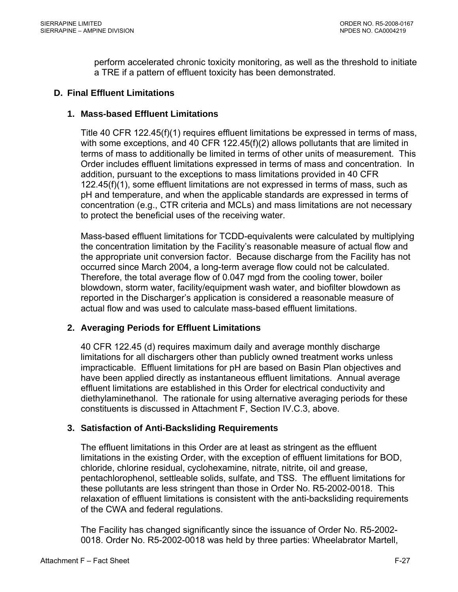perform accelerated chronic toxicity monitoring, as well as the threshold to initiate a TRE if a pattern of effluent toxicity has been demonstrated.

#### **D. Final Effluent Limitations**

#### **1. Mass-based Effluent Limitations**

Title 40 CFR 122.45(f)(1) requires effluent limitations be expressed in terms of mass, with some exceptions, and 40 CFR 122.45(f)(2) allows pollutants that are limited in terms of mass to additionally be limited in terms of other units of measurement. This Order includes effluent limitations expressed in terms of mass and concentration. In addition, pursuant to the exceptions to mass limitations provided in 40 CFR 122.45(f)(1), some effluent limitations are not expressed in terms of mass, such as pH and temperature, and when the applicable standards are expressed in terms of concentration (e.g., CTR criteria and MCLs) and mass limitations are not necessary to protect the beneficial uses of the receiving water.

Mass-based effluent limitations for TCDD-equivalents were calculated by multiplying the concentration limitation by the Facility's reasonable measure of actual flow and the appropriate unit conversion factor. Because discharge from the Facility has not occurred since March 2004, a long-term average flow could not be calculated. Therefore, the total average flow of 0.047 mgd from the cooling tower, boiler blowdown, storm water, facility/equipment wash water, and biofilter blowdown as reported in the Discharger's application is considered a reasonable measure of actual flow and was used to calculate mass-based effluent limitations.

# **2. Averaging Periods for Effluent Limitations**

40 CFR 122.45 (d) requires maximum daily and average monthly discharge limitations for all dischargers other than publicly owned treatment works unless impracticable. Effluent limitations for pH are based on Basin Plan objectives and have been applied directly as instantaneous effluent limitations. Annual average effluent limitations are established in this Order for electrical conductivity and diethylaminethanol. The rationale for using alternative averaging periods for these constituents is discussed in Attachment F, Section IV.C.3, above.

# **3. Satisfaction of Anti-Backsliding Requirements**

The effluent limitations in this Order are at least as stringent as the effluent limitations in the existing Order, with the exception of effluent limitations for BOD, chloride, chlorine residual, cyclohexamine, nitrate, nitrite, oil and grease, pentachlorophenol, settleable solids, sulfate, and TSS. The effluent limitations for these pollutants are less stringent than those in Order No. R5-2002-0018. This relaxation of effluent limitations is consistent with the anti-backsliding requirements of the CWA and federal regulations.

The Facility has changed significantly since the issuance of Order No. R5-2002- 0018. Order No. R5-2002-0018 was held by three parties: Wheelabrator Martell,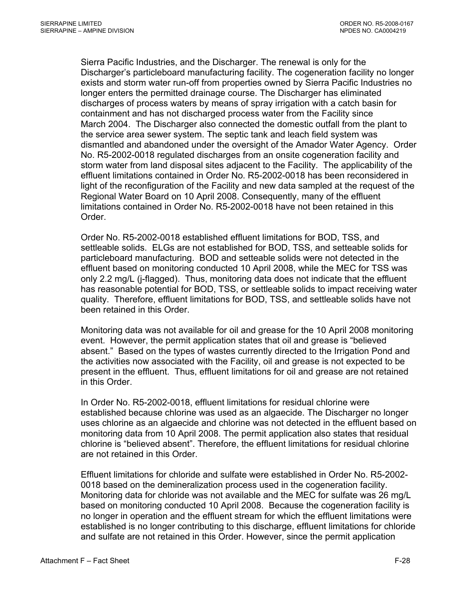Sierra Pacific Industries, and the Discharger. The renewal is only for the Discharger's particleboard manufacturing facility. The cogeneration facility no longer exists and storm water run-off from properties owned by Sierra Pacific Industries no longer enters the permitted drainage course. The Discharger has eliminated discharges of process waters by means of spray irrigation with a catch basin for containment and has not discharged process water from the Facility since March 2004. The Discharger also connected the domestic outfall from the plant to the service area sewer system. The septic tank and leach field system was dismantled and abandoned under the oversight of the Amador Water Agency. Order No. R5-2002-0018 regulated discharges from an onsite cogeneration facility and storm water from land disposal sites adjacent to the Facility. The applicability of the effluent limitations contained in Order No. R5-2002-0018 has been reconsidered in light of the reconfiguration of the Facility and new data sampled at the request of the Regional Water Board on 10 April 2008. Consequently, many of the effluent limitations contained in Order No. R5-2002-0018 have not been retained in this Order.

Order No. R5-2002-0018 established effluent limitations for BOD, TSS, and settleable solids. ELGs are not established for BOD, TSS, and setteable solids for particleboard manufacturing. BOD and setteable solids were not detected in the effluent based on monitoring conducted 10 April 2008, while the MEC for TSS was only 2.2 mg/L (j-flagged). Thus, monitoring data does not indicate that the effluent has reasonable potential for BOD, TSS, or settleable solids to impact receiving water quality. Therefore, effluent limitations for BOD, TSS, and settleable solids have not been retained in this Order.

Monitoring data was not available for oil and grease for the 10 April 2008 monitoring event. However, the permit application states that oil and grease is "believed absent." Based on the types of wastes currently directed to the Irrigation Pond and the activities now associated with the Facility, oil and grease is not expected to be present in the effluent. Thus, effluent limitations for oil and grease are not retained in this Order.

In Order No. R5-2002-0018, effluent limitations for residual chlorine were established because chlorine was used as an algaecide. The Discharger no longer uses chlorine as an algaecide and chlorine was not detected in the effluent based on monitoring data from 10 April 2008. The permit application also states that residual chlorine is "believed absent". Therefore, the effluent limitations for residual chlorine are not retained in this Order.

Effluent limitations for chloride and sulfate were established in Order No. R5-2002- 0018 based on the demineralization process used in the cogeneration facility. Monitoring data for chloride was not available and the MEC for sulfate was 26 mg/L based on monitoring conducted 10 April 2008. Because the cogeneration facility is no longer in operation and the effluent stream for which the effluent limitations were established is no longer contributing to this discharge, effluent limitations for chloride and sulfate are not retained in this Order. However, since the permit application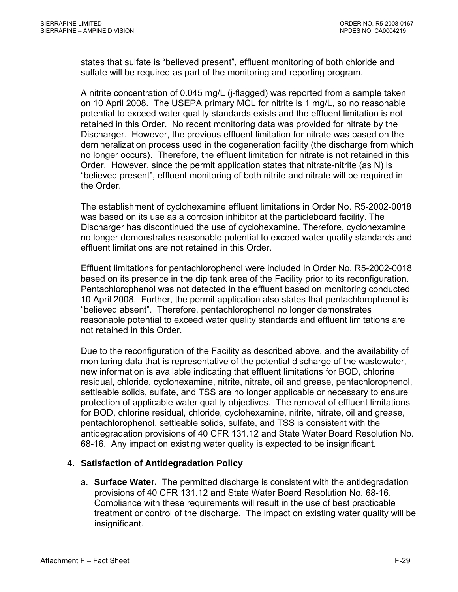states that sulfate is "believed present", effluent monitoring of both chloride and sulfate will be required as part of the monitoring and reporting program.

A nitrite concentration of 0.045 mg/L (j-flagged) was reported from a sample taken on 10 April 2008. The USEPA primary MCL for nitrite is 1 mg/L, so no reasonable potential to exceed water quality standards exists and the effluent limitation is not retained in this Order. No recent monitoring data was provided for nitrate by the Discharger. However, the previous effluent limitation for nitrate was based on the demineralization process used in the cogeneration facility (the discharge from which no longer occurs). Therefore, the effluent limitation for nitrate is not retained in this Order. However, since the permit application states that nitrate-nitrite (as N) is "believed present", effluent monitoring of both nitrite and nitrate will be required in the Order.

The establishment of cyclohexamine effluent limitations in Order No. R5-2002-0018 was based on its use as a corrosion inhibitor at the particleboard facility. The Discharger has discontinued the use of cyclohexamine. Therefore, cyclohexamine no longer demonstrates reasonable potential to exceed water quality standards and effluent limitations are not retained in this Order.

Effluent limitations for pentachlorophenol were included in Order No. R5-2002-0018 based on its presence in the dip tank area of the Facility prior to its reconfiguration. Pentachlorophenol was not detected in the effluent based on monitoring conducted 10 April 2008. Further, the permit application also states that pentachlorophenol is "believed absent". Therefore, pentachlorophenol no longer demonstrates reasonable potential to exceed water quality standards and effluent limitations are not retained in this Order.

Due to the reconfiguration of the Facility as described above, and the availability of monitoring data that is representative of the potential discharge of the wastewater, new information is available indicating that effluent limitations for BOD, chlorine residual, chloride, cyclohexamine, nitrite, nitrate, oil and grease, pentachlorophenol, settleable solids, sulfate, and TSS are no longer applicable or necessary to ensure protection of applicable water quality objectives. The removal of effluent limitations for BOD, chlorine residual, chloride, cyclohexamine, nitrite, nitrate, oil and grease, pentachlorophenol, settleable solids, sulfate, and TSS is consistent with the antidegradation provisions of 40 CFR 131.12 and State Water Board Resolution No. 68-16. Any impact on existing water quality is expected to be insignificant.

# **4. Satisfaction of Antidegradation Policy**

a. **Surface Water.** The permitted discharge is consistent with the antidegradation provisions of 40 CFR 131.12 and State Water Board Resolution No. 68-16. Compliance with these requirements will result in the use of best practicable treatment or control of the discharge. The impact on existing water quality will be insignificant.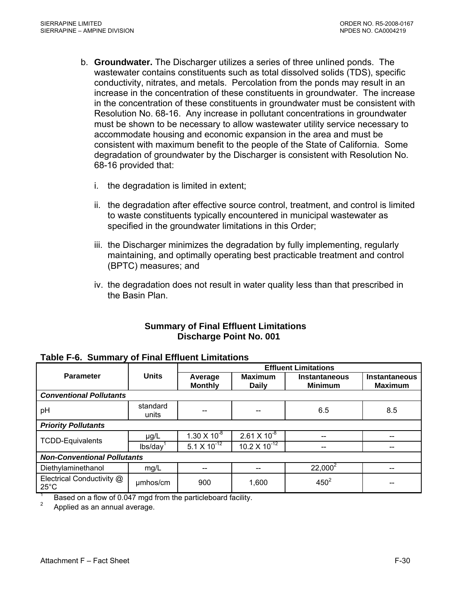- b. **Groundwater.** The Discharger utilizes a series of three unlined ponds. The wastewater contains constituents such as total dissolved solids (TDS), specific conductivity, nitrates, and metals. Percolation from the ponds may result in an increase in the concentration of these constituents in groundwater. The increase in the concentration of these constituents in groundwater must be consistent with Resolution No. 68-16. Any increase in pollutant concentrations in groundwater must be shown to be necessary to allow wastewater utility service necessary to accommodate housing and economic expansion in the area and must be consistent with maximum benefit to the people of the State of California. Some degradation of groundwater by the Discharger is consistent with Resolution No. 68-16 provided that:
	- i. the degradation is limited in extent;
	- ii. the degradation after effective source control, treatment, and control is limited to waste constituents typically encountered in municipal wastewater as specified in the groundwater limitations in this Order;
	- iii. the Discharger minimizes the degradation by fully implementing, regularly maintaining, and optimally operating best practicable treatment and control (BPTC) measures; and
	- iv. the degradation does not result in water quality less than that prescribed in the Basin Plan.

# **Summary of Final Effluent Limitations Discharge Point No. 001**

|                                             |                   | <b>Effluent Limitations</b> |                                 |                                        |                                        |  |  |  |  |
|---------------------------------------------|-------------------|-----------------------------|---------------------------------|----------------------------------------|----------------------------------------|--|--|--|--|
| <b>Parameter</b>                            | <b>Units</b>      | Average<br><b>Monthly</b>   | <b>Maximum</b><br><b>Daily</b>  | <b>Instantaneous</b><br><b>Minimum</b> | <b>Instantaneous</b><br><b>Maximum</b> |  |  |  |  |
| <b>Conventional Pollutants</b>              |                   |                             |                                 |                                        |                                        |  |  |  |  |
| pH                                          | standard<br>units | --                          |                                 | 6.5                                    | 8.5                                    |  |  |  |  |
| <b>Priority Pollutants</b>                  |                   |                             |                                 |                                        |                                        |  |  |  |  |
| <b>TCDD-Equivalents</b>                     | $\mu$ g/L         | $1.30 \times 10^{-8}$       | $2.61 \times 10^{-8}$           |                                        |                                        |  |  |  |  |
|                                             | lbs/day           | $5.1 \times 10^{-12}$       | 10.2 $\times$ 10 <sup>-12</sup> | --                                     |                                        |  |  |  |  |
| <b>Non-Conventional Pollutants</b>          |                   |                             |                                 |                                        |                                        |  |  |  |  |
| Diethylaminethanol                          | mg/L              | --                          |                                 | $22,000^2$                             | --                                     |  |  |  |  |
| Electrical Conductivity @<br>$25^{\circ}$ C | umhos/cm          | 900                         | 1,600                           | $450^2$                                |                                        |  |  |  |  |

#### **Table F-6. Summary of Final Effluent Limitations**

1 Based on a flow of 0.047 mgd from the particleboard facility.

2 Applied as an annual average.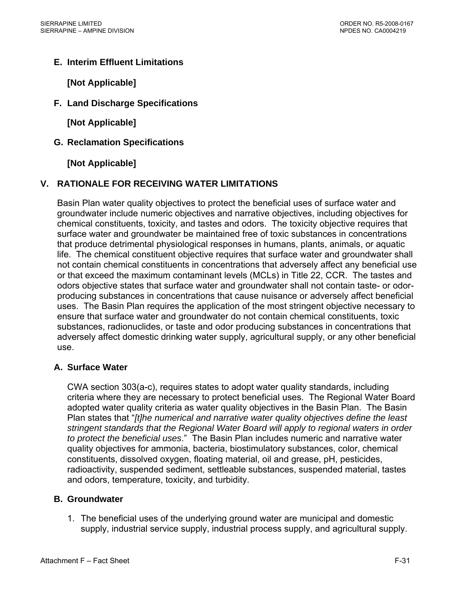# **E. Interim Effluent Limitations**

**[Not Applicable]**

**F. Land Discharge Specifications** 

**[Not Applicable]** 

**G. Reclamation Specifications** 

**[Not Applicable]** 

# **V. RATIONALE FOR RECEIVING WATER LIMITATIONS**

Basin Plan water quality objectives to protect the beneficial uses of surface water and groundwater include numeric objectives and narrative objectives, including objectives for chemical constituents, toxicity, and tastes and odors. The toxicity objective requires that surface water and groundwater be maintained free of toxic substances in concentrations that produce detrimental physiological responses in humans, plants, animals, or aquatic life. The chemical constituent objective requires that surface water and groundwater shall not contain chemical constituents in concentrations that adversely affect any beneficial use or that exceed the maximum contaminant levels (MCLs) in Title 22, CCR. The tastes and odors objective states that surface water and groundwater shall not contain taste- or odorproducing substances in concentrations that cause nuisance or adversely affect beneficial uses. The Basin Plan requires the application of the most stringent objective necessary to ensure that surface water and groundwater do not contain chemical constituents, toxic substances, radionuclides, or taste and odor producing substances in concentrations that adversely affect domestic drinking water supply, agricultural supply, or any other beneficial use.

# **A. Surface Water**

CWA section 303(a-c), requires states to adopt water quality standards, including criteria where they are necessary to protect beneficial uses. The Regional Water Board adopted water quality criteria as water quality objectives in the Basin Plan. The Basin Plan states that "*[t]he numerical and narrative water quality objectives define the least stringent standards that the Regional Water Board will apply to regional waters in order to protect the beneficial uses*." The Basin Plan includes numeric and narrative water quality objectives for ammonia, bacteria, biostimulatory substances, color, chemical constituents, dissolved oxygen, floating material, oil and grease, pH, pesticides, radioactivity, suspended sediment, settleable substances, suspended material, tastes and odors, temperature, toxicity, and turbidity.

# **B. Groundwater**

1. The beneficial uses of the underlying ground water are municipal and domestic supply, industrial service supply, industrial process supply, and agricultural supply.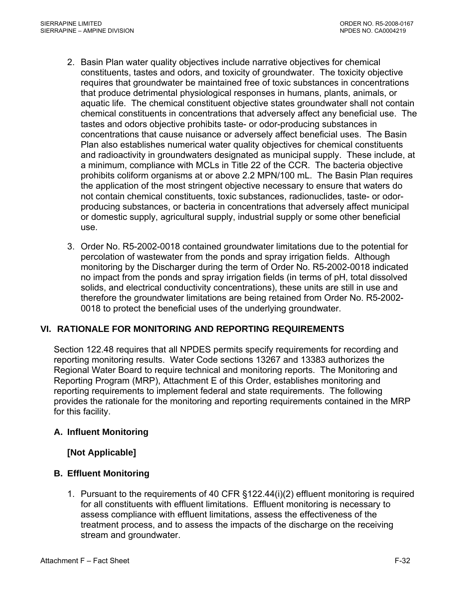- 2. Basin Plan water quality objectives include narrative objectives for chemical constituents, tastes and odors, and toxicity of groundwater. The toxicity objective requires that groundwater be maintained free of toxic substances in concentrations that produce detrimental physiological responses in humans, plants, animals, or aquatic life. The chemical constituent objective states groundwater shall not contain chemical constituents in concentrations that adversely affect any beneficial use. The tastes and odors objective prohibits taste- or odor-producing substances in concentrations that cause nuisance or adversely affect beneficial uses. The Basin Plan also establishes numerical water quality objectives for chemical constituents and radioactivity in groundwaters designated as municipal supply. These include, at a minimum, compliance with MCLs in Title 22 of the CCR. The bacteria objective prohibits coliform organisms at or above 2.2 MPN/100 mL. The Basin Plan requires the application of the most stringent objective necessary to ensure that waters do not contain chemical constituents, toxic substances, radionuclides, taste- or odorproducing substances, or bacteria in concentrations that adversely affect municipal or domestic supply, agricultural supply, industrial supply or some other beneficial use.
- 3. Order No. R5-2002-0018 contained groundwater limitations due to the potential for percolation of wastewater from the ponds and spray irrigation fields. Although monitoring by the Discharger during the term of Order No. R5-2002-0018 indicated no impact from the ponds and spray irrigation fields (in terms of pH, total dissolved solids, and electrical conductivity concentrations), these units are still in use and therefore the groundwater limitations are being retained from Order No. R5-2002- 0018 to protect the beneficial uses of the underlying groundwater.

# **VI. RATIONALE FOR MONITORING AND REPORTING REQUIREMENTS**

Section 122.48 requires that all NPDES permits specify requirements for recording and reporting monitoring results. Water Code sections 13267 and 13383 authorizes the Regional Water Board to require technical and monitoring reports. The Monitoring and Reporting Program (MRP), Attachment E of this Order, establishes monitoring and reporting requirements to implement federal and state requirements. The following provides the rationale for the monitoring and reporting requirements contained in the MRP for this facility.

# **A. Influent Monitoring**

# **[Not Applicable]**

# **B. Effluent Monitoring**

1. Pursuant to the requirements of 40 CFR §122.44(i)(2) effluent monitoring is required for all constituents with effluent limitations. Effluent monitoring is necessary to assess compliance with effluent limitations, assess the effectiveness of the treatment process, and to assess the impacts of the discharge on the receiving stream and groundwater.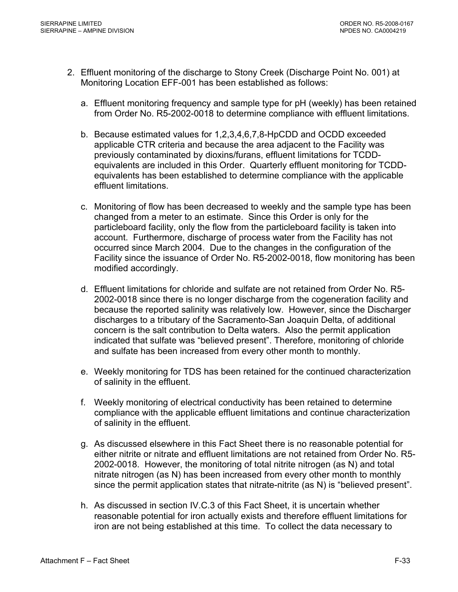- 2. Effluent monitoring of the discharge to Stony Creek (Discharge Point No. 001) at Monitoring Location EFF-001 has been established as follows:
	- a. Effluent monitoring frequency and sample type for pH (weekly) has been retained from Order No. R5-2002-0018 to determine compliance with effluent limitations.
	- b. Because estimated values for 1,2,3,4,6,7,8-HpCDD and OCDD exceeded applicable CTR criteria and because the area adjacent to the Facility was previously contaminated by dioxins/furans, effluent limitations for TCDDequivalents are included in this Order. Quarterly effluent monitoring for TCDDequivalents has been established to determine compliance with the applicable effluent limitations.
	- c. Monitoring of flow has been decreased to weekly and the sample type has been changed from a meter to an estimate. Since this Order is only for the particleboard facility, only the flow from the particleboard facility is taken into account. Furthermore, discharge of process water from the Facility has not occurred since March 2004. Due to the changes in the configuration of the Facility since the issuance of Order No. R5-2002-0018, flow monitoring has been modified accordingly.
	- d. Effluent limitations for chloride and sulfate are not retained from Order No. R5- 2002-0018 since there is no longer discharge from the cogeneration facility and because the reported salinity was relatively low. However, since the Discharger discharges to a tributary of the Sacramento-San Joaquin Delta, of additional concern is the salt contribution to Delta waters. Also the permit application indicated that sulfate was "believed present". Therefore, monitoring of chloride and sulfate has been increased from every other month to monthly.
	- e. Weekly monitoring for TDS has been retained for the continued characterization of salinity in the effluent.
	- f. Weekly monitoring of electrical conductivity has been retained to determine compliance with the applicable effluent limitations and continue characterization of salinity in the effluent.
	- g. As discussed elsewhere in this Fact Sheet there is no reasonable potential for either nitrite or nitrate and effluent limitations are not retained from Order No. R5- 2002-0018. However, the monitoring of total nitrite nitrogen (as N) and total nitrate nitrogen (as N) has been increased from every other month to monthly since the permit application states that nitrate-nitrite (as N) is "believed present".
	- h. As discussed in section IV.C.3 of this Fact Sheet, it is uncertain whether reasonable potential for iron actually exists and therefore effluent limitations for iron are not being established at this time. To collect the data necessary to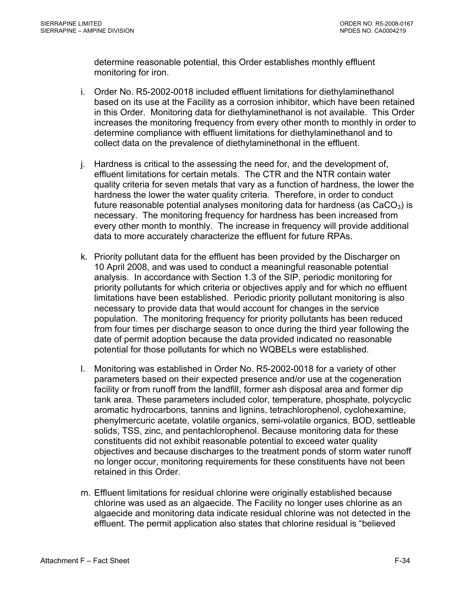determine reasonable potential, this Order establishes monthly effluent monitoring for iron.

- i. Order No. R5-2002-0018 included effluent limitations for diethylaminethanol based on its use at the Facility as a corrosion inhibitor, which have been retained in this Order. Monitoring data for diethylaminethanol is not available. This Order increases the monitoring frequency from every other month to monthly in order to determine compliance with effluent limitations for diethylaminethanol and to collect data on the prevalence of diethylaminethonal in the effluent.
- j. Hardness is critical to the assessing the need for, and the development of, effluent limitations for certain metals. The CTR and the NTR contain water quality criteria for seven metals that vary as a function of hardness, the lower the hardness the lower the water quality criteria. Therefore, in order to conduct future reasonable potential analyses monitoring data for hardness (as  $CaCO<sub>3</sub>$ ) is necessary. The monitoring frequency for hardness has been increased from every other month to monthly. The increase in frequency will provide additional data to more accurately characterize the effluent for future RPAs.
- k. Priority pollutant data for the effluent has been provided by the Discharger on 10 April 2008, and was used to conduct a meaningful reasonable potential analysis. In accordance with Section 1.3 of the SIP, periodic monitoring for priority pollutants for which criteria or objectives apply and for which no effluent limitations have been established. Periodic priority pollutant monitoring is also necessary to provide data that would account for changes in the service population. The monitoring frequency for priority pollutants has been reduced from four times per discharge season to once during the third year following the date of permit adoption because the data provided indicated no reasonable potential for those pollutants for which no WQBELs were established.
- l. Monitoring was established in Order No. R5-2002-0018 for a variety of other parameters based on their expected presence and/or use at the cogeneration facility or from runoff from the landfill, former ash disposal area and former dip tank area. These parameters included color, temperature, phosphate, polycyclic aromatic hydrocarbons, tannins and lignins, tetrachlorophenol, cyclohexamine, phenylmercuric acetate, volatile organics, semi-volatile organics, BOD, settleable solids, TSS, zinc, and pentachlorophenol. Because monitoring data for these constituents did not exhibit reasonable potential to exceed water quality objectives and because discharges to the treatment ponds of storm water runoff no longer occur, monitoring requirements for these constituents have not been retained in this Order
- m. Effluent limitations for residual chlorine were originally established because chlorine was used as an algaecide. The Facility no longer uses chlorine as an algaecide and monitoring data indicate residual chlorine was not detected in the effluent. The permit application also states that chlorine residual is "believed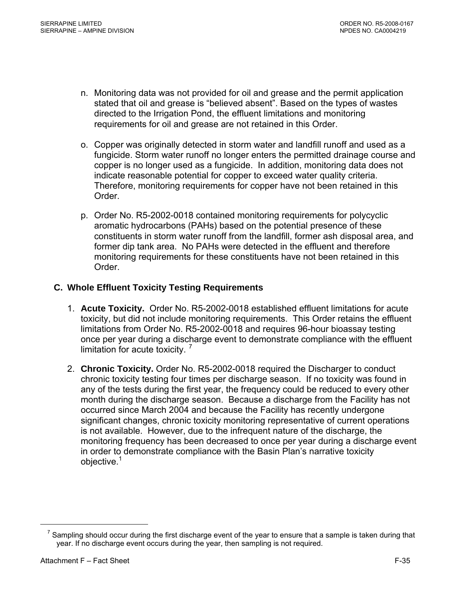- <span id="page-87-0"></span>n. Monitoring data was not provided for oil and grease and the permit application stated that oil and grease is "believed absent". Based on the types of wastes directed to the Irrigation Pond, the effluent limitations and monitoring requirements for oil and grease are not retained in this Order.
- o. Copper was originally detected in storm water and landfill runoff and used as a fungicide. Storm water runoff no longer enters the permitted drainage course and copper is no longer used as a fungicide. In addition, monitoring data does not indicate reasonable potential for copper to exceed water quality criteria. Therefore, monitoring requirements for copper have not been retained in this Order.
- p. Order No. R5-2002-0018 contained monitoring requirements for polycyclic aromatic hydrocarbons (PAHs) based on the potential presence of these constituents in storm water runoff from the landfill, former ash disposal area, and former dip tank area. No PAHs were detected in the effluent and therefore monitoring requirements for these constituents have not been retained in this Order.

# <span id="page-87-1"></span>**C. Whole Effluent Toxicity Testing Requirements**

- 1. **Acute Toxicity.** Order No. R5-2002-0018 established effluent limitations for acute toxicity, but did not include monitoring requirements. This Order retains the effluent limitations from Order No. R5-2002-0018 and requires 96-hour bioassay testing once per year during a discharge event to demonstrate compliance with the effluent limitation for acute toxicity.  $7$
- 2. **Chronic Toxicity.** Order No. R5-2002-0018 required the Discharger to conduct chronic toxicity testing four times per discharge season. If no toxicity was found in any of the tests during the first year, the frequency could be reduced to every other month during the discharge season. Because a discharge from the Facility has not occurred since March 2004 and because the Facility has recently undergone significant changes, chronic toxicity monitoring representative of current operations is not available. However, due to the infrequent nature of the discharge, the monitoring frequency has been decreased to once per year during a discharge event in order to demonstrate compliance with the Basin Plan's narrative toxicity objective.<sup>[1](#page-87-1)</sup>

 $\overline{a}$ 

 $7$  Sampling should occur during the first discharge event of the year to ensure that a sample is taken during that year. If no discharge event occurs during the year, then sampling is not required.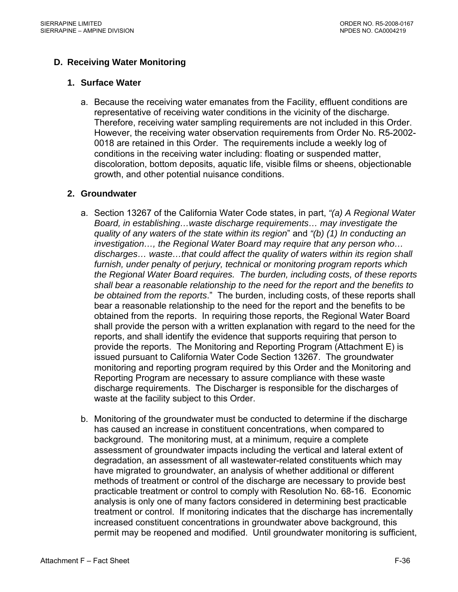# **D. Receiving Water Monitoring**

#### **1. Surface Water**

a. Because the receiving water emanates from the Facility, effluent conditions are representative of receiving water conditions in the vicinity of the discharge. Therefore, receiving water sampling requirements are not included in this Order. However, the receiving water observation requirements from Order No. R5-2002- 0018 are retained in this Order. The requirements include a weekly log of conditions in the receiving water including: floating or suspended matter, discoloration, bottom deposits, aquatic life, visible films or sheens, objectionable growth, and other potential nuisance conditions.

#### **2. Groundwater**

- a. Section 13267 of the California Water Code states, in part, *"(a) A Regional Water Board, in establishing…waste discharge requirements… may investigate the quality of any waters of the state within its region*" and *"(b) (1) In conducting an investigation…, the Regional Water Board may require that any person who… discharges… waste…that could affect the quality of waters within its region shall furnish, under penalty of perjury, technical or monitoring program reports which the Regional Water Board requires. The burden, including costs, of these reports shall bear a reasonable relationship to the need for the report and the benefits to be obtained from the reports*." The burden, including costs, of these reports shall bear a reasonable relationship to the need for the report and the benefits to be obtained from the reports. In requiring those reports, the Regional Water Board shall provide the person with a written explanation with regard to the need for the reports, and shall identify the evidence that supports requiring that person to provide the reports. The Monitoring and Reporting Program (Attachment E) is issued pursuant to California Water Code Section 13267. The groundwater monitoring and reporting program required by this Order and the Monitoring and Reporting Program are necessary to assure compliance with these waste discharge requirements. The Discharger is responsible for the discharges of waste at the facility subject to this Order.
- b. Monitoring of the groundwater must be conducted to determine if the discharge has caused an increase in constituent concentrations, when compared to background. The monitoring must, at a minimum, require a complete assessment of groundwater impacts including the vertical and lateral extent of degradation, an assessment of all wastewater-related constituents which may have migrated to groundwater, an analysis of whether additional or different methods of treatment or control of the discharge are necessary to provide best practicable treatment or control to comply with Resolution No. 68-16. Economic analysis is only one of many factors considered in determining best practicable treatment or control. If monitoring indicates that the discharge has incrementally increased constituent concentrations in groundwater above background, this permit may be reopened and modified. Until groundwater monitoring is sufficient,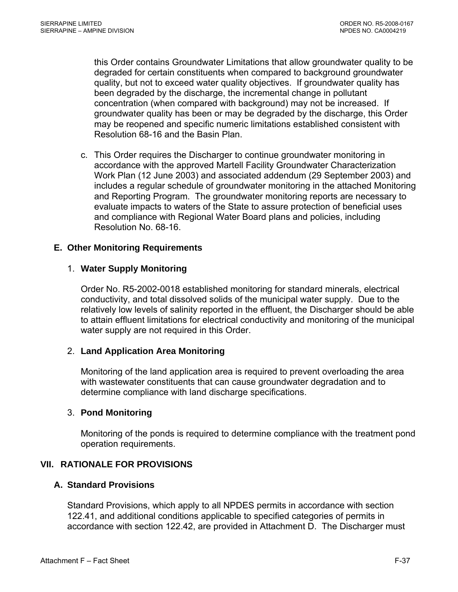this Order contains Groundwater Limitations that allow groundwater quality to be degraded for certain constituents when compared to background groundwater quality, but not to exceed water quality objectives. If groundwater quality has been degraded by the discharge, the incremental change in pollutant concentration (when compared with background) may not be increased. If groundwater quality has been or may be degraded by the discharge, this Order may be reopened and specific numeric limitations established consistent with Resolution 68-16 and the Basin Plan.

c. This Order requires the Discharger to continue groundwater monitoring in accordance with the approved Martell Facility Groundwater Characterization Work Plan (12 June 2003) and associated addendum (29 September 2003) and includes a regular schedule of groundwater monitoring in the attached Monitoring and Reporting Program. The groundwater monitoring reports are necessary to evaluate impacts to waters of the State to assure protection of beneficial uses and compliance with Regional Water Board plans and policies, including Resolution No. 68-16.

# **E. Other Monitoring Requirements**

# 1. **Water Supply Monitoring**

Order No. R5-2002-0018 established monitoring for standard minerals, electrical conductivity, and total dissolved solids of the municipal water supply. Due to the relatively low levels of salinity reported in the effluent, the Discharger should be able to attain effluent limitations for electrical conductivity and monitoring of the municipal water supply are not required in this Order.

# 2. **Land Application Area Monitoring**

Monitoring of the land application area is required to prevent overloading the area with wastewater constituents that can cause groundwater degradation and to determine compliance with land discharge specifications.

# 3. **Pond Monitoring**

Monitoring of the ponds is required to determine compliance with the treatment pond operation requirements.

# **VII. RATIONALE FOR PROVISIONS**

# **A. Standard Provisions**

Standard Provisions, which apply to all NPDES permits in accordance with section 122.41, and additional conditions applicable to specified categories of permits in accordance with section 122.42, are provided in Attachment D. The Discharger must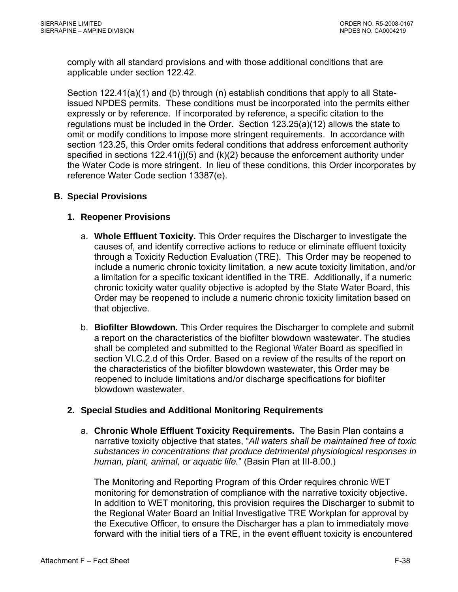comply with all standard provisions and with those additional conditions that are applicable under section 122.42.

Section 122.41(a)(1) and (b) through (n) establish conditions that apply to all Stateissued NPDES permits. These conditions must be incorporated into the permits either expressly or by reference. If incorporated by reference, a specific citation to the regulations must be included in the Order. Section 123.25(a)(12) allows the state to omit or modify conditions to impose more stringent requirements. In accordance with section 123.25, this Order omits federal conditions that address enforcement authority specified in sections  $122.41(j)(5)$  and  $(k)(2)$  because the enforcement authority under the Water Code is more stringent. In lieu of these conditions, this Order incorporates by reference Water Code section 13387(e).

# **B. Special Provisions**

# **1. Reopener Provisions**

- a. **Whole Effluent Toxicity.** This Order requires the Discharger to investigate the causes of, and identify corrective actions to reduce or eliminate effluent toxicity through a Toxicity Reduction Evaluation (TRE). This Order may be reopened to include a numeric chronic toxicity limitation, a new acute toxicity limitation, and/or a limitation for a specific toxicant identified in the TRE. Additionally, if a numeric chronic toxicity water quality objective is adopted by the State Water Board, this Order may be reopened to include a numeric chronic toxicity limitation based on that objective.
- b. **Biofilter Blowdown.** This Order requires the Discharger to complete and submit a report on the characteristics of the biofilter blowdown wastewater. The studies shall be completed and submitted to the Regional Water Board as specified in section VI.C.2.d of this Order. Based on a review of the results of the report on the characteristics of the biofilter blowdown wastewater, this Order may be reopened to include limitations and/or discharge specifications for biofilter blowdown wastewater.

# **2. Special Studies and Additional Monitoring Requirements**

a. **Chronic Whole Effluent Toxicity Requirements.** The Basin Plan contains a narrative toxicity objective that states, "*All waters shall be maintained free of toxic substances in concentrations that produce detrimental physiological responses in human, plant, animal, or aquatic life.*" (Basin Plan at III-8.00.)

The Monitoring and Reporting Program of this Order requires chronic WET monitoring for demonstration of compliance with the narrative toxicity objective. In addition to WET monitoring, this provision requires the Discharger to submit to the Regional Water Board an Initial Investigative TRE Workplan for approval by the Executive Officer, to ensure the Discharger has a plan to immediately move forward with the initial tiers of a TRE, in the event effluent toxicity is encountered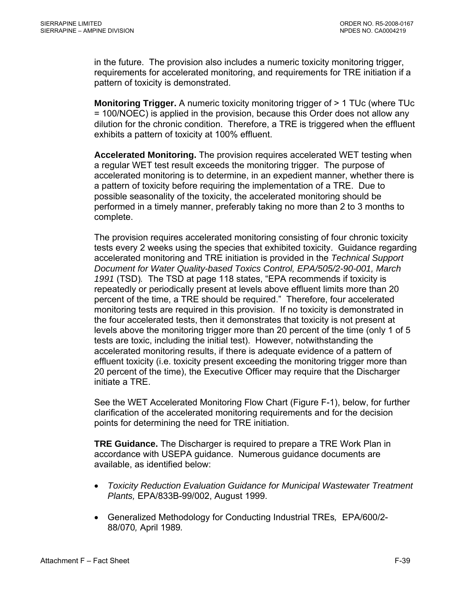in the future. The provision also includes a numeric toxicity monitoring trigger, requirements for accelerated monitoring, and requirements for TRE initiation if a pattern of toxicity is demonstrated.

**Monitoring Trigger.** A numeric toxicity monitoring trigger of > 1 TUc (where TUc = 100/NOEC) is applied in the provision, because this Order does not allow any dilution for the chronic condition. Therefore, a TRE is triggered when the effluent exhibits a pattern of toxicity at 100% effluent.

**Accelerated Monitoring.** The provision requires accelerated WET testing when a regular WET test result exceeds the monitoring trigger. The purpose of accelerated monitoring is to determine, in an expedient manner, whether there is a pattern of toxicity before requiring the implementation of a TRE. Due to possible seasonality of the toxicity, the accelerated monitoring should be performed in a timely manner, preferably taking no more than 2 to 3 months to complete.

The provision requires accelerated monitoring consisting of four chronic toxicity tests every 2 weeks using the species that exhibited toxicity. Guidance regarding accelerated monitoring and TRE initiation is provided in the *Technical Support Document for Water Quality-based Toxics Control, EPA/505/2-90-001, March 1991* (TSD)*.* The TSD at page 118 states, "EPA recommends if toxicity is repeatedly or periodically present at levels above effluent limits more than 20 percent of the time, a TRE should be required." Therefore, four accelerated monitoring tests are required in this provision. If no toxicity is demonstrated in the four accelerated tests, then it demonstrates that toxicity is not present at levels above the monitoring trigger more than 20 percent of the time (only 1 of 5 tests are toxic, including the initial test). However, notwithstanding the accelerated monitoring results, if there is adequate evidence of a pattern of effluent toxicity (i.e. toxicity present exceeding the monitoring trigger more than 20 percent of the time), the Executive Officer may require that the Discharger initiate a TRE.

See the WET Accelerated Monitoring Flow Chart (Figure F-1), below, for further clarification of the accelerated monitoring requirements and for the decision points for determining the need for TRE initiation.

**TRE Guidance.** The Discharger is required to prepare a TRE Work Plan in accordance with USEPA guidance. Numerous guidance documents are available, as identified below:

- *Toxicity Reduction Evaluation Guidance for Municipal Wastewater Treatment Plants,* EPA/833B-99/002, August 1999.
- Generalized Methodology for Conducting Industrial TREs*,* EPA/600/2- 88/070*,* April 1989*.*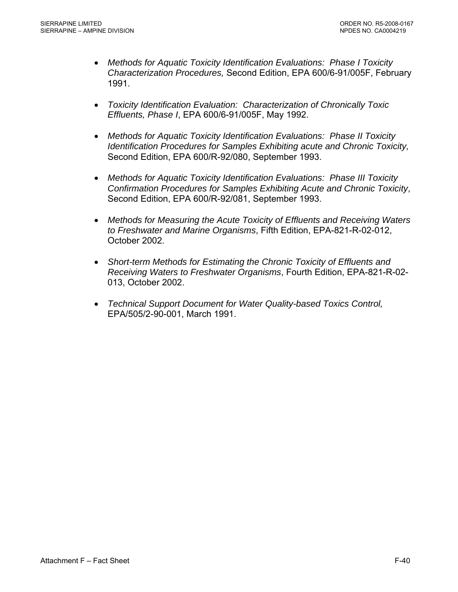- *Methods for Aquatic Toxicity Identification Evaluations: Phase I Toxicity Characterization Procedures,* Second Edition, EPA 600/6-91/005F, February 1991.
- *Toxicity Identification Evaluation: Characterization of Chronically Toxic Effluents, Phase I*, EPA 600/6-91/005F, May 1992.
- *Methods for Aquatic Toxicity Identification Evaluations: Phase II Toxicity Identification Procedures for Samples Exhibiting acute and Chronic Toxicity,*  Second Edition, EPA 600/R-92/080, September 1993.
- *Methods for Aquatic Toxicity Identification Evaluations: Phase III Toxicity Confirmation Procedures for Samples Exhibiting Acute and Chronic Toxicity*, Second Edition, EPA 600/R-92/081, September 1993.
- *Methods for Measuring the Acute Toxicity of Effluents and Receiving Waters to Freshwater and Marine Organisms*, Fifth Edition, EPA-821-R-02-012, October 2002.
- *Short-term Methods for Estimating the Chronic Toxicity of Effluents and Receiving Waters to Freshwater Organisms*, Fourth Edition, EPA-821-R-02- 013, October 2002.
- *Technical Support Document for Water Quality-based Toxics Control,*  EPA/505/2-90-001, March 1991.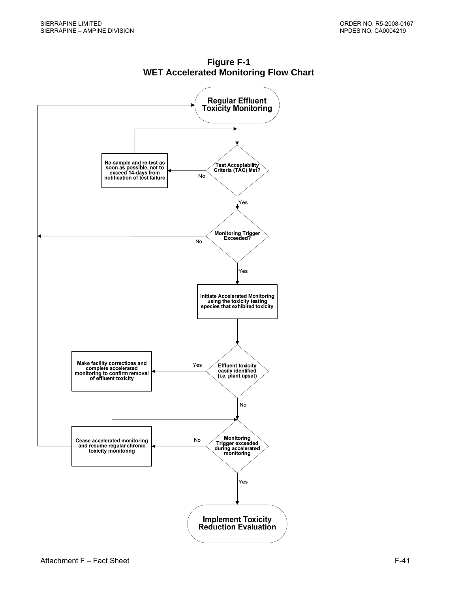

**Figure F-1 WET Accelerated Monitoring Flow Chart**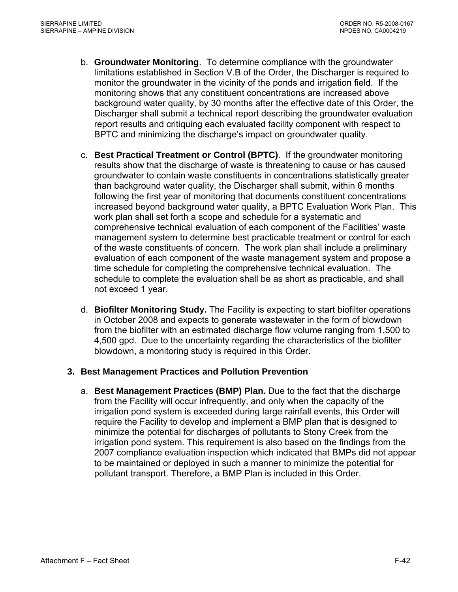- b. **Groundwater Monitoring**. To determine compliance with the groundwater limitations established in Section V.B of the Order, the Discharger is required to monitor the groundwater in the vicinity of the ponds and irrigation field. If the monitoring shows that any constituent concentrations are increased above background water quality, by 30 months after the effective date of this Order, the Discharger shall submit a technical report describing the groundwater evaluation report results and critiquing each evaluated facility component with respect to BPTC and minimizing the discharge's impact on groundwater quality.
- c. **Best Practical Treatment or Control (BPTC)**. If the groundwater monitoring results show that the discharge of waste is threatening to cause or has caused groundwater to contain waste constituents in concentrations statistically greater than background water quality, the Discharger shall submit, within 6 months following the first year of monitoring that documents constituent concentrations increased beyond background water quality, a BPTC Evaluation Work Plan. This work plan shall set forth a scope and schedule for a systematic and comprehensive technical evaluation of each component of the Facilities' waste management system to determine best practicable treatment or control for each of the waste constituents of concern. The work plan shall include a preliminary evaluation of each component of the waste management system and propose a time schedule for completing the comprehensive technical evaluation. The schedule to complete the evaluation shall be as short as practicable, and shall not exceed 1 year.
- d. **Biofilter Monitoring Study.** The Facility is expecting to start biofilter operations in October 2008 and expects to generate wastewater in the form of blowdown from the biofilter with an estimated discharge flow volume ranging from 1,500 to 4,500 gpd. Due to the uncertainty regarding the characteristics of the biofilter blowdown, a monitoring study is required in this Order.

# **3. Best Management Practices and Pollution Prevention**

a. **Best Management Practices (BMP) Plan.** Due to the fact that the discharge from the Facility will occur infrequently, and only when the capacity of the irrigation pond system is exceeded during large rainfall events, this Order will require the Facility to develop and implement a BMP plan that is designed to minimize the potential for discharges of pollutants to Stony Creek from the irrigation pond system. This requirement is also based on the findings from the 2007 compliance evaluation inspection which indicated that BMPs did not appear to be maintained or deployed in such a manner to minimize the potential for pollutant transport. Therefore, a BMP Plan is included in this Order.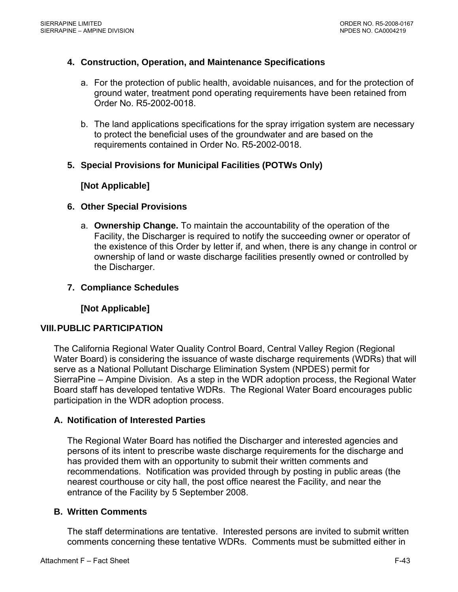# **4. Construction, Operation, and Maintenance Specifications**

- a. For the protection of public health, avoidable nuisances, and for the protection of ground water, treatment pond operating requirements have been retained from Order No. R5-2002-0018.
- b. The land applications specifications for the spray irrigation system are necessary to protect the beneficial uses of the groundwater and are based on the requirements contained in Order No. R5-2002-0018.

# **5. Special Provisions for Municipal Facilities (POTWs Only)**

# **[Not Applicable]**

# **6. Other Special Provisions**

a. **Ownership Change.** To maintain the accountability of the operation of the Facility, the Discharger is required to notify the succeeding owner or operator of the existence of this Order by letter if, and when, there is any change in control or ownership of land or waste discharge facilities presently owned or controlled by the Discharger.

# **7. Compliance Schedules**

**[Not Applicable]** 

# **VIII. PUBLIC PARTICIPATION**

The California Regional Water Quality Control Board, Central Valley Region (Regional Water Board) is considering the issuance of waste discharge requirements (WDRs) that will serve as a National Pollutant Discharge Elimination System (NPDES) permit for SierraPine – Ampine Division. As a step in the WDR adoption process, the Regional Water Board staff has developed tentative WDRs. The Regional Water Board encourages public participation in the WDR adoption process.

# **A. Notification of Interested Parties**

The Regional Water Board has notified the Discharger and interested agencies and persons of its intent to prescribe waste discharge requirements for the discharge and has provided them with an opportunity to submit their written comments and recommendations. Notification was provided through by posting in public areas (the nearest courthouse or city hall, the post office nearest the Facility, and near the entrance of the Facility by 5 September 2008.

# **B. Written Comments**

The staff determinations are tentative. Interested persons are invited to submit written comments concerning these tentative WDRs. Comments must be submitted either in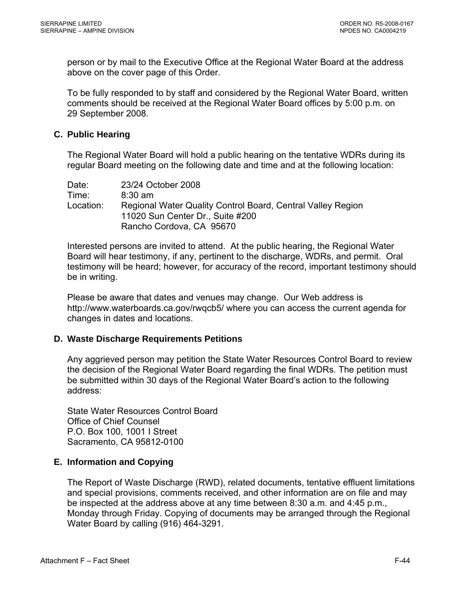person or by mail to the Executive Office at the Regional Water Board at the address above on the cover page of this Order.

To be fully responded to by staff and considered by the Regional Water Board, written comments should be received at the Regional Water Board offices by 5:00 p.m. on 29 September 2008.

# **C. Public Hearing**

The Regional Water Board will hold a public hearing on the tentative WDRs during its regular Board meeting on the following date and time and at the following location:

| Date:     | 23/24 October 2008                                          |
|-----------|-------------------------------------------------------------|
| Time:     | $8:30 \text{ am}$                                           |
| Location: | Regional Water Quality Control Board, Central Valley Region |
|           | 11020 Sun Center Dr., Suite #200                            |
|           | Rancho Cordova, CA 95670                                    |

Interested persons are invited to attend. At the public hearing, the Regional Water Board will hear testimony, if any, pertinent to the discharge, WDRs, and permit. Oral testimony will be heard; however, for accuracy of the record, important testimony should be in writing.

Please be aware that dates and venues may change. Our Web address is <http://www.waterboards.ca.gov/rwqcb5/> where you can access the current agenda for changes in dates and locations.

# **D. Waste Discharge Requirements Petitions**

Any aggrieved person may petition the State Water Resources Control Board to review the decision of the Regional Water Board regarding the final WDRs. The petition must be submitted within 30 days of the Regional Water Board's action to the following address:

State Water Resources Control Board Office of Chief Counsel P.O. Box 100, 1001 I Street Sacramento, CA 95812-0100

# **E. Information and Copying**

The Report of Waste Discharge (RWD), related documents, tentative effluent limitations and special provisions, comments received, and other information are on file and may be inspected at the address above at any time between 8:30 a.m. and 4:45 p.m., Monday through Friday. Copying of documents may be arranged through the Regional Water Board by calling (916) 464-3291.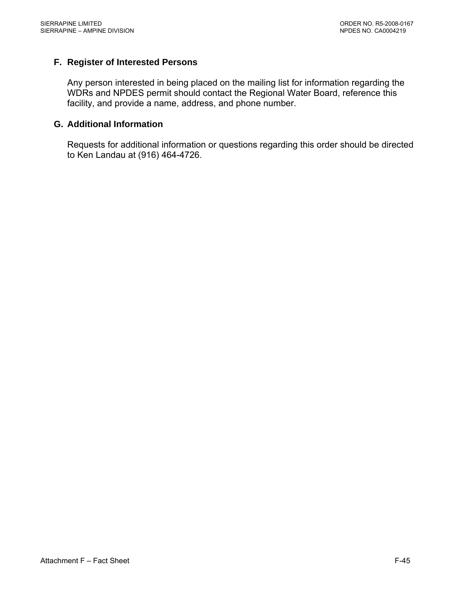# **F. Register of Interested Persons**

Any person interested in being placed on the mailing list for information regarding the WDRs and NPDES permit should contact the Regional Water Board, reference this facility, and provide a name, address, and phone number.

#### **G. Additional Information**

Requests for additional information or questions regarding this order should be directed to Ken Landau at (916) 464-4726.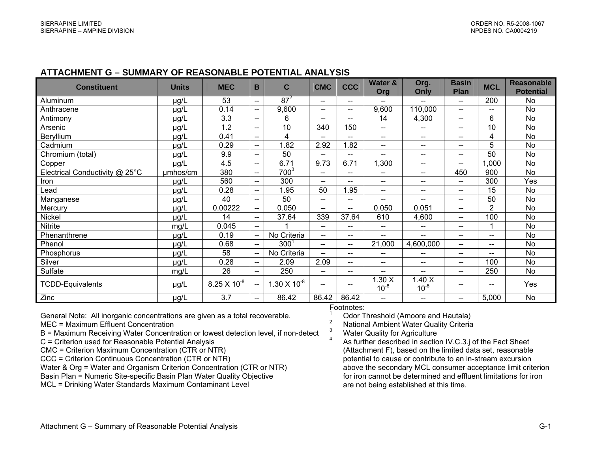#### **ATTACHMENT G – SUMMARY OF REASONABLE POTENTIAL ANALYSIS**

| <b>Constituent</b>             | <b>Units</b> | <b>MEC</b>            | B                        | C                     | <b>CMC</b>                                     | <b>CCC</b>               | Water &                  | Org.                     | <b>Basin</b>             | <b>MCL</b>               | <b>Reasonable</b> |
|--------------------------------|--------------|-----------------------|--------------------------|-----------------------|------------------------------------------------|--------------------------|--------------------------|--------------------------|--------------------------|--------------------------|-------------------|
|                                |              |                       |                          |                       |                                                |                          | Org                      | Only                     | <b>Plan</b>              |                          | <b>Potential</b>  |
| Aluminum                       | µg/L         | 53                    | $-$                      | $87^2$                | $\hspace{0.1mm}-\hspace{0.1mm}-\hspace{0.1mm}$ | $\qquad \qquad -$        |                          | $\qquad \qquad -$        | $\overline{\phantom{a}}$ | 200                      | No                |
| Anthracene                     | µg/L         | 0.14                  | $\overline{\phantom{a}}$ | 9,600                 | $\overline{\phantom{a}}$                       | $\overline{\phantom{a}}$ | 9,600                    | 110,000                  | $--$                     | $-$                      | <b>No</b>         |
| Antimony                       | µg/L         | 3.3                   | $\overline{\phantom{a}}$ | 6                     | $\overline{\phantom{a}}$                       | $- -$                    | 14                       | 4,300                    | $\overline{\phantom{a}}$ | 6                        | No                |
| Arsenic                        | µg/L         | 1.2                   | $\qquad \qquad -$        | 10                    | 340                                            | 150                      | $- -$                    | $\overline{\phantom{a}}$ | $\qquad \qquad -$        | 10                       | No.               |
| Beryllium                      | µg/L         | 0.41                  | $- -$                    | 4                     | $\overline{\phantom{a}}$                       | $- -$                    | $- -$                    | $- -$                    | $\overline{\phantom{a}}$ | 4                        | No                |
| Cadmium                        | µg/L         | 0.29                  | $-$                      | 1.82                  | 2.92                                           | .82                      | --                       | $\overline{\phantom{a}}$ | $\overline{\phantom{a}}$ | 5                        | No                |
| Chromium (total)               | µg/L         | 9.9                   | $-$                      | 50                    | $\overline{a}$                                 | $\overline{a}$           | $- -$                    | $\overline{a}$           | --                       | 50                       | <b>No</b>         |
| Copper                         | µg/L         | 4.5                   | $-$                      | 6.71                  | 9.73                                           | 6.71                     | 1,300                    | $\overline{\phantom{a}}$ | $\overline{\phantom{a}}$ | ,000                     | <b>No</b>         |
| Electrical Conductivity @ 25°C | umhos/cm     | 380                   | $-$                      | $700^{3}$             | $\overline{\phantom{a}}$                       | $\overline{\phantom{a}}$ | $- -$                    | $\qquad \qquad -$        | 450                      | 900                      | <b>No</b>         |
| Iron                           | µg/L         | 560                   | $\overline{\phantom{a}}$ | 300                   | $\overline{\phantom{a}}$                       | $- -$                    | $- -$                    | $\overline{\phantom{a}}$ | $\overline{\phantom{a}}$ | 300                      | Yes               |
| Lead                           | µg/L         | 0.28                  | $- -$                    | 1.95                  | 50                                             | .95                      | ——                       | $\overline{\phantom{a}}$ | $-$                      | 15                       | No                |
| Manganese                      | µg/L         | 40                    | $-$                      | 50                    | $\overline{\phantom{a}}$                       | $\overline{\phantom{a}}$ | $- -$                    | $\overline{\phantom{a}}$ | $--$                     | 50                       | <b>No</b>         |
| Mercury                        | µg/L         | 0.00222               | $\overline{\phantom{a}}$ | 0.050                 | $\overline{\phantom{a}}$                       | $\qquad \qquad -$        | 0.050                    | 0.051                    | $\overline{\phantom{a}}$ | $\overline{2}$           | No                |
| Nickel                         | µg/L         | 14                    | $\hspace{0.05cm}$        | 37.64                 | 339                                            | 37.64                    | 610                      | 4,600                    | $\overline{\phantom{a}}$ | 100                      | <b>No</b>         |
| <b>Nitrite</b>                 | mg/L         | 0.045                 | $\hspace{0.05cm}$        |                       | $--$                                           | $\overline{\phantom{a}}$ | $- -$                    | $\overline{\phantom{a}}$ | --                       |                          | No                |
| Phenanthrene                   | µg/L         | 0.19                  | $\overline{\phantom{a}}$ | No Criteria           | $--$                                           | $\overline{\phantom{a}}$ | $- -$                    | $\overline{\phantom{m}}$ | $\overline{\phantom{a}}$ | $-$                      | No.               |
| Phenol                         | µg/L         | 0.68                  | $\overline{a}$           | $300^{\circ}$         | $\overline{\phantom{a}}$                       | $- -$                    | 21,000                   | 4,600,000                | $\overline{a}$           | $-$                      | No                |
| Phosphorus                     | µg/L         | 58                    | $-$                      | No Criteria           | $\overline{\phantom{a}}$                       | $\overline{\phantom{a}}$ | $\overline{\phantom{a}}$ | $-$                      | $\hspace{0.05cm}$        | $\overline{\phantom{a}}$ | No                |
| Silver                         | µg/L         | 0.28                  | $\overline{\phantom{a}}$ | 2.09                  | 2.09                                           | $\overline{a}$           | $- -$                    | $- -$                    | $- -$                    | 100                      | No                |
| Sulfate                        | mg/L         | 26                    | $- -$                    | 250                   | $--$                                           | $- -$                    | $- -$                    | $\overline{\phantom{m}}$ | $\overline{\phantom{a}}$ | 250                      | No.               |
| <b>TCDD-Equivalents</b>        | µg/L         | $8.25 \times 10^{-8}$ |                          | $1.30 \times 10^{-8}$ | $\overline{\phantom{a}}$                       | $- -$                    | .30X<br>$10^{-8}$        | .40 X<br>$10^{-8}$       | --                       | $\overline{\phantom{a}}$ | Yes               |
| Zinc                           | µg/L         | 3.7                   | $\qquad \qquad -$        | 86.42                 | 86.42                                          | 86.42                    | ——                       | $\overline{\phantom{a}}$ | $\overline{\phantom{a}}$ | 5,000                    | No                |

General Note: All inorganic concentrations are given as a total recoverable. MEC = Maximum Effluent Concentration

- B = Maximum Receiving Water Concentration or lowest detection level, if non-detect
- C = Criterion used for Reasonable Potential Analysis
- CMC = Criterion Maximum Concentration (CTR or NTR)
- CCC = Criterion Continuous Concentration (CTR or NTR)
- Water & Org = Water and Organism Criterion Concentration (CTR or NTR)
- Basin Plan = Numeric Site-specific Basin Plan Water Quality Objective
- MCL = Drinking Water Standards Maximum Contaminant Level

#### Footnotes:

- 
- 
- 
- <sup>1</sup> Odor Threshold (Amoore and Hautala)<br><sup>2</sup> National Ambient Water Quality Criteria<br><sup>3</sup> Water Quality for Agriculture<br><sup>4</sup> As further described in section IV.C.3.j of the Fact Sheet (Attachment F), based on the limited data set, reasonable potential to cause or contribute to an in-stream excursion above the secondary MCL consumer acceptance limit criterion for iron cannot be determined and effluent limitations for iron are not being established at this time.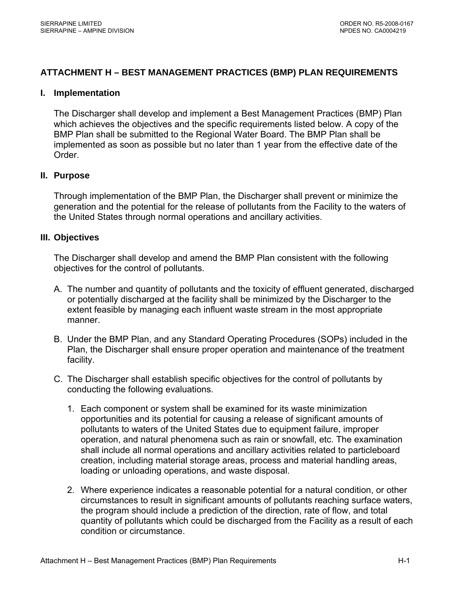# **ATTACHMENT H – BEST MANAGEMENT PRACTICES (BMP) PLAN REQUIREMENTS**

#### **I. Implementation**

 The Discharger shall develop and implement a Best Management Practices (BMP) Plan which achieves the objectives and the specific requirements listed below. A copy of the BMP Plan shall be submitted to the Regional Water Board. The BMP Plan shall be implemented as soon as possible but no later than 1 year from the effective date of the Order.

#### **II. Purpose**

 Through implementation of the BMP Plan, the Discharger shall prevent or minimize the generation and the potential for the release of pollutants from the Facility to the waters of the United States through normal operations and ancillary activities.

#### **III. Objectives**

The Discharger shall develop and amend the BMP Plan consistent with the following objectives for the control of pollutants.

- A. The number and quantity of pollutants and the toxicity of effluent generated, discharged or potentially discharged at the facility shall be minimized by the Discharger to the extent feasible by managing each influent waste stream in the most appropriate manner.
- B. Under the BMP Plan, and any Standard Operating Procedures (SOPs) included in the Plan, the Discharger shall ensure proper operation and maintenance of the treatment facility.
- C. The Discharger shall establish specific objectives for the control of pollutants by conducting the following evaluations.
	- 1. Each component or system shall be examined for its waste minimization opportunities and its potential for causing a release of significant amounts of pollutants to waters of the United States due to equipment failure, improper operation, and natural phenomena such as rain or snowfall, etc. The examination shall include all normal operations and ancillary activities related to particleboard creation, including material storage areas, process and material handling areas, loading or unloading operations, and waste disposal.
	- 2. Where experience indicates a reasonable potential for a natural condition, or other circumstances to result in significant amounts of pollutants reaching surface waters, the program should include a prediction of the direction, rate of flow, and total quantity of pollutants which could be discharged from the Facility as a result of each condition or circumstance.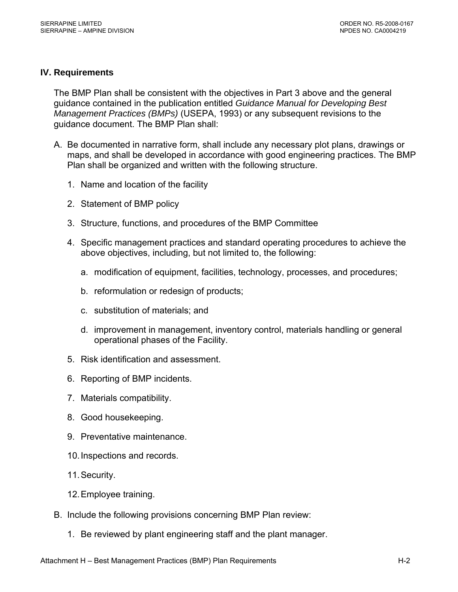# **IV. Requirements**

The BMP Plan shall be consistent with the objectives in Part 3 above and the general guidance contained in the publication entitled *Guidance Manual for Developing Best Management Practices (BMPs)* (USEPA, 1993) or any subsequent revisions to the guidance document. The BMP Plan shall:

- A. Be documented in narrative form, shall include any necessary plot plans, drawings or maps, and shall be developed in accordance with good engineering practices. The BMP Plan shall be organized and written with the following structure.
	- 1. Name and location of the facility
	- 2. Statement of BMP policy
	- 3. Structure, functions, and procedures of the BMP Committee
	- 4. Specific management practices and standard operating procedures to achieve the above objectives, including, but not limited to, the following:
		- a. modification of equipment, facilities, technology, processes, and procedures;
		- b. reformulation or redesign of products;
		- c. substitution of materials; and
		- d. improvement in management, inventory control, materials handling or general operational phases of the Facility.
	- 5. Risk identification and assessment.
	- 6. Reporting of BMP incidents.
	- 7. Materials compatibility.
	- 8. Good housekeeping.
	- 9. Preventative maintenance.
	- 10. Inspections and records.
	- 11. Security.
	- 12. Employee training.
- B. Include the following provisions concerning BMP Plan review:
	- 1. Be reviewed by plant engineering staff and the plant manager.